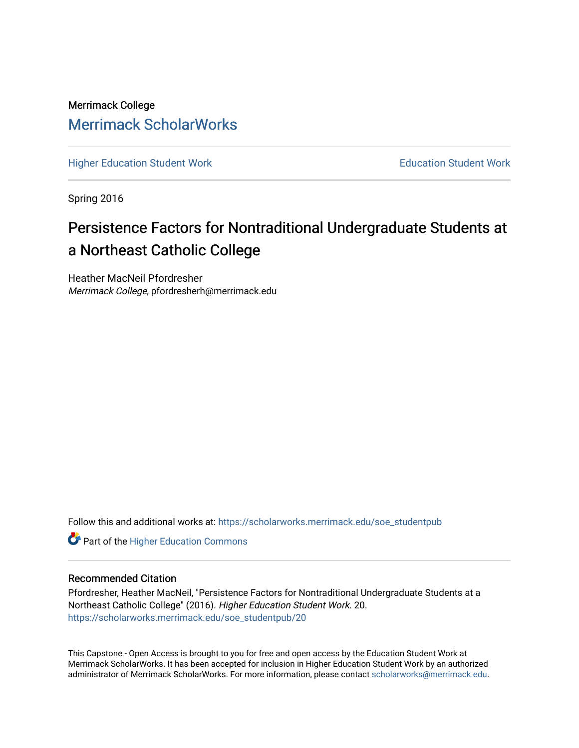# Merrimack College [Merrimack ScholarWorks](https://scholarworks.merrimack.edu/)

[Higher Education Student Work](https://scholarworks.merrimack.edu/soe_studentpub) **Education Student Work** Education Student Work

Spring 2016

# Persistence Factors for Nontraditional Undergraduate Students at a Northeast Catholic College

Heather MacNeil Pfordresher Merrimack College, pfordresherh@merrimack.edu

Follow this and additional works at: [https://scholarworks.merrimack.edu/soe\\_studentpub](https://scholarworks.merrimack.edu/soe_studentpub?utm_source=scholarworks.merrimack.edu%2Fsoe_studentpub%2F20&utm_medium=PDF&utm_campaign=PDFCoverPages) 

**Part of the Higher Education Commons** 

## Recommended Citation

Pfordresher, Heather MacNeil, "Persistence Factors for Nontraditional Undergraduate Students at a Northeast Catholic College" (2016). Higher Education Student Work. 20. [https://scholarworks.merrimack.edu/soe\\_studentpub/20](https://scholarworks.merrimack.edu/soe_studentpub/20?utm_source=scholarworks.merrimack.edu%2Fsoe_studentpub%2F20&utm_medium=PDF&utm_campaign=PDFCoverPages) 

This Capstone - Open Access is brought to you for free and open access by the Education Student Work at Merrimack ScholarWorks. It has been accepted for inclusion in Higher Education Student Work by an authorized administrator of Merrimack ScholarWorks. For more information, please contact [scholarworks@merrimack.edu](mailto:scholarworks@merrimack.edu).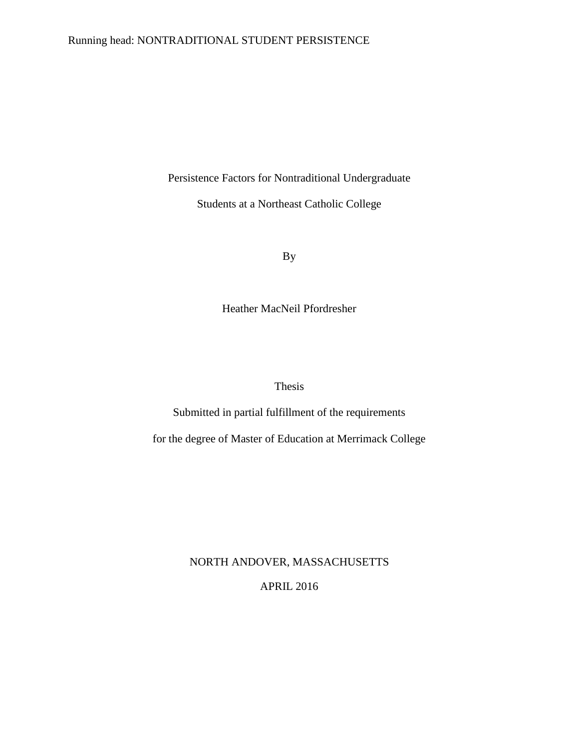## Running head: NONTRADITIONAL STUDENT PERSISTENCE

Persistence Factors for Nontraditional Undergraduate

Students at a Northeast Catholic College

By

Heather MacNeil Pfordresher

Thesis

Submitted in partial fulfillment of the requirements

for the degree of Master of Education at Merrimack College

NORTH ANDOVER, MASSACHUSETTS

APRIL 2016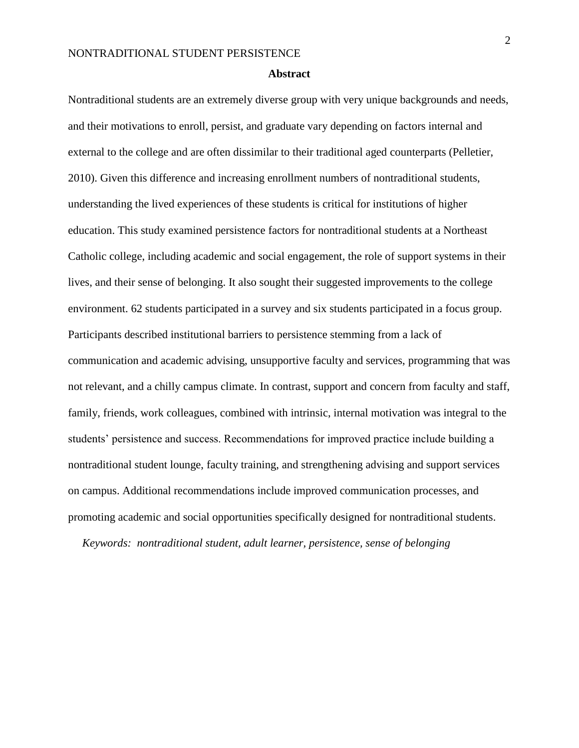#### **Abstract**

Nontraditional students are an extremely diverse group with very unique backgrounds and needs, and their motivations to enroll, persist, and graduate vary depending on factors internal and external to the college and are often dissimilar to their traditional aged counterparts (Pelletier, 2010). Given this difference and increasing enrollment numbers of nontraditional students, understanding the lived experiences of these students is critical for institutions of higher education. This study examined persistence factors for nontraditional students at a Northeast Catholic college, including academic and social engagement, the role of support systems in their lives, and their sense of belonging. It also sought their suggested improvements to the college environment. 62 students participated in a survey and six students participated in a focus group. Participants described institutional barriers to persistence stemming from a lack of communication and academic advising, unsupportive faculty and services, programming that was not relevant, and a chilly campus climate. In contrast, support and concern from faculty and staff, family, friends, work colleagues, combined with intrinsic, internal motivation was integral to the students' persistence and success. Recommendations for improved practice include building a nontraditional student lounge, faculty training, and strengthening advising and support services on campus. Additional recommendations include improved communication processes, and promoting academic and social opportunities specifically designed for nontraditional students.

*Keywords: nontraditional student, adult learner, persistence, sense of belonging*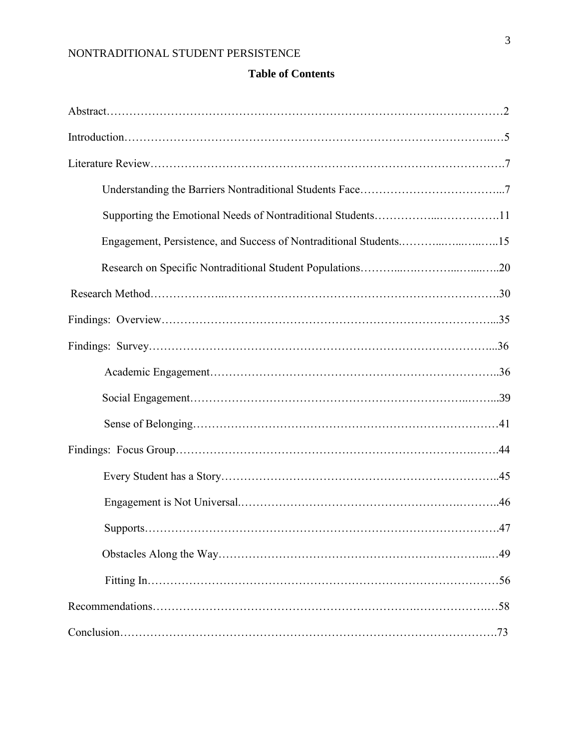# **Table of Contents**

| Supporting the Emotional Needs of Nontraditional Students11       |  |
|-------------------------------------------------------------------|--|
| Engagement, Persistence, and Success of Nontraditional Students15 |  |
|                                                                   |  |
|                                                                   |  |
|                                                                   |  |
|                                                                   |  |
|                                                                   |  |
|                                                                   |  |
|                                                                   |  |
|                                                                   |  |
|                                                                   |  |
|                                                                   |  |
|                                                                   |  |
|                                                                   |  |
|                                                                   |  |
|                                                                   |  |
|                                                                   |  |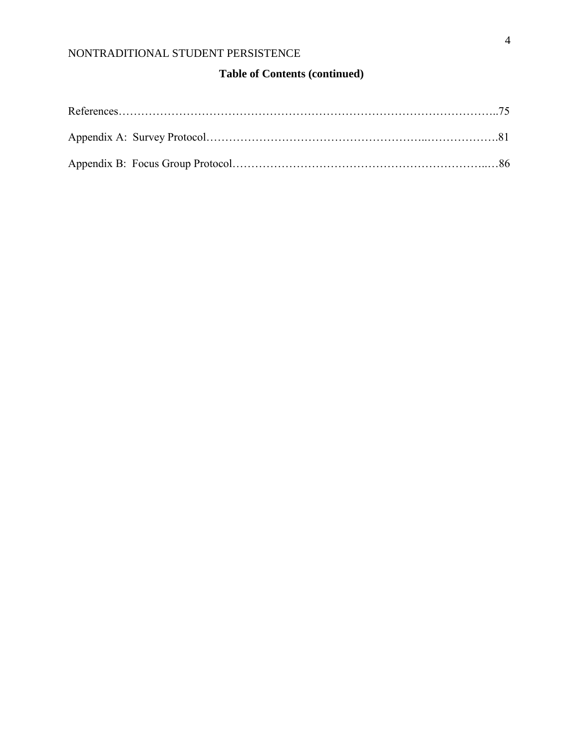# **Table of Contents (continued)**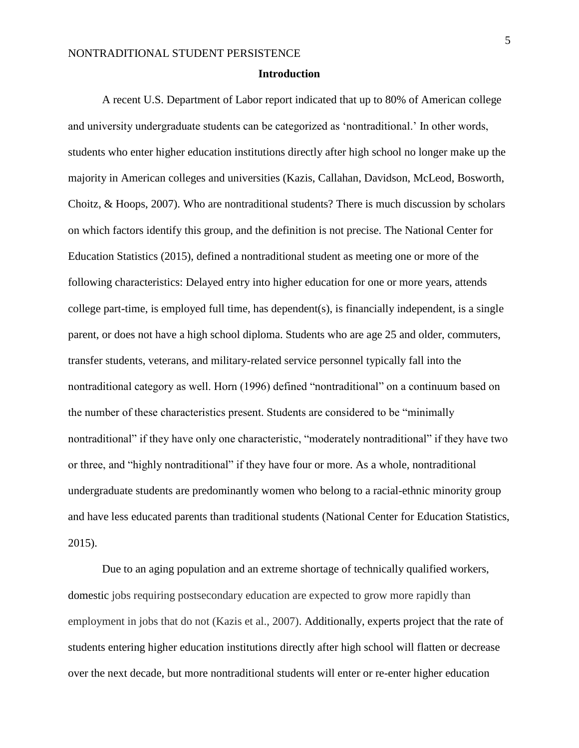#### **Introduction**

A recent U.S. Department of Labor report indicated that up to 80% of American college and university undergraduate students can be categorized as 'nontraditional.' In other words, students who enter higher education institutions directly after high school no longer make up the majority in American colleges and universities (Kazis, Callahan, Davidson, McLeod, Bosworth, Choitz,  $&$  Hoops, 2007). Who are nontraditional students? There is much discussion by scholars on which factors identify this group, and the definition is not precise. The National Center for Education Statistics (2015), defined a nontraditional student as meeting one or more of the following characteristics: Delayed entry into higher education for one or more years, attends college part-time, is employed full time, has dependent(s), is financially independent, is a single parent, or does not have a high school diploma. Students who are age 25 and older, commuters, transfer students, veterans, and military-related service personnel typically fall into the nontraditional category as well. Horn (1996) defined "nontraditional" on a continuum based on the number of these characteristics present. Students are considered to be "minimally nontraditional" if they have only one characteristic, "moderately nontraditional" if they have two or three, and "highly nontraditional" if they have four or more. As a whole, nontraditional undergraduate students are predominantly women who belong to a racial-ethnic minority group and have less educated parents than traditional students (National Center for Education Statistics, 2015).

Due to an aging population and an extreme shortage of technically qualified workers, domestic jobs requiring postsecondary education are expected to grow more rapidly than employment in jobs that do not (Kazis et al., 2007). Additionally, experts project that the rate of students entering higher education institutions directly after high school will flatten or decrease over the next decade, but more nontraditional students will enter or re-enter higher education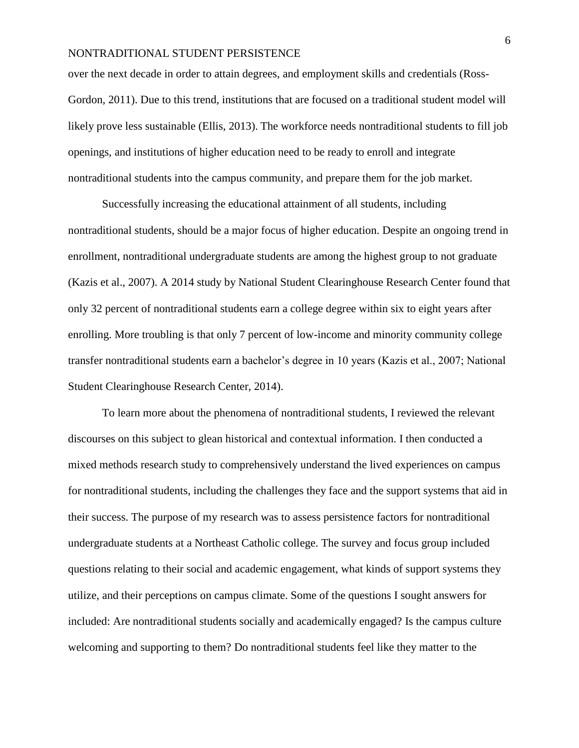over the next decade in order to attain degrees, and employment skills and credentials (Ross-Gordon, 2011). Due to this trend, institutions that are focused on a traditional student model will likely prove less sustainable (Ellis, 2013). The workforce needs nontraditional students to fill job openings, and institutions of higher education need to be ready to enroll and integrate nontraditional students into the campus community, and prepare them for the job market.

Successfully increasing the educational attainment of all students, including nontraditional students, should be a major focus of higher education. Despite an ongoing trend in enrollment, nontraditional undergraduate students are among the highest group to not graduate (Kazis et al., 2007). A 2014 study by National Student Clearinghouse Research Center found that only 32 percent of nontraditional students earn a college degree within six to eight years after enrolling. More troubling is that only 7 percent of low-income and minority community college transfer nontraditional students earn a bachelor's degree in 10 years (Kazis et al., 2007; National Student Clearinghouse Research Center, 2014).

To learn more about the phenomena of nontraditional students, I reviewed the relevant discourses on this subject to glean historical and contextual information. I then conducted a mixed methods research study to comprehensively understand the lived experiences on campus for nontraditional students, including the challenges they face and the support systems that aid in their success. The purpose of my research was to assess persistence factors for nontraditional undergraduate students at a Northeast Catholic college. The survey and focus group included questions relating to their social and academic engagement, what kinds of support systems they utilize, and their perceptions on campus climate. Some of the questions I sought answers for included: Are nontraditional students socially and academically engaged? Is the campus culture welcoming and supporting to them? Do nontraditional students feel like they matter to the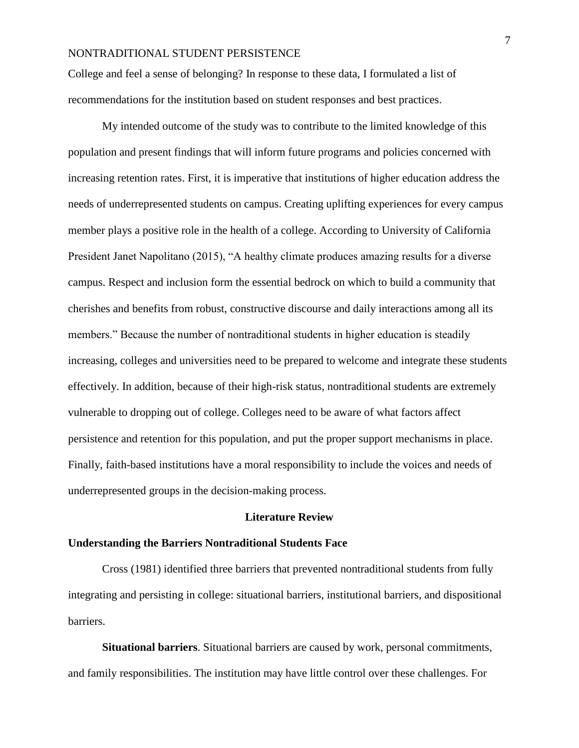College and feel a sense of belonging? In response to these data, I formulated a list of recommendations for the institution based on student responses and best practices.

My intended outcome of the study was to contribute to the limited knowledge of this population and present findings that will inform future programs and policies concerned with increasing retention rates. First, it is imperative that institutions of higher education address the needs of underrepresented students on campus. Creating uplifting experiences for every campus member plays a positive role in the health of a college. According to University of California President Janet Napolitano (2015), "A healthy climate produces amazing results for a diverse campus. Respect and inclusion form the essential bedrock on which to build a community that cherishes and benefits from robust, constructive discourse and daily interactions among all its members." Because the number of nontraditional students in higher education is steadily increasing, colleges and universities need to be prepared to welcome and integrate these students effectively. In addition, because of their high-risk status, nontraditional students are extremely vulnerable to dropping out of college. Colleges need to be aware of what factors affect persistence and retention for this population, and put the proper support mechanisms in place. Finally, faith-based institutions have a moral responsibility to include the voices and needs of underrepresented groups in the decision-making process.

#### **Literature Review**

#### **Understanding the Barriers Nontraditional Students Face**

Cross (1981) identified three barriers that prevented nontraditional students from fully integrating and persisting in college: situational barriers, institutional barriers, and dispositional barriers.

**Situational barriers**. Situational barriers are caused by work, personal commitments, and family responsibilities. The institution may have little control over these challenges. For

7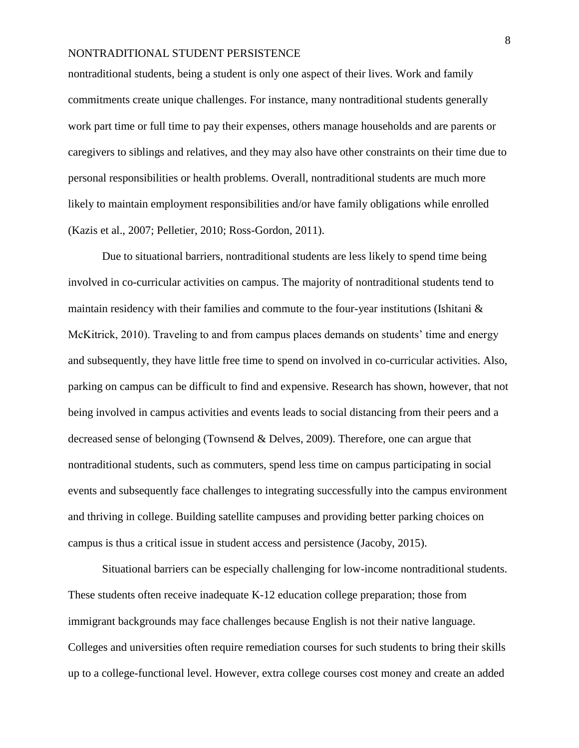nontraditional students, being a student is only one aspect of their lives. Work and family commitments create unique challenges. For instance, many nontraditional students generally work part time or full time to pay their expenses, others manage households and are parents or caregivers to siblings and relatives, and they may also have other constraints on their time due to personal responsibilities or health problems. Overall, nontraditional students are much more likely to maintain employment responsibilities and/or have family obligations while enrolled (Kazis et al., 2007; Pelletier, 2010; Ross-Gordon, 2011).

Due to situational barriers, nontraditional students are less likely to spend time being involved in co-curricular activities on campus. The majority of nontraditional students tend to maintain residency with their families and commute to the four-year institutions (Ishitani  $\&$ McKitrick, 2010). Traveling to and from campus places demands on students' time and energy and subsequently, they have little free time to spend on involved in co-curricular activities. Also, parking on campus can be difficult to find and expensive. Research has shown, however, that not being involved in campus activities and events leads to social distancing from their peers and a decreased sense of belonging (Townsend & Delves, 2009). Therefore, one can argue that nontraditional students, such as commuters, spend less time on campus participating in social events and subsequently face challenges to integrating successfully into the campus environment and thriving in college. Building satellite campuses and providing better parking choices on campus is thus a critical issue in student access and persistence (Jacoby, 2015).

Situational barriers can be especially challenging for low-income nontraditional students. These students often receive inadequate K-12 education college preparation; those from immigrant backgrounds may face challenges because English is not their native language. Colleges and universities often require remediation courses for such students to bring their skills up to a college-functional level. However, extra college courses cost money and create an added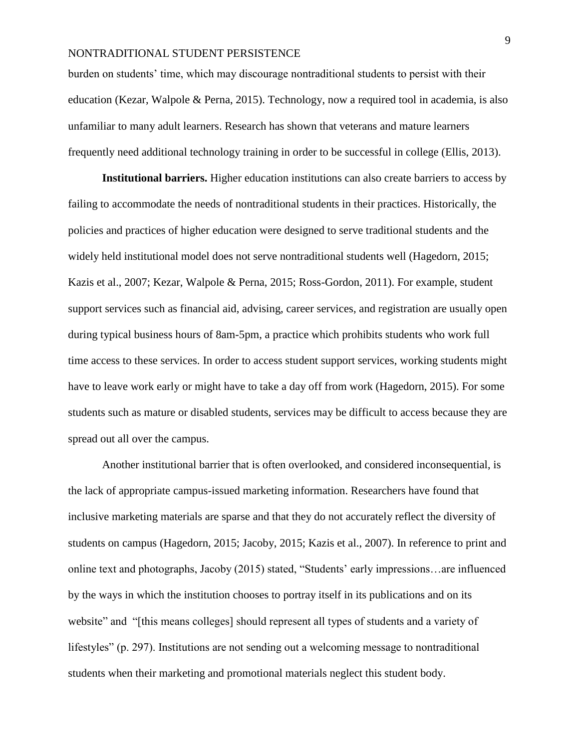burden on students' time, which may discourage nontraditional students to persist with their education (Kezar, Walpole & Perna, 2015). Technology, now a required tool in academia, is also unfamiliar to many adult learners. Research has shown that veterans and mature learners frequently need additional technology training in order to be successful in college (Ellis, 2013).

**Institutional barriers.** Higher education institutions can also create barriers to access by failing to accommodate the needs of nontraditional students in their practices. Historically, the policies and practices of higher education were designed to serve traditional students and the widely held institutional model does not serve nontraditional students well (Hagedorn, 2015; Kazis et al., 2007; Kezar, Walpole & Perna, 2015; Ross-Gordon, 2011). For example, student support services such as financial aid, advising, career services, and registration are usually open during typical business hours of 8am-5pm, a practice which prohibits students who work full time access to these services. In order to access student support services, working students might have to leave work early or might have to take a day off from work (Hagedorn, 2015). For some students such as mature or disabled students, services may be difficult to access because they are spread out all over the campus.

Another institutional barrier that is often overlooked, and considered inconsequential, is the lack of appropriate campus-issued marketing information. Researchers have found that inclusive marketing materials are sparse and that they do not accurately reflect the diversity of students on campus (Hagedorn, 2015; Jacoby, 2015; Kazis et al., 2007). In reference to print and online text and photographs, Jacoby (2015) stated, "Students' early impressions…are influenced by the ways in which the institution chooses to portray itself in its publications and on its website" and "[this means colleges] should represent all types of students and a variety of lifestyles" (p. 297). Institutions are not sending out a welcoming message to nontraditional students when their marketing and promotional materials neglect this student body.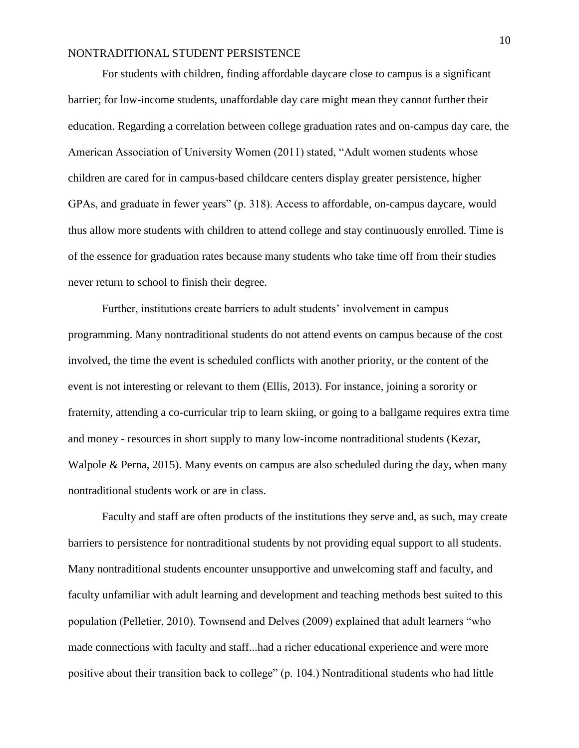For students with children, finding affordable daycare close to campus is a significant barrier; for low-income students, unaffordable day care might mean they cannot further their education. Regarding a correlation between college graduation rates and on-campus day care, the American Association of University Women (2011) stated, "Adult women students whose children are cared for in campus-based childcare centers display greater persistence, higher GPAs, and graduate in fewer years" (p. 318). Access to affordable, on-campus daycare, would thus allow more students with children to attend college and stay continuously enrolled. Time is of the essence for graduation rates because many students who take time off from their studies never return to school to finish their degree.

Further, institutions create barriers to adult students' involvement in campus programming. Many nontraditional students do not attend events on campus because of the cost involved, the time the event is scheduled conflicts with another priority, or the content of the event is not interesting or relevant to them (Ellis, 2013). For instance, joining a sorority or fraternity, attending a co-curricular trip to learn skiing, or going to a ballgame requires extra time and money - resources in short supply to many low-income nontraditional students (Kezar, Walpole & Perna, 2015). Many events on campus are also scheduled during the day, when many nontraditional students work or are in class.

Faculty and staff are often products of the institutions they serve and, as such, may create barriers to persistence for nontraditional students by not providing equal support to all students. Many nontraditional students encounter unsupportive and unwelcoming staff and faculty, and faculty unfamiliar with adult learning and development and teaching methods best suited to this population (Pelletier, 2010). Townsend and Delves (2009) explained that adult learners "who made connections with faculty and staff...had a richer educational experience and were more positive about their transition back to college" (p. 104.) Nontraditional students who had little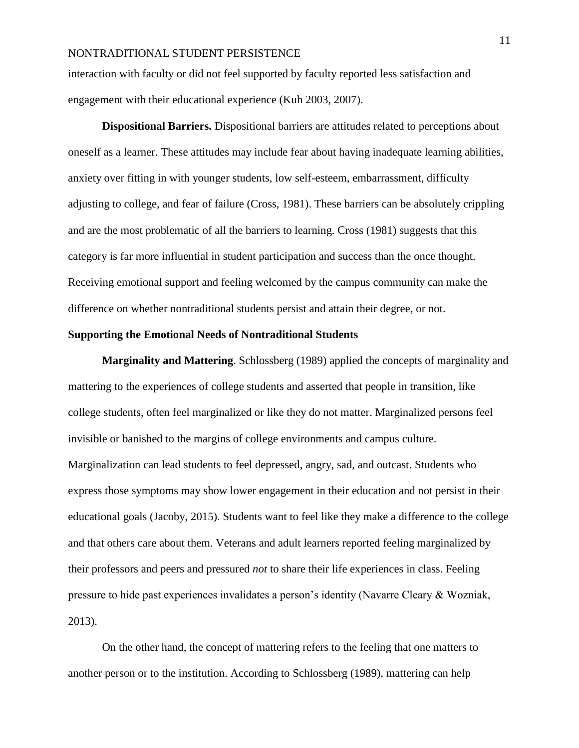interaction with faculty or did not feel supported by faculty reported less satisfaction and engagement with their educational experience (Kuh 2003, 2007).

**Dispositional Barriers.** Dispositional barriers are attitudes related to perceptions about oneself as a learner. These attitudes may include fear about having inadequate learning abilities, anxiety over fitting in with younger students, low self-esteem, embarrassment, difficulty adjusting to college, and fear of failure (Cross, 1981). These barriers can be absolutely crippling and are the most problematic of all the barriers to learning. Cross (1981) suggests that this category is far more influential in student participation and success than the once thought. Receiving emotional support and feeling welcomed by the campus community can make the difference on whether nontraditional students persist and attain their degree, or not.

## **Supporting the Emotional Needs of Nontraditional Students**

**Marginality and Mattering**. Schlossberg (1989) applied the concepts of marginality and mattering to the experiences of college students and asserted that people in transition, like college students, often feel marginalized or like they do not matter. Marginalized persons feel invisible or banished to the margins of college environments and campus culture. Marginalization can lead students to feel depressed, angry, sad, and outcast. Students who express those symptoms may show lower engagement in their education and not persist in their educational goals (Jacoby, 2015). Students want to feel like they make a difference to the college and that others care about them. Veterans and adult learners reported feeling marginalized by their professors and peers and pressured *not* to share their life experiences in class. Feeling pressure to hide past experiences invalidates a person's identity (Navarre Cleary & Wozniak, 2013).

On the other hand, the concept of mattering refers to the feeling that one matters to another person or to the institution. According to Schlossberg (1989), mattering can help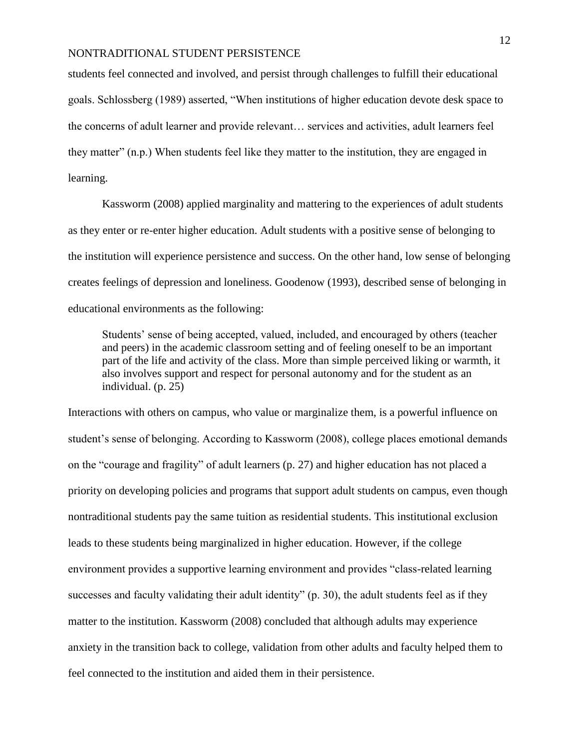students feel connected and involved, and persist through challenges to fulfill their educational goals. Schlossberg (1989) asserted, "When institutions of higher education devote desk space to the concerns of adult learner and provide relevant… services and activities, adult learners feel they matter" (n.p.) When students feel like they matter to the institution, they are engaged in learning.

Kassworm (2008) applied marginality and mattering to the experiences of adult students as they enter or re-enter higher education. Adult students with a positive sense of belonging to the institution will experience persistence and success. On the other hand, low sense of belonging creates feelings of depression and loneliness. Goodenow (1993), described sense of belonging in educational environments as the following:

Students' sense of being accepted, valued, included, and encouraged by others (teacher and peers) in the academic classroom setting and of feeling oneself to be an important part of the life and activity of the class. More than simple perceived liking or warmth, it also involves support and respect for personal autonomy and for the student as an individual. (p. 25)

Interactions with others on campus, who value or marginalize them, is a powerful influence on student's sense of belonging. According to Kassworm (2008), college places emotional demands on the "courage and fragility" of adult learners (p. 27) and higher education has not placed a priority on developing policies and programs that support adult students on campus, even though nontraditional students pay the same tuition as residential students. This institutional exclusion leads to these students being marginalized in higher education. However, if the college environment provides a supportive learning environment and provides "class-related learning successes and faculty validating their adult identity" (p. 30), the adult students feel as if they matter to the institution. Kassworm (2008) concluded that although adults may experience anxiety in the transition back to college, validation from other adults and faculty helped them to feel connected to the institution and aided them in their persistence.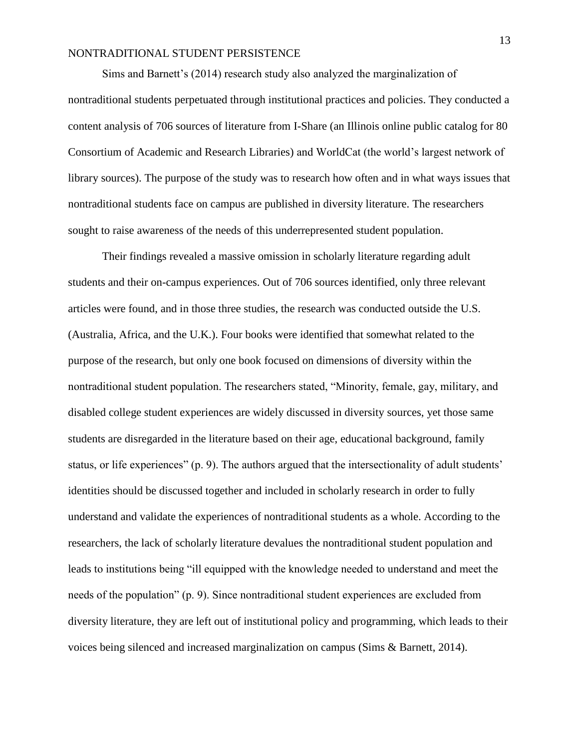Sims and Barnett's (2014) research study also analyzed the marginalization of nontraditional students perpetuated through institutional practices and policies. They conducted a content analysis of 706 sources of literature from I-Share (an Illinois online public catalog for 80 Consortium of Academic and Research Libraries) and WorldCat (the world's largest network of library sources). The purpose of the study was to research how often and in what ways issues that nontraditional students face on campus are published in diversity literature. The researchers sought to raise awareness of the needs of this underrepresented student population.

Their findings revealed a massive omission in scholarly literature regarding adult students and their on-campus experiences. Out of 706 sources identified, only three relevant articles were found, and in those three studies, the research was conducted outside the U.S. (Australia, Africa, and the U.K.). Four books were identified that somewhat related to the purpose of the research, but only one book focused on dimensions of diversity within the nontraditional student population. The researchers stated, "Minority, female, gay, military, and disabled college student experiences are widely discussed in diversity sources, yet those same students are disregarded in the literature based on their age, educational background, family status, or life experiences" (p. 9). The authors argued that the intersectionality of adult students' identities should be discussed together and included in scholarly research in order to fully understand and validate the experiences of nontraditional students as a whole. According to the researchers, the lack of scholarly literature devalues the nontraditional student population and leads to institutions being "ill equipped with the knowledge needed to understand and meet the needs of the population" (p. 9). Since nontraditional student experiences are excluded from diversity literature, they are left out of institutional policy and programming, which leads to their voices being silenced and increased marginalization on campus (Sims & Barnett, 2014).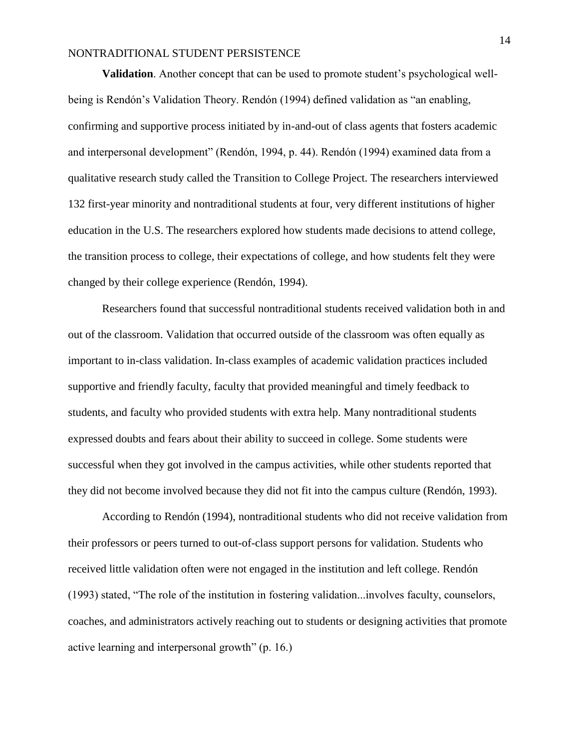**Validation**. Another concept that can be used to promote student's psychological wellbeing is Rendón's Validation Theory. Rendón (1994) defined validation as "an enabling, confirming and supportive process initiated by in-and-out of class agents that fosters academic and interpersonal development" (Rendón, 1994, p. 44). Rendón (1994) examined data from a qualitative research study called the Transition to College Project. The researchers interviewed 132 first-year minority and nontraditional students at four, very different institutions of higher education in the U.S. The researchers explored how students made decisions to attend college, the transition process to college, their expectations of college, and how students felt they were changed by their college experience (Rendón, 1994).

Researchers found that successful nontraditional students received validation both in and out of the classroom. Validation that occurred outside of the classroom was often equally as important to in-class validation. In-class examples of academic validation practices included supportive and friendly faculty, faculty that provided meaningful and timely feedback to students, and faculty who provided students with extra help. Many nontraditional students expressed doubts and fears about their ability to succeed in college. Some students were successful when they got involved in the campus activities, while other students reported that they did not become involved because they did not fit into the campus culture (Rendón, 1993).

According to Rendón (1994), nontraditional students who did not receive validation from their professors or peers turned to out-of-class support persons for validation. Students who received little validation often were not engaged in the institution and left college. Rendón (1993) stated, "The role of the institution in fostering validation...involves faculty, counselors, coaches, and administrators actively reaching out to students or designing activities that promote active learning and interpersonal growth" (p. 16.)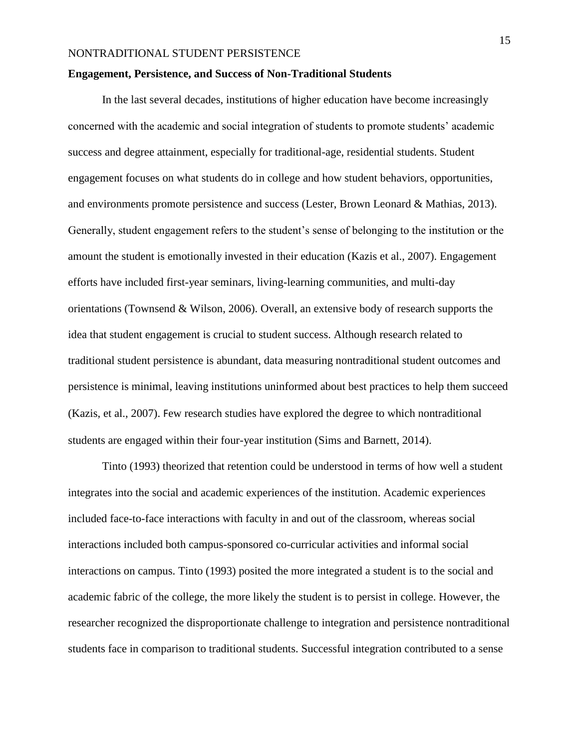#### **Engagement, Persistence, and Success of Non-Traditional Students**

In the last several decades, institutions of higher education have become increasingly concerned with the academic and social integration of students to promote students' academic success and degree attainment, especially for traditional-age, residential students. Student engagement focuses on what students do in college and how student behaviors, opportunities, and environments promote persistence and success (Lester, Brown Leonard & Mathias, 2013). Generally, student engagement refers to the student's sense of belonging to the institution or the amount the student is emotionally invested in their education (Kazis et al., 2007). Engagement efforts have included first-year seminars, living-learning communities, and multi-day orientations (Townsend & Wilson, 2006). Overall, an extensive body of research supports the idea that student engagement is crucial to student success. Although research related to traditional student persistence is abundant, data measuring nontraditional student outcomes and persistence is minimal, leaving institutions uninformed about best practices to help them succeed (Kazis, et al., 2007). Few research studies have explored the degree to which nontraditional students are engaged within their four-year institution (Sims and Barnett, 2014).

Tinto (1993) theorized that retention could be understood in terms of how well a student integrates into the social and academic experiences of the institution. Academic experiences included face-to-face interactions with faculty in and out of the classroom, whereas social interactions included both campus-sponsored co-curricular activities and informal social interactions on campus. Tinto (1993) posited the more integrated a student is to the social and academic fabric of the college, the more likely the student is to persist in college. However, the researcher recognized the disproportionate challenge to integration and persistence nontraditional students face in comparison to traditional students. Successful integration contributed to a sense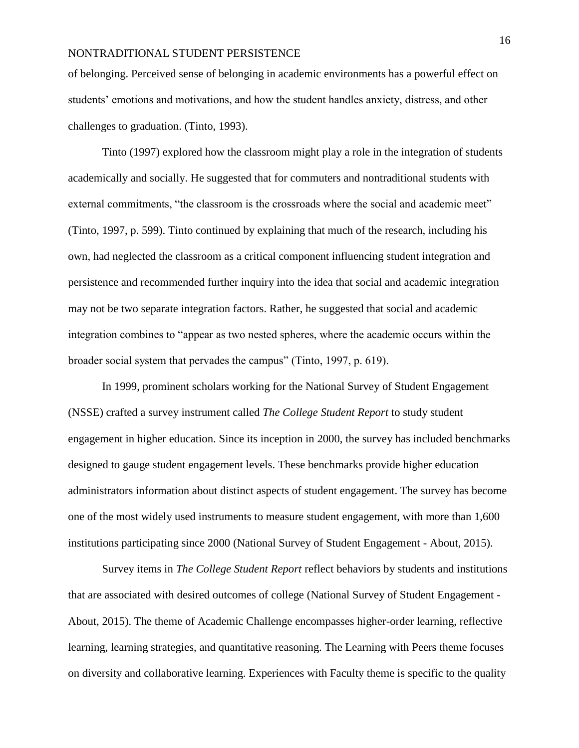of belonging. Perceived sense of belonging in academic environments has a powerful effect on students' emotions and motivations, and how the student handles anxiety, distress, and other challenges to graduation. (Tinto, 1993).

Tinto (1997) explored how the classroom might play a role in the integration of students academically and socially. He suggested that for commuters and nontraditional students with external commitments, "the classroom is the crossroads where the social and academic meet" (Tinto, 1997, p. 599). Tinto continued by explaining that much of the research, including his own, had neglected the classroom as a critical component influencing student integration and persistence and recommended further inquiry into the idea that social and academic integration may not be two separate integration factors. Rather, he suggested that social and academic integration combines to "appear as two nested spheres, where the academic occurs within the broader social system that pervades the campus" (Tinto, 1997, p. 619).

In 1999, prominent scholars working for the National Survey of Student Engagement (NSSE) crafted a survey instrument called *The College Student Report* to study student engagement in higher education. Since its inception in 2000, the survey has included benchmarks designed to gauge student engagement levels. These benchmarks provide higher education administrators information about distinct aspects of student engagement. The survey has become one of the most widely used instruments to measure student engagement, with more than 1,600 institutions participating since 2000 (National Survey of Student Engagement - About, 2015).

Survey items in *The College Student Report* reflect behaviors by students and institutions that are associated with desired outcomes of college (National Survey of Student Engagement - About, 2015). The theme of Academic Challenge encompasses higher-order learning, reflective learning, learning strategies, and quantitative reasoning. The Learning with Peers theme focuses on diversity and collaborative learning. Experiences with Faculty theme is specific to the quality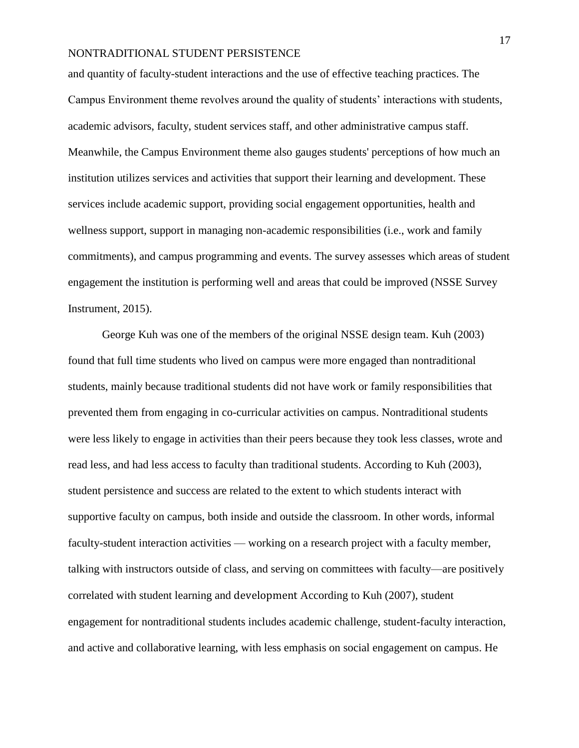and quantity of faculty-student interactions and the use of effective teaching practices. The Campus Environment theme revolves around the quality of students' interactions with students, academic advisors, faculty, student services staff, and other administrative campus staff. Meanwhile, the Campus Environment theme also gauges students' perceptions of how much an institution utilizes services and activities that support their learning and development. These services include academic support, providing social engagement opportunities, health and wellness support, support in managing non-academic responsibilities (i.e., work and family commitments), and campus programming and events. The survey assesses which areas of student engagement the institution is performing well and areas that could be improved (NSSE Survey Instrument, 2015).

George Kuh was one of the members of the original NSSE design team. Kuh (2003) found that full time students who lived on campus were more engaged than nontraditional students, mainly because traditional students did not have work or family responsibilities that prevented them from engaging in co-curricular activities on campus. Nontraditional students were less likely to engage in activities than their peers because they took less classes, wrote and read less, and had less access to faculty than traditional students. According to Kuh (2003), student persistence and success are related to the extent to which students interact with supportive faculty on campus, both inside and outside the classroom. In other words, informal faculty-student interaction activities — working on a research project with a faculty member, talking with instructors outside of class, and serving on committees with faculty—are positively correlated with student learning and development According to Kuh (2007), student engagement for nontraditional students includes academic challenge, student-faculty interaction, and active and collaborative learning, with less emphasis on social engagement on campus. He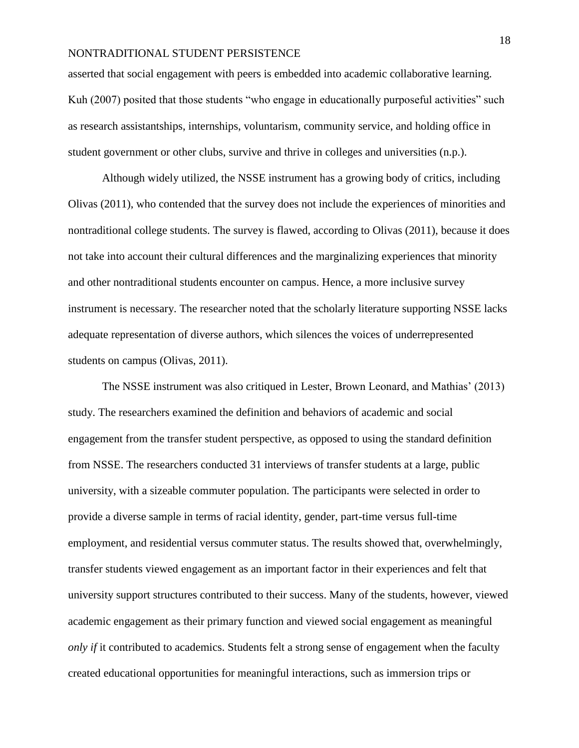asserted that social engagement with peers is embedded into academic collaborative learning. Kuh (2007) posited that those students "who engage in educationally purposeful activities" such as research assistantships, internships, voluntarism, community service, and holding office in student government or other clubs, survive and thrive in colleges and universities (n.p.).

Although widely utilized, the NSSE instrument has a growing body of critics, including Olivas (2011), who contended that the survey does not include the experiences of minorities and nontraditional college students. The survey is flawed, according to Olivas (2011), because it does not take into account their cultural differences and the marginalizing experiences that minority and other nontraditional students encounter on campus. Hence, a more inclusive survey instrument is necessary. The researcher noted that the scholarly literature supporting NSSE lacks adequate representation of diverse authors, which silences the voices of underrepresented students on campus (Olivas, 2011).

The NSSE instrument was also critiqued in Lester, Brown Leonard, and Mathias' (2013) study. The researchers examined the definition and behaviors of academic and social engagement from the transfer student perspective, as opposed to using the standard definition from NSSE. The researchers conducted 31 interviews of transfer students at a large, public university, with a sizeable commuter population. The participants were selected in order to provide a diverse sample in terms of racial identity, gender, part-time versus full-time employment, and residential versus commuter status. The results showed that, overwhelmingly, transfer students viewed engagement as an important factor in their experiences and felt that university support structures contributed to their success. Many of the students, however, viewed academic engagement as their primary function and viewed social engagement as meaningful *only if* it contributed to academics. Students felt a strong sense of engagement when the faculty created educational opportunities for meaningful interactions, such as immersion trips or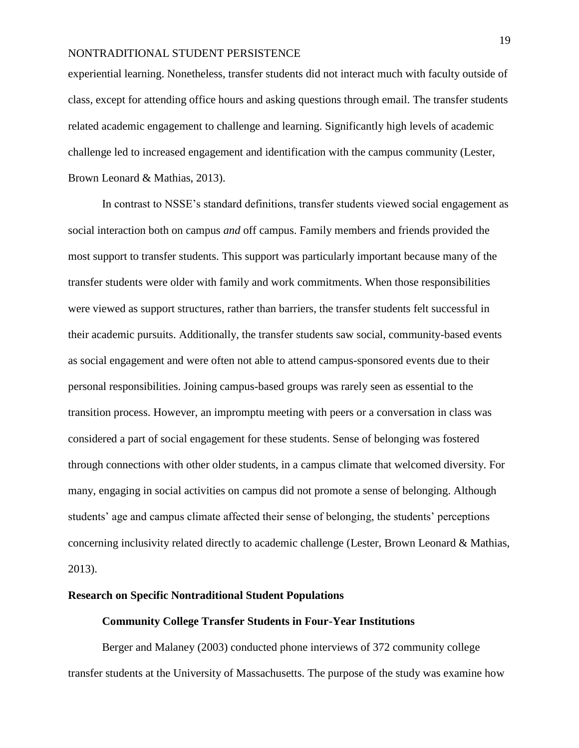experiential learning. Nonetheless, transfer students did not interact much with faculty outside of class, except for attending office hours and asking questions through email. The transfer students related academic engagement to challenge and learning. Significantly high levels of academic challenge led to increased engagement and identification with the campus community (Lester, Brown Leonard & Mathias, 2013).

In contrast to NSSE's standard definitions, transfer students viewed social engagement as social interaction both on campus *and* off campus. Family members and friends provided the most support to transfer students. This support was particularly important because many of the transfer students were older with family and work commitments. When those responsibilities were viewed as support structures, rather than barriers, the transfer students felt successful in their academic pursuits. Additionally, the transfer students saw social, community-based events as social engagement and were often not able to attend campus-sponsored events due to their personal responsibilities. Joining campus-based groups was rarely seen as essential to the transition process. However, an impromptu meeting with peers or a conversation in class was considered a part of social engagement for these students. Sense of belonging was fostered through connections with other older students, in a campus climate that welcomed diversity. For many, engaging in social activities on campus did not promote a sense of belonging. Although students' age and campus climate affected their sense of belonging, the students' perceptions concerning inclusivity related directly to academic challenge (Lester, Brown Leonard & Mathias, 2013).

#### **Research on Specific Nontraditional Student Populations**

#### **Community College Transfer Students in Four-Year Institutions**

Berger and Malaney (2003) conducted phone interviews of 372 community college transfer students at the University of Massachusetts. The purpose of the study was examine how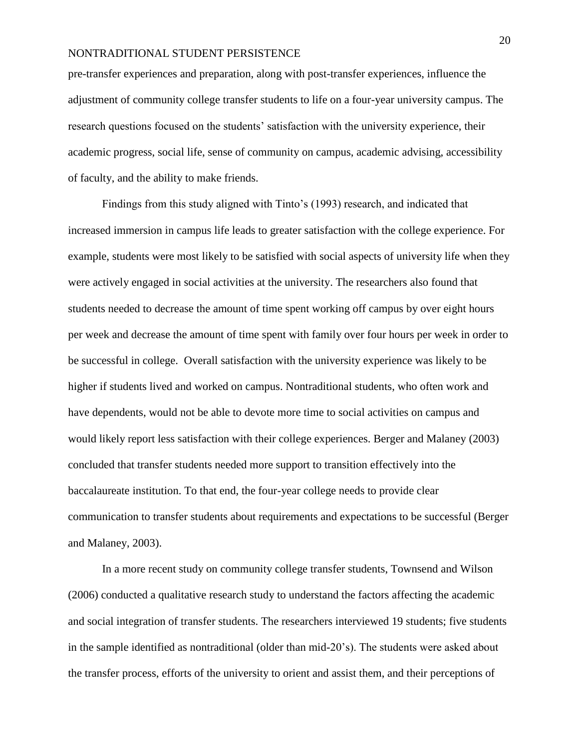pre-transfer experiences and preparation, along with post-transfer experiences, influence the adjustment of community college transfer students to life on a four-year university campus. The research questions focused on the students' satisfaction with the university experience, their academic progress, social life, sense of community on campus, academic advising, accessibility of faculty, and the ability to make friends.

Findings from this study aligned with Tinto's (1993) research, and indicated that increased immersion in campus life leads to greater satisfaction with the college experience. For example, students were most likely to be satisfied with social aspects of university life when they were actively engaged in social activities at the university. The researchers also found that students needed to decrease the amount of time spent working off campus by over eight hours per week and decrease the amount of time spent with family over four hours per week in order to be successful in college. Overall satisfaction with the university experience was likely to be higher if students lived and worked on campus. Nontraditional students, who often work and have dependents, would not be able to devote more time to social activities on campus and would likely report less satisfaction with their college experiences. Berger and Malaney (2003) concluded that transfer students needed more support to transition effectively into the baccalaureate institution. To that end, the four-year college needs to provide clear communication to transfer students about requirements and expectations to be successful (Berger and Malaney, 2003).

In a more recent study on community college transfer students, Townsend and Wilson (2006) conducted a qualitative research study to understand the factors affecting the academic and social integration of transfer students. The researchers interviewed 19 students; five students in the sample identified as nontraditional (older than mid-20's). The students were asked about the transfer process, efforts of the university to orient and assist them, and their perceptions of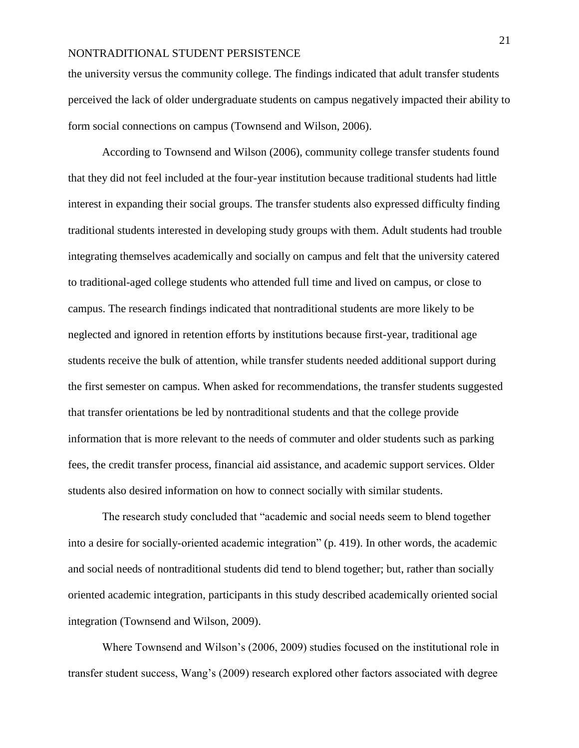the university versus the community college. The findings indicated that adult transfer students perceived the lack of older undergraduate students on campus negatively impacted their ability to form social connections on campus (Townsend and Wilson, 2006).

According to Townsend and Wilson (2006), community college transfer students found that they did not feel included at the four-year institution because traditional students had little interest in expanding their social groups. The transfer students also expressed difficulty finding traditional students interested in developing study groups with them. Adult students had trouble integrating themselves academically and socially on campus and felt that the university catered to traditional-aged college students who attended full time and lived on campus, or close to campus. The research findings indicated that nontraditional students are more likely to be neglected and ignored in retention efforts by institutions because first-year, traditional age students receive the bulk of attention, while transfer students needed additional support during the first semester on campus. When asked for recommendations, the transfer students suggested that transfer orientations be led by nontraditional students and that the college provide information that is more relevant to the needs of commuter and older students such as parking fees, the credit transfer process, financial aid assistance, and academic support services. Older students also desired information on how to connect socially with similar students.

The research study concluded that "academic and social needs seem to blend together into a desire for socially-oriented academic integration" (p. 419). In other words, the academic and social needs of nontraditional students did tend to blend together; but, rather than socially oriented academic integration, participants in this study described academically oriented social integration (Townsend and Wilson, 2009).

Where Townsend and Wilson's (2006, 2009) studies focused on the institutional role in transfer student success, Wang's (2009) research explored other factors associated with degree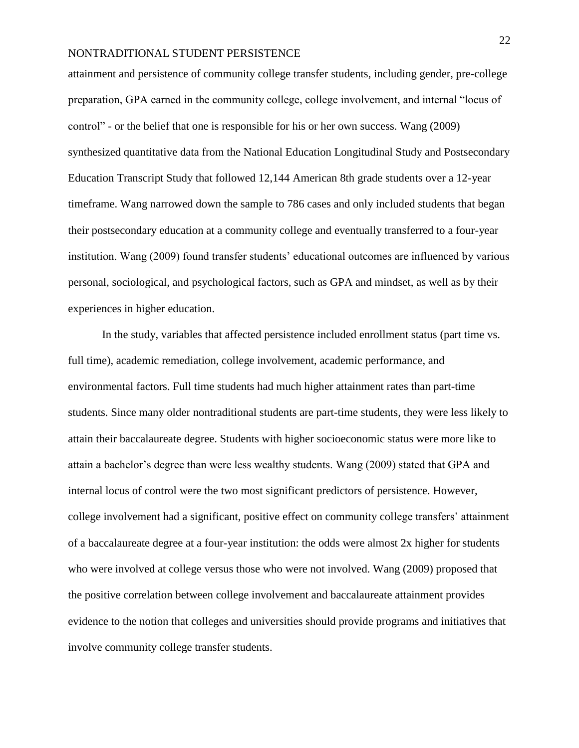attainment and persistence of community college transfer students, including gender, pre-college preparation, GPA earned in the community college, college involvement, and internal "locus of control" - or the belief that one is responsible for his or her own success. Wang (2009) synthesized quantitative data from the National Education Longitudinal Study and Postsecondary Education Transcript Study that followed 12,144 American 8th grade students over a 12-year timeframe. Wang narrowed down the sample to 786 cases and only included students that began their postsecondary education at a community college and eventually transferred to a four-year institution. Wang (2009) found transfer students' educational outcomes are influenced by various personal, sociological, and psychological factors, such as GPA and mindset, as well as by their experiences in higher education.

In the study, variables that affected persistence included enrollment status (part time vs. full time), academic remediation, college involvement, academic performance, and environmental factors. Full time students had much higher attainment rates than part-time students. Since many older nontraditional students are part-time students, they were less likely to attain their baccalaureate degree. Students with higher socioeconomic status were more like to attain a bachelor's degree than were less wealthy students. Wang (2009) stated that GPA and internal locus of control were the two most significant predictors of persistence. However, college involvement had a significant, positive effect on community college transfers' attainment of a baccalaureate degree at a four-year institution: the odds were almost 2x higher for students who were involved at college versus those who were not involved. Wang (2009) proposed that the positive correlation between college involvement and baccalaureate attainment provides evidence to the notion that colleges and universities should provide programs and initiatives that involve community college transfer students.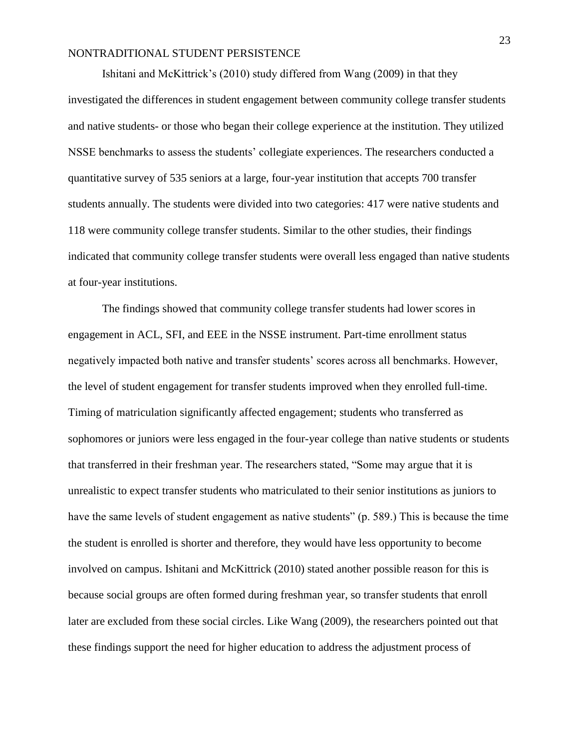Ishitani and McKittrick's (2010) study differed from Wang (2009) in that they investigated the differences in student engagement between community college transfer students and native students- or those who began their college experience at the institution. They utilized NSSE benchmarks to assess the students' collegiate experiences. The researchers conducted a quantitative survey of 535 seniors at a large, four-year institution that accepts 700 transfer students annually. The students were divided into two categories: 417 were native students and 118 were community college transfer students. Similar to the other studies, their findings indicated that community college transfer students were overall less engaged than native students at four-year institutions.

The findings showed that community college transfer students had lower scores in engagement in ACL, SFI, and EEE in the NSSE instrument. Part-time enrollment status negatively impacted both native and transfer students' scores across all benchmarks. However, the level of student engagement for transfer students improved when they enrolled full-time. Timing of matriculation significantly affected engagement; students who transferred as sophomores or juniors were less engaged in the four-year college than native students or students that transferred in their freshman year. The researchers stated, "Some may argue that it is unrealistic to expect transfer students who matriculated to their senior institutions as juniors to have the same levels of student engagement as native students" (p. 589.) This is because the time the student is enrolled is shorter and therefore, they would have less opportunity to become involved on campus. Ishitani and McKittrick (2010) stated another possible reason for this is because social groups are often formed during freshman year, so transfer students that enroll later are excluded from these social circles. Like Wang (2009), the researchers pointed out that these findings support the need for higher education to address the adjustment process of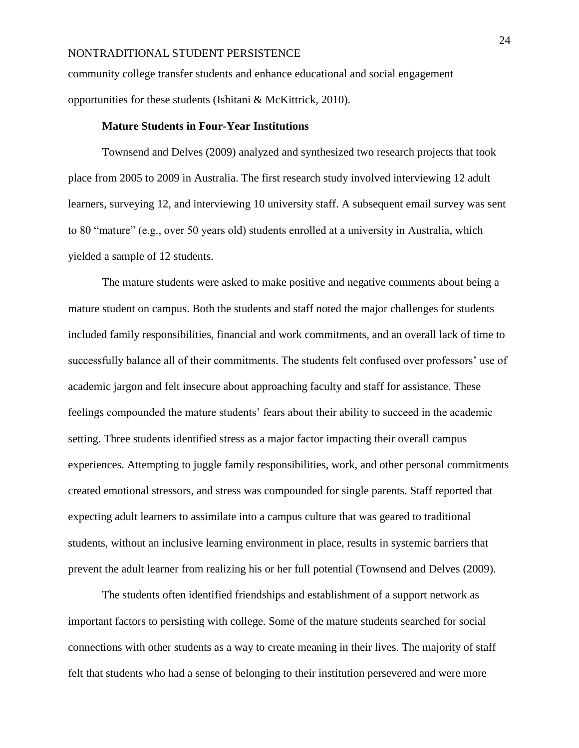community college transfer students and enhance educational and social engagement opportunities for these students (Ishitani & McKittrick, 2010).

## **Mature Students in Four-Year Institutions**

Townsend and Delves (2009) analyzed and synthesized two research projects that took place from 2005 to 2009 in Australia. The first research study involved interviewing 12 adult learners, surveying 12, and interviewing 10 university staff. A subsequent email survey was sent to 80 "mature" (e.g., over 50 years old) students enrolled at a university in Australia, which yielded a sample of 12 students.

The mature students were asked to make positive and negative comments about being a mature student on campus. Both the students and staff noted the major challenges for students included family responsibilities, financial and work commitments, and an overall lack of time to successfully balance all of their commitments. The students felt confused over professors' use of academic jargon and felt insecure about approaching faculty and staff for assistance. These feelings compounded the mature students' fears about their ability to succeed in the academic setting. Three students identified stress as a major factor impacting their overall campus experiences. Attempting to juggle family responsibilities, work, and other personal commitments created emotional stressors, and stress was compounded for single parents. Staff reported that expecting adult learners to assimilate into a campus culture that was geared to traditional students, without an inclusive learning environment in place, results in systemic barriers that prevent the adult learner from realizing his or her full potential (Townsend and Delves (2009).

The students often identified friendships and establishment of a support network as important factors to persisting with college. Some of the mature students searched for social connections with other students as a way to create meaning in their lives. The majority of staff felt that students who had a sense of belonging to their institution persevered and were more

24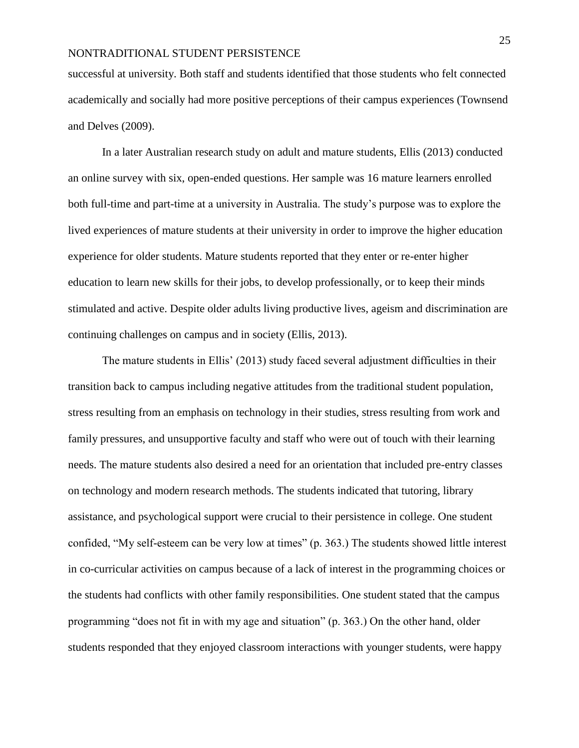successful at university. Both staff and students identified that those students who felt connected academically and socially had more positive perceptions of their campus experiences (Townsend and Delves (2009).

In a later Australian research study on adult and mature students, Ellis (2013) conducted an online survey with six, open-ended questions. Her sample was 16 mature learners enrolled both full-time and part-time at a university in Australia. The study's purpose was to explore the lived experiences of mature students at their university in order to improve the higher education experience for older students. Mature students reported that they enter or re-enter higher education to learn new skills for their jobs, to develop professionally, or to keep their minds stimulated and active. Despite older adults living productive lives, ageism and discrimination are continuing challenges on campus and in society (Ellis, 2013).

The mature students in Ellis' (2013) study faced several adjustment difficulties in their transition back to campus including negative attitudes from the traditional student population, stress resulting from an emphasis on technology in their studies, stress resulting from work and family pressures, and unsupportive faculty and staff who were out of touch with their learning needs. The mature students also desired a need for an orientation that included pre-entry classes on technology and modern research methods. The students indicated that tutoring, library assistance, and psychological support were crucial to their persistence in college. One student confided, "My self-esteem can be very low at times" (p. 363.) The students showed little interest in co-curricular activities on campus because of a lack of interest in the programming choices or the students had conflicts with other family responsibilities. One student stated that the campus programming "does not fit in with my age and situation" (p. 363.) On the other hand, older students responded that they enjoyed classroom interactions with younger students, were happy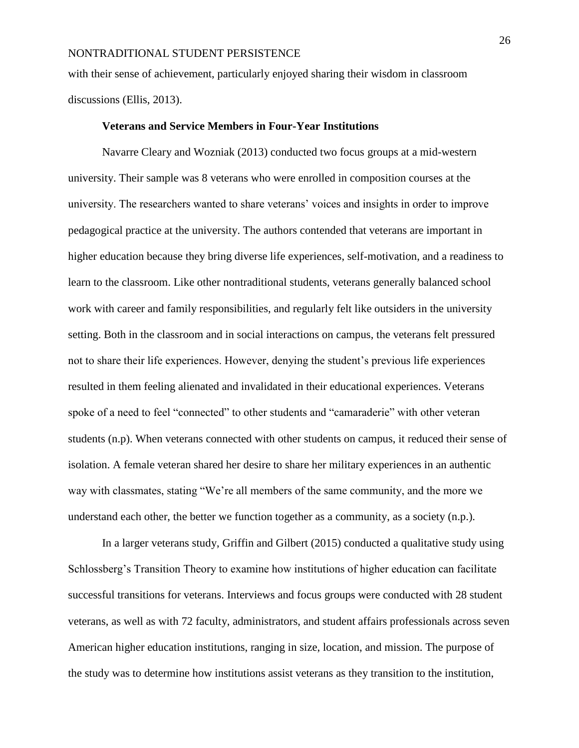with their sense of achievement, particularly enjoyed sharing their wisdom in classroom discussions (Ellis, 2013).

## **Veterans and Service Members in Four-Year Institutions**

Navarre Cleary and Wozniak (2013) conducted two focus groups at a mid-western university. Their sample was 8 veterans who were enrolled in composition courses at the university. The researchers wanted to share veterans' voices and insights in order to improve pedagogical practice at the university. The authors contended that veterans are important in higher education because they bring diverse life experiences, self-motivation, and a readiness to learn to the classroom. Like other nontraditional students, veterans generally balanced school work with career and family responsibilities, and regularly felt like outsiders in the university setting. Both in the classroom and in social interactions on campus, the veterans felt pressured not to share their life experiences. However, denying the student's previous life experiences resulted in them feeling alienated and invalidated in their educational experiences. Veterans spoke of a need to feel "connected" to other students and "camaraderie" with other veteran students (n.p). When veterans connected with other students on campus, it reduced their sense of isolation. A female veteran shared her desire to share her military experiences in an authentic way with classmates, stating "We're all members of the same community, and the more we understand each other, the better we function together as a community, as a society (n.p.).

In a larger veterans study, Griffin and Gilbert (2015) conducted a qualitative study using Schlossberg's Transition Theory to examine how institutions of higher education can facilitate successful transitions for veterans. Interviews and focus groups were conducted with 28 student veterans, as well as with 72 faculty, administrators, and student affairs professionals across seven American higher education institutions, ranging in size, location, and mission. The purpose of the study was to determine how institutions assist veterans as they transition to the institution,

26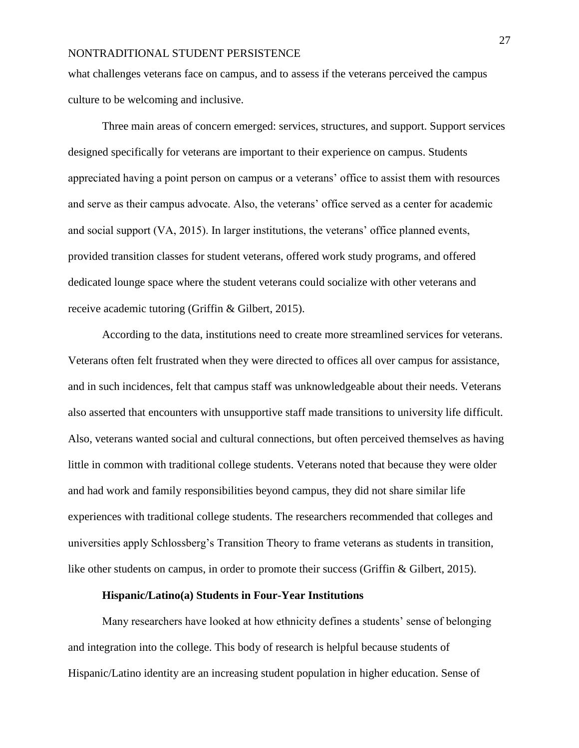what challenges veterans face on campus, and to assess if the veterans perceived the campus culture to be welcoming and inclusive.

Three main areas of concern emerged: services, structures, and support. Support services designed specifically for veterans are important to their experience on campus. Students appreciated having a point person on campus or a veterans' office to assist them with resources and serve as their campus advocate. Also, the veterans' office served as a center for academic and social support (VA, 2015). In larger institutions, the veterans' office planned events, provided transition classes for student veterans, offered work study programs, and offered dedicated lounge space where the student veterans could socialize with other veterans and receive academic tutoring (Griffin & Gilbert, 2015).

According to the data, institutions need to create more streamlined services for veterans. Veterans often felt frustrated when they were directed to offices all over campus for assistance, and in such incidences, felt that campus staff was unknowledgeable about their needs. Veterans also asserted that encounters with unsupportive staff made transitions to university life difficult. Also, veterans wanted social and cultural connections, but often perceived themselves as having little in common with traditional college students. Veterans noted that because they were older and had work and family responsibilities beyond campus, they did not share similar life experiences with traditional college students. The researchers recommended that colleges and universities apply Schlossberg's Transition Theory to frame veterans as students in transition, like other students on campus, in order to promote their success (Griffin & Gilbert, 2015).

## **Hispanic/Latino(a) Students in Four-Year Institutions**

Many researchers have looked at how ethnicity defines a students' sense of belonging and integration into the college. This body of research is helpful because students of Hispanic/Latino identity are an increasing student population in higher education. Sense of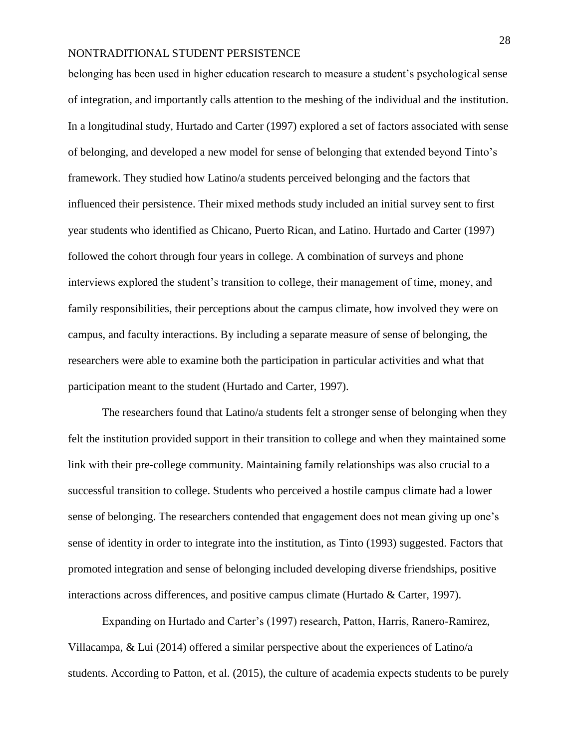belonging has been used in higher education research to measure a student's psychological sense of integration, and importantly calls attention to the meshing of the individual and the institution. In a longitudinal study, Hurtado and Carter (1997) explored a set of factors associated with sense of belonging, and developed a new model for sense of belonging that extended beyond Tinto's framework. They studied how Latino/a students perceived belonging and the factors that influenced their persistence. Their mixed methods study included an initial survey sent to first year students who identified as Chicano, Puerto Rican, and Latino. Hurtado and Carter (1997) followed the cohort through four years in college. A combination of surveys and phone interviews explored the student's transition to college, their management of time, money, and family responsibilities, their perceptions about the campus climate, how involved they were on campus, and faculty interactions. By including a separate measure of sense of belonging, the researchers were able to examine both the participation in particular activities and what that participation meant to the student (Hurtado and Carter, 1997).

The researchers found that Latino/a students felt a stronger sense of belonging when they felt the institution provided support in their transition to college and when they maintained some link with their pre-college community. Maintaining family relationships was also crucial to a successful transition to college. Students who perceived a hostile campus climate had a lower sense of belonging. The researchers contended that engagement does not mean giving up one's sense of identity in order to integrate into the institution, as Tinto (1993) suggested. Factors that promoted integration and sense of belonging included developing diverse friendships, positive interactions across differences, and positive campus climate (Hurtado & Carter, 1997).

Expanding on Hurtado and Carter's (1997) research, Patton, Harris, Ranero-Ramirez, Villacampa, & Lui (2014) offered a similar perspective about the experiences of Latino/a students. According to Patton, et al. (2015), the culture of academia expects students to be purely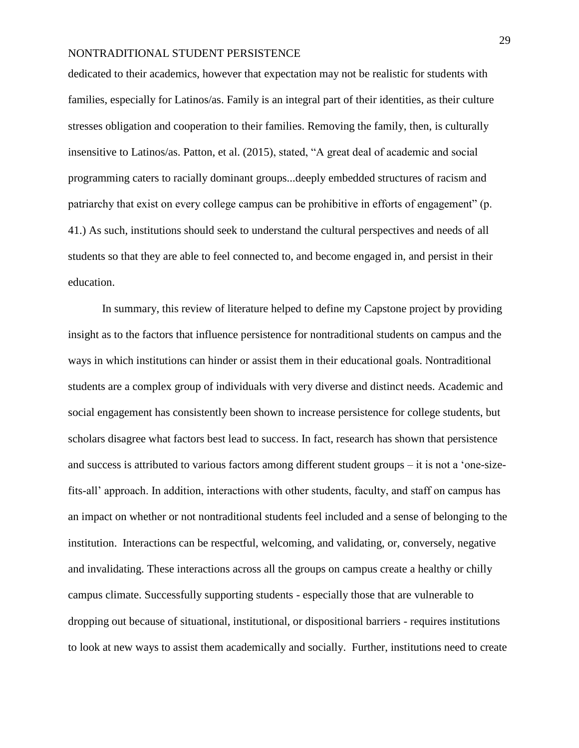dedicated to their academics, however that expectation may not be realistic for students with families, especially for Latinos/as. Family is an integral part of their identities, as their culture stresses obligation and cooperation to their families. Removing the family, then, is culturally insensitive to Latinos/as. Patton, et al. (2015), stated, "A great deal of academic and social programming caters to racially dominant groups...deeply embedded structures of racism and patriarchy that exist on every college campus can be prohibitive in efforts of engagement" (p. 41.) As such, institutions should seek to understand the cultural perspectives and needs of all students so that they are able to feel connected to, and become engaged in, and persist in their education.

In summary, this review of literature helped to define my Capstone project by providing insight as to the factors that influence persistence for nontraditional students on campus and the ways in which institutions can hinder or assist them in their educational goals. Nontraditional students are a complex group of individuals with very diverse and distinct needs. Academic and social engagement has consistently been shown to increase persistence for college students, but scholars disagree what factors best lead to success. In fact, research has shown that persistence and success is attributed to various factors among different student groups – it is not a 'one-sizefits-all' approach. In addition, interactions with other students, faculty, and staff on campus has an impact on whether or not nontraditional students feel included and a sense of belonging to the institution. Interactions can be respectful, welcoming, and validating, or, conversely, negative and invalidating. These interactions across all the groups on campus create a healthy or chilly campus climate. Successfully supporting students - especially those that are vulnerable to dropping out because of situational, institutional, or dispositional barriers - requires institutions to look at new ways to assist them academically and socially. Further, institutions need to create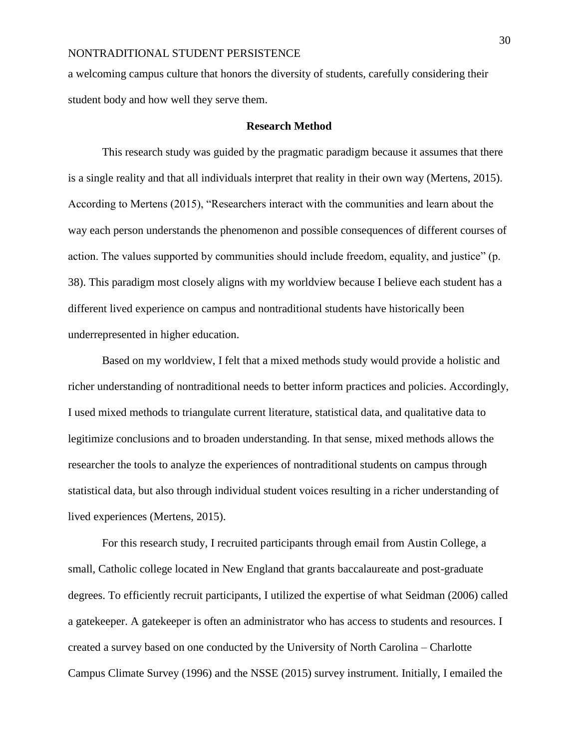a welcoming campus culture that honors the diversity of students, carefully considering their student body and how well they serve them.

## **Research Method**

This research study was guided by the pragmatic paradigm because it assumes that there is a single reality and that all individuals interpret that reality in their own way (Mertens, 2015). According to Mertens (2015), "Researchers interact with the communities and learn about the way each person understands the phenomenon and possible consequences of different courses of action. The values supported by communities should include freedom, equality, and justice" (p. 38). This paradigm most closely aligns with my worldview because I believe each student has a different lived experience on campus and nontraditional students have historically been underrepresented in higher education.

Based on my worldview, I felt that a mixed methods study would provide a holistic and richer understanding of nontraditional needs to better inform practices and policies. Accordingly, I used mixed methods to triangulate current literature, statistical data, and qualitative data to legitimize conclusions and to broaden understanding. In that sense, mixed methods allows the researcher the tools to analyze the experiences of nontraditional students on campus through statistical data, but also through individual student voices resulting in a richer understanding of lived experiences (Mertens, 2015).

For this research study, I recruited participants through email from Austin College, a small, Catholic college located in New England that grants baccalaureate and post-graduate degrees. To efficiently recruit participants, I utilized the expertise of what Seidman (2006) called a gatekeeper. A gatekeeper is often an administrator who has access to students and resources. I created a survey based on one conducted by the University of North Carolina – Charlotte Campus Climate Survey (1996) and the NSSE (2015) survey instrument. Initially, I emailed the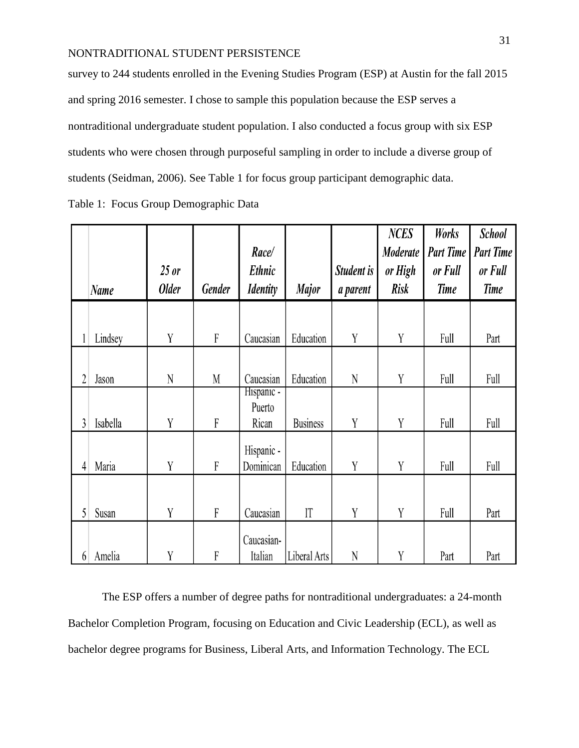survey to 244 students enrolled in the Evening Studies Program (ESP) at Austin for the fall 2015 and spring 2016 semester. I chose to sample this population because the ESP serves a nontraditional undergraduate student population. I also conducted a focus group with six ESP students who were chosen through purposeful sampling in order to include a diverse group of students (Seidman, 2006). See Table 1 for focus group participant demographic data. Table 1: Focus Group Demographic Data

|                |             |              |           |                         |                 |             | <b>NCES</b> | Works     | <b>School</b>    |
|----------------|-------------|--------------|-----------|-------------------------|-----------------|-------------|-------------|-----------|------------------|
|                |             |              |           | Race/                   |                 |             | Moderate    | Part Time | <b>Part Time</b> |
|                |             | $25$ or      |           | Ethnic                  |                 | Student is  | or High     | or Full   | or Full          |
|                | <b>Name</b> | <b>Older</b> | Gender    | <b>Identity</b>         | <b>Major</b>    | a parent    | <b>Risk</b> | Time      | Time             |
|                |             |              |           |                         |                 |             |             |           |                  |
| 1              | Lindsey     | Y            | F         | Caucasian               | Education       | Y           | Y           | Full      | Part             |
|                |             |              |           |                         |                 |             |             |           |                  |
| $\overline{2}$ | Jason       | N            | M         | Caucasian               | Education       | N           | Y           | Full      | Full             |
|                |             |              |           | Hispanic -<br>Puerto    |                 |             |             |           |                  |
| 3              | Isabella    | Y            | ${\bf F}$ | Rican                   | <b>Business</b> | Y           | Y           | Full      | Full             |
|                |             |              |           |                         |                 |             |             |           |                  |
| 4              | Maria       | Y            | ${\bf F}$ | Hispanic -<br>Dominican | Education       | Y           | Y           | Full      | Full             |
|                |             |              |           |                         |                 |             |             |           |                  |
|                |             |              |           |                         |                 |             |             |           |                  |
| 5              | Susan       | Y            | ${\bf F}$ | Caucasian               | $\prod$         | Y           | Y           | Full      | Part             |
|                |             |              |           | Caucasian-              |                 |             |             |           |                  |
| 6              | Amelia      | Y            | $\rm F$   | Italian                 | Liberal Arts    | $\mathbf N$ | Y           | Part      | Part             |

The ESP offers a number of degree paths for nontraditional undergraduates: a 24-month Bachelor Completion Program, focusing on Education and Civic Leadership (ECL), as well as bachelor degree programs for Business, Liberal Arts, and Information Technology. The ECL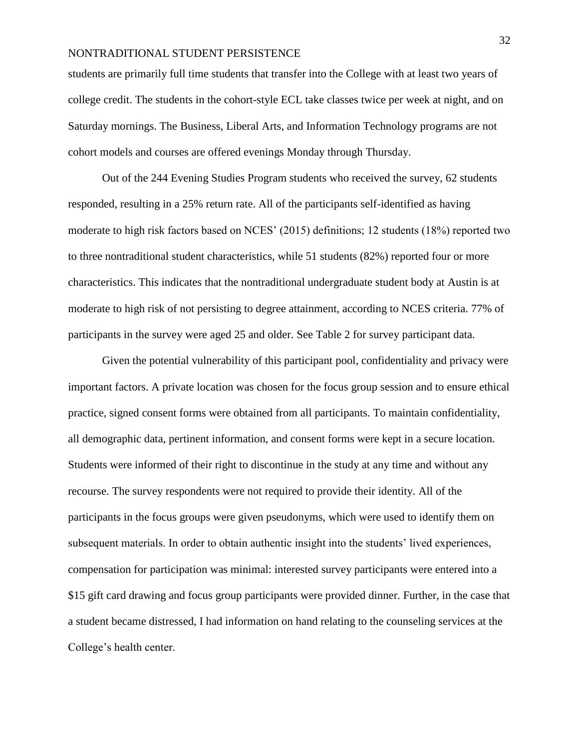students are primarily full time students that transfer into the College with at least two years of college credit. The students in the cohort-style ECL take classes twice per week at night, and on Saturday mornings. The Business, Liberal Arts, and Information Technology programs are not cohort models and courses are offered evenings Monday through Thursday.

Out of the 244 Evening Studies Program students who received the survey, 62 students responded, resulting in a 25% return rate. All of the participants self-identified as having moderate to high risk factors based on NCES' (2015) definitions; 12 students (18%) reported two to three nontraditional student characteristics, while 51 students (82%) reported four or more characteristics. This indicates that the nontraditional undergraduate student body at Austin is at moderate to high risk of not persisting to degree attainment, according to NCES criteria. 77% of participants in the survey were aged 25 and older. See Table 2 for survey participant data.

Given the potential vulnerability of this participant pool, confidentiality and privacy were important factors. A private location was chosen for the focus group session and to ensure ethical practice, signed consent forms were obtained from all participants. To maintain confidentiality, all demographic data, pertinent information, and consent forms were kept in a secure location. Students were informed of their right to discontinue in the study at any time and without any recourse. The survey respondents were not required to provide their identity. All of the participants in the focus groups were given pseudonyms, which were used to identify them on subsequent materials. In order to obtain authentic insight into the students' lived experiences, compensation for participation was minimal: interested survey participants were entered into a \$15 gift card drawing and focus group participants were provided dinner. Further, in the case that a student became distressed, I had information on hand relating to the counseling services at the College's health center.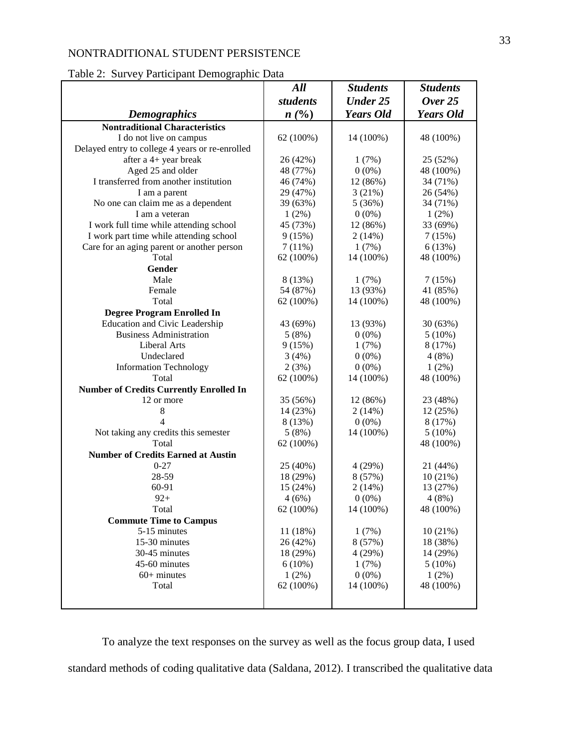## Table 2: Survey Participant Demographic Data

|                                                 | All       | <b>Students</b>  | <b>Students</b>  |
|-------------------------------------------------|-----------|------------------|------------------|
|                                                 | students  | <b>Under 25</b>  | Over $25$        |
| <b>Demographics</b>                             | n(%)      | <b>Years Old</b> | <b>Years Old</b> |
| <b>Nontraditional Characteristics</b>           |           |                  |                  |
| I do not live on campus                         | 62 (100%) | 14 (100%)        | 48 (100%)        |
| Delayed entry to college 4 years or re-enrolled |           |                  |                  |
| after a 4+ year break                           | 26 (42%)  | 1(7%)            | 25 (52%)         |
| Aged 25 and older                               | 48 (77%)  | $0(0\%)$         | 48 (100%)        |
| I transferred from another institution          | 46 (74%)  | 12 (86%)         | 34 (71%)         |
| I am a parent                                   | 29 (47%)  | 3(21%)           | 26 (54%)         |
| No one can claim me as a dependent              | 39 (63%)  | 5(36%)           | 34 (71%)         |
| I am a veteran                                  | $1(2\%)$  | $0(0\%)$         | $1(2\%)$         |
| I work full time while attending school         | 45 (73%)  | 12 (86%)         | 33 (69%)         |
| I work part time while attending school         | 9(15%)    | 2(14%)           | 7(15%)           |
| Care for an aging parent or another person      | 7(11%)    | 1(7%)            | 6(13%)           |
| Total                                           | 62 (100%) | 14 (100%)        | 48 (100%)        |
| <b>Gender</b>                                   |           |                  |                  |
| Male                                            | 8 (13%)   |                  |                  |
|                                                 |           | 1(7%)            | 7(15%)           |
| Female                                          | 54 (87%)  | 13 (93%)         | 41 (85%)         |
| Total                                           | 62 (100%) | 14 (100%)        | 48 (100%)        |
| <b>Degree Program Enrolled In</b>               |           |                  |                  |
| <b>Education and Civic Leadership</b>           | 43 (69%)  | 13 (93%)         | 30 (63%)         |
| <b>Business Administration</b>                  | 5(8%)     | $0(0\%)$         | $5(10\%)$        |
| Liberal Arts                                    | 9(15%)    | 1(7%)            | 8 (17%)          |
| Undeclared                                      | 3(4%)     | $0(0\%)$         | 4(8%)            |
| <b>Information Technology</b>                   | 2(3%)     | $0(0\%)$         | $1(2\%)$         |
| Total                                           | 62 (100%) | 14 (100%)        | 48 (100%)        |
| <b>Number of Credits Currently Enrolled In</b>  |           |                  |                  |
| 12 or more                                      | 35 (56%)  | 12 (86%)         | 23 (48%)         |
| 8                                               | 14 (23%)  | 2(14%)           | 12 (25%)         |
| 4                                               | 8 (13%)   | $0(0\%)$         | 8(17%)           |
| Not taking any credits this semester            | 5(8%)     | 14 (100%)        | $5(10\%)$        |
| Total                                           | 62 (100%) |                  | 48 (100%)        |
| <b>Number of Credits Earned at Austin</b>       |           |                  |                  |
| $0 - 27$                                        | 25 (40%)  | 4(29%)           | 21 (44%)         |
| 28-59                                           | 18 (29%)  | 8(57%)           | 10(21%)          |
| 60-91                                           | 15 (24%)  | 2(14%)           | 13 (27%)         |
| $92+$                                           | 4(6%)     | $0(0\%)$         | 4(8%)            |
| Total                                           | 62 (100%) | 14 (100%)        | 48 (100%)        |
| <b>Commute Time to Campus</b>                   |           |                  |                  |
| 5-15 minutes                                    | 11 (18%)  | 1(7%)            | 10(21%)          |
| 15-30 minutes                                   | 26 (42%)  | 8 (57%)          | 18 (38%)         |
| 30-45 minutes                                   | 18 (29%)  | 4(29%)           | 14 (29%)         |
| 45-60 minutes                                   | 6(10%)    | 1(7%)            | $5(10\%)$        |
| $60+$ minutes                                   | 1(2%)     | $0(0\%)$         | 1(2%)            |
| Total                                           | 62 (100%) | 14 (100%)        | 48 (100%)        |
|                                                 |           |                  |                  |
|                                                 |           |                  |                  |

To analyze the text responses on the survey as well as the focus group data, I used standard methods of coding qualitative data (Saldana, 2012). I transcribed the qualitative data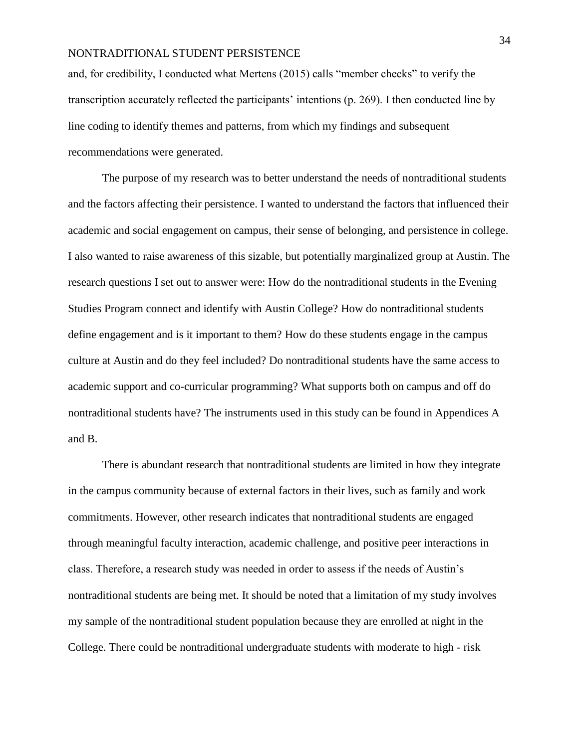and, for credibility, I conducted what Mertens (2015) calls "member checks" to verify the transcription accurately reflected the participants' intentions (p. 269). I then conducted line by line coding to identify themes and patterns, from which my findings and subsequent recommendations were generated.

The purpose of my research was to better understand the needs of nontraditional students and the factors affecting their persistence. I wanted to understand the factors that influenced their academic and social engagement on campus, their sense of belonging, and persistence in college. I also wanted to raise awareness of this sizable, but potentially marginalized group at Austin. The research questions I set out to answer were: How do the nontraditional students in the Evening Studies Program connect and identify with Austin College? How do nontraditional students define engagement and is it important to them? How do these students engage in the campus culture at Austin and do they feel included? Do nontraditional students have the same access to academic support and co-curricular programming? What supports both on campus and off do nontraditional students have? The instruments used in this study can be found in Appendices A and B.

There is abundant research that nontraditional students are limited in how they integrate in the campus community because of external factors in their lives, such as family and work commitments. However, other research indicates that nontraditional students are engaged through meaningful faculty interaction, academic challenge, and positive peer interactions in class. Therefore, a research study was needed in order to assess if the needs of Austin's nontraditional students are being met. It should be noted that a limitation of my study involves my sample of the nontraditional student population because they are enrolled at night in the College. There could be nontraditional undergraduate students with moderate to high - risk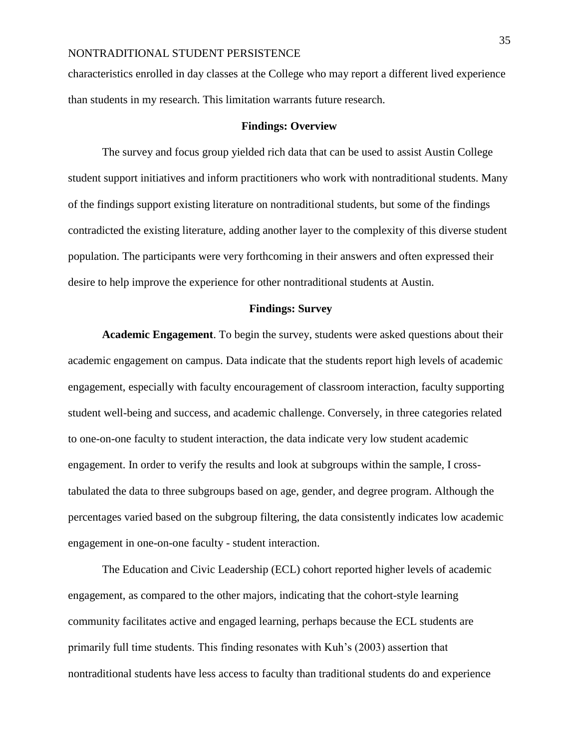characteristics enrolled in day classes at the College who may report a different lived experience than students in my research. This limitation warrants future research.

#### **Findings: Overview**

The survey and focus group yielded rich data that can be used to assist Austin College student support initiatives and inform practitioners who work with nontraditional students. Many of the findings support existing literature on nontraditional students, but some of the findings contradicted the existing literature, adding another layer to the complexity of this diverse student population. The participants were very forthcoming in their answers and often expressed their desire to help improve the experience for other nontraditional students at Austin.

## **Findings: Survey**

**Academic Engagement**. To begin the survey, students were asked questions about their academic engagement on campus. Data indicate that the students report high levels of academic engagement, especially with faculty encouragement of classroom interaction, faculty supporting student well-being and success, and academic challenge. Conversely, in three categories related to one-on-one faculty to student interaction, the data indicate very low student academic engagement. In order to verify the results and look at subgroups within the sample, I crosstabulated the data to three subgroups based on age, gender, and degree program. Although the percentages varied based on the subgroup filtering, the data consistently indicates low academic engagement in one-on-one faculty - student interaction.

The Education and Civic Leadership (ECL) cohort reported higher levels of academic engagement, as compared to the other majors, indicating that the cohort-style learning community facilitates active and engaged learning, perhaps because the ECL students are primarily full time students. This finding resonates with Kuh's (2003) assertion that nontraditional students have less access to faculty than traditional students do and experience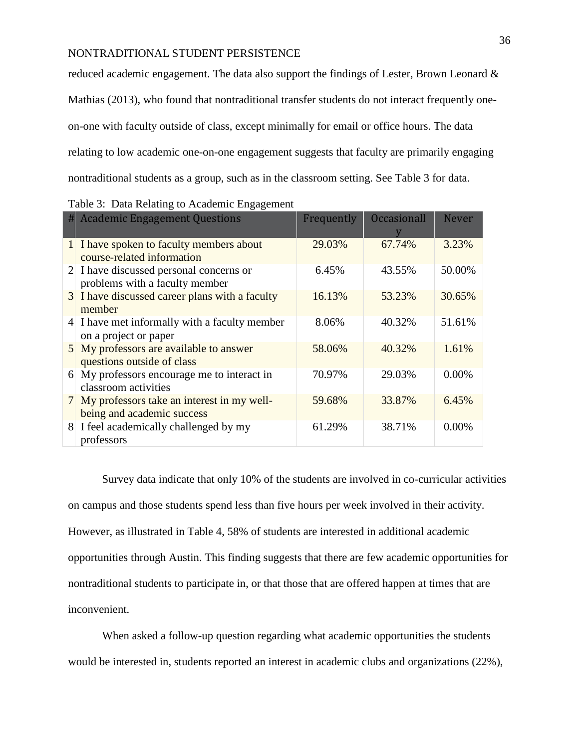reduced academic engagement. The data also support the findings of Lester, Brown Leonard & Mathias (2013), who found that nontraditional transfer students do not interact frequently oneon-one with faculty outside of class, except minimally for email or office hours. The data relating to low academic one-on-one engagement suggests that faculty are primarily engaging nontraditional students as a group, such as in the classroom setting. See Table 3 for data.

| # | <b>Academic Engagement Questions</b>                                       | Frequently | <b>Occasionall</b> | <b>Never</b> |
|---|----------------------------------------------------------------------------|------------|--------------------|--------------|
|   | 1 I have spoken to faculty members about<br>course-related information     | 29.03%     | 67.74%             | 3.23%        |
|   | 2 I have discussed personal concerns or<br>problems with a faculty member  | 6.45%      | 43.55%             | 50.00%       |
|   | 3 I have discussed career plans with a faculty<br>member                   | 16.13%     | 53.23%             | 30.65%       |
|   | 4 I have met informally with a faculty member<br>on a project or paper     | 8.06%      | 40.32%             | 51.61%       |
|   | 5 My professors are available to answer<br>questions outside of class      | 58.06%     | 40.32%             | 1.61%        |
| 6 | My professors encourage me to interact in<br>classroom activities          | 70.97%     | 29.03%             | 0.00%        |
|   | 7 My professors take an interest in my well-<br>being and academic success | 59.68%     | 33.87%             | 6.45%        |
|   | 8 I feel academically challenged by my<br>professors                       | 61.29%     | 38.71%             | 0.00%        |

Survey data indicate that only 10% of the students are involved in co-curricular activities on campus and those students spend less than five hours per week involved in their activity. However, as illustrated in Table 4, 58% of students are interested in additional academic opportunities through Austin. This finding suggests that there are few academic opportunities for nontraditional students to participate in, or that those that are offered happen at times that are inconvenient.

When asked a follow-up question regarding what academic opportunities the students would be interested in, students reported an interest in academic clubs and organizations (22%),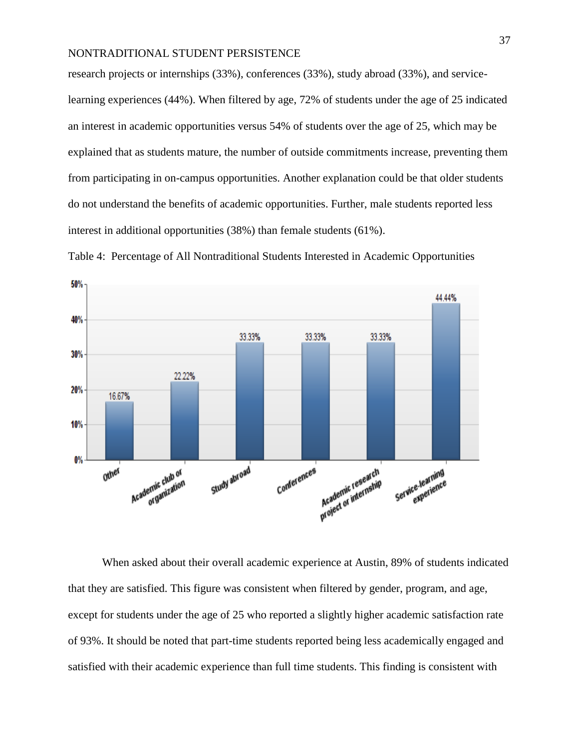research projects or internships (33%), conferences (33%), study abroad (33%), and servicelearning experiences (44%). When filtered by age, 72% of students under the age of 25 indicated an interest in academic opportunities versus 54% of students over the age of 25, which may be explained that as students mature, the number of outside commitments increase, preventing them from participating in on-campus opportunities. Another explanation could be that older students do not understand the benefits of academic opportunities. Further, male students reported less interest in additional opportunities (38%) than female students (61%).



Table 4: Percentage of All Nontraditional Students Interested in Academic Opportunities

When asked about their overall academic experience at Austin, 89% of students indicated that they are satisfied. This figure was consistent when filtered by gender, program, and age, except for students under the age of 25 who reported a slightly higher academic satisfaction rate of 93%. It should be noted that part-time students reported being less academically engaged and satisfied with their academic experience than full time students. This finding is consistent with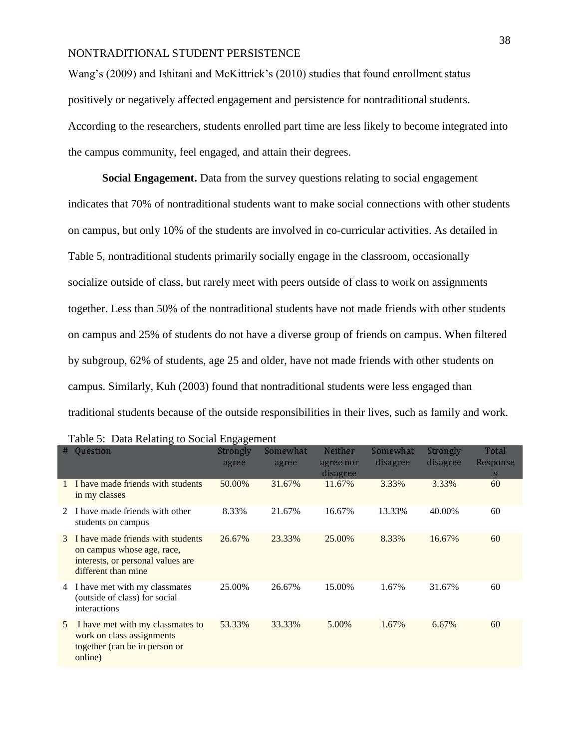Wang's (2009) and Ishitani and McKittrick's (2010) studies that found enrollment status positively or negatively affected engagement and persistence for nontraditional students. According to the researchers, students enrolled part time are less likely to become integrated into the campus community, feel engaged, and attain their degrees.

**Social Engagement.** Data from the survey questions relating to social engagement indicates that 70% of nontraditional students want to make social connections with other students on campus, but only 10% of the students are involved in co-curricular activities. As detailed in Table 5, nontraditional students primarily socially engage in the classroom, occasionally socialize outside of class, but rarely meet with peers outside of class to work on assignments together. Less than 50% of the nontraditional students have not made friends with other students on campus and 25% of students do not have a diverse group of friends on campus. When filtered by subgroup, 62% of students, age 25 and older, have not made friends with other students on campus. Similarly, Kuh (2003) found that nontraditional students were less engaged than traditional students because of the outside responsibilities in their lives, such as family and work.

| #           | Question                                                                                                                    | Strongly<br>agree | Somewhat<br>agree | <b>Neither</b><br>agree nor<br>disagree | Somewhat<br>disagree | Strongly<br>disagree | Total<br>Response<br><sub>S</sub> |
|-------------|-----------------------------------------------------------------------------------------------------------------------------|-------------------|-------------------|-----------------------------------------|----------------------|----------------------|-----------------------------------|
| 1           | I have made friends with students<br>in my classes                                                                          | 50.00%            | 31.67%            | 11.67%                                  | 3.33%                | 3.33%                | 60                                |
| $2^{\circ}$ | I have made friends with other<br>students on campus                                                                        | 8.33%             | 21.67%            | 16.67%                                  | 13.33%               | 40.00%               | 60                                |
| 3           | I have made friends with students<br>on campus whose age, race,<br>interests, or personal values are<br>different than mine | 26.67%            | 23.33%            | 25.00%                                  | 8.33%                | 16.67%               | 60                                |
| 4           | I have met with my classmates<br>(outside of class) for social<br>interactions                                              | 25.00%            | 26.67%            | 15.00%                                  | 1.67%                | 31.67%               | 60                                |
| 5           | I have met with my classmates to<br>work on class assignments<br>together (can be in person or<br>online)                   | 53.33%            | 33.33%            | 5.00%                                   | 1.67%                | 6.67%                | 60                                |

Table 5: Data Relating to Social Engagement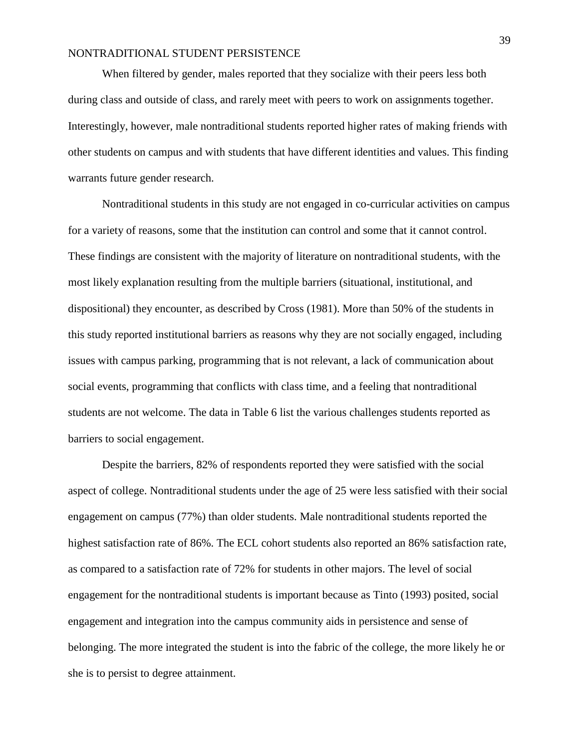When filtered by gender, males reported that they socialize with their peers less both during class and outside of class, and rarely meet with peers to work on assignments together. Interestingly, however, male nontraditional students reported higher rates of making friends with other students on campus and with students that have different identities and values. This finding warrants future gender research.

Nontraditional students in this study are not engaged in co-curricular activities on campus for a variety of reasons, some that the institution can control and some that it cannot control. These findings are consistent with the majority of literature on nontraditional students, with the most likely explanation resulting from the multiple barriers (situational, institutional, and dispositional) they encounter, as described by Cross (1981). More than 50% of the students in this study reported institutional barriers as reasons why they are not socially engaged, including issues with campus parking, programming that is not relevant, a lack of communication about social events, programming that conflicts with class time, and a feeling that nontraditional students are not welcome. The data in Table 6 list the various challenges students reported as barriers to social engagement.

Despite the barriers, 82% of respondents reported they were satisfied with the social aspect of college. Nontraditional students under the age of 25 were less satisfied with their social engagement on campus (77%) than older students. Male nontraditional students reported the highest satisfaction rate of 86%. The ECL cohort students also reported an 86% satisfaction rate, as compared to a satisfaction rate of 72% for students in other majors. The level of social engagement for the nontraditional students is important because as Tinto (1993) posited, social engagement and integration into the campus community aids in persistence and sense of belonging. The more integrated the student is into the fabric of the college, the more likely he or she is to persist to degree attainment.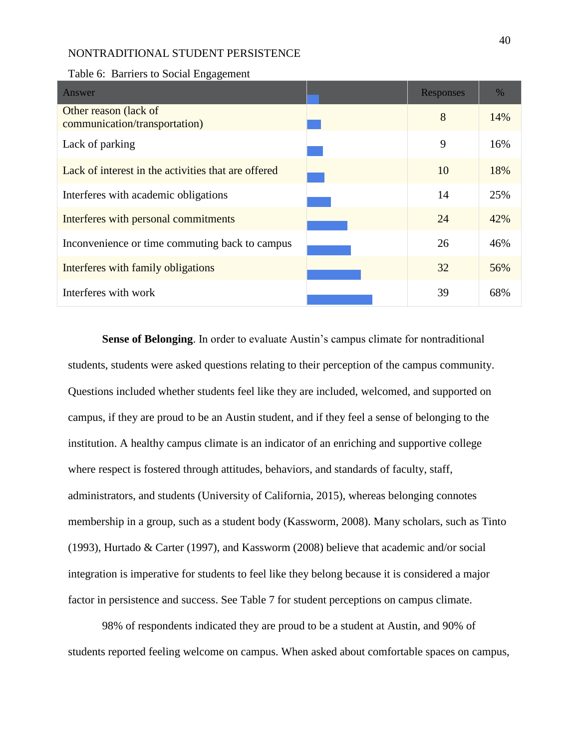| Answer                                                 | Responses | $\%$ |
|--------------------------------------------------------|-----------|------|
| Other reason (lack of<br>communication/transportation) | 8         | 14%  |
| Lack of parking                                        | 9         | 16%  |
| Lack of interest in the activities that are offered    | 10        | 18%  |
| Interferes with academic obligations                   | 14        | 25%  |
| Interferes with personal commitments                   | 24        | 42%  |
| Inconvenience or time commuting back to campus         | 26        | 46%  |
| Interferes with family obligations                     | 32        | 56%  |
| Interferes with work                                   | 39        | 68%  |

Table 6: Barriers to Social Engagement

**Sense of Belonging**. In order to evaluate Austin's campus climate for nontraditional students, students were asked questions relating to their perception of the campus community. Questions included whether students feel like they are included, welcomed, and supported on campus, if they are proud to be an Austin student, and if they feel a sense of belonging to the institution. A healthy campus climate is an indicator of an enriching and supportive college where respect is fostered through attitudes, behaviors, and standards of faculty, staff, administrators, and students (University of California, 2015), whereas belonging connotes membership in a group, such as a student body (Kassworm, 2008). Many scholars, such as Tinto (1993), Hurtado & Carter (1997), and Kassworm (2008) believe that academic and/or social integration is imperative for students to feel like they belong because it is considered a major factor in persistence and success. See Table 7 for student perceptions on campus climate.

98% of respondents indicated they are proud to be a student at Austin, and 90% of students reported feeling welcome on campus. When asked about comfortable spaces on campus,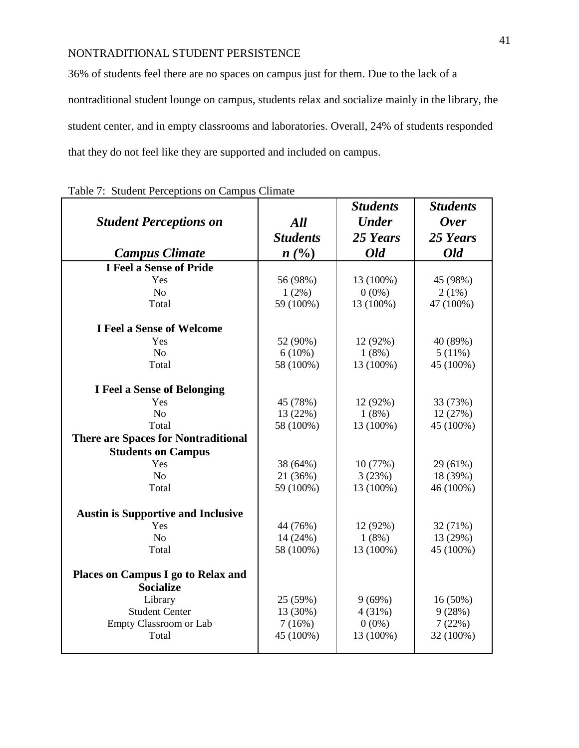36% of students feel there are no spaces on campus just for them. Due to the lack of a nontraditional student lounge on campus, students relax and socialize mainly in the library, the student center, and in empty classrooms and laboratories. Overall, 24% of students responded that they do not feel like they are supported and included on campus.

|                                            |                 | <b>Students</b> | <b>Students</b> |
|--------------------------------------------|-----------------|-----------------|-----------------|
| <b>Student Perceptions on</b>              | All             | <b>Under</b>    | <b>Over</b>     |
|                                            | <b>Students</b> | 25 Years        | 25 Years        |
| <b>Campus Climate</b>                      | $n(^{0}/_{0})$  | <b>Old</b>      | <b>Old</b>      |
| <b>I Feel a Sense of Pride</b>             |                 |                 |                 |
| Yes                                        | 56 (98%)        | 13 (100%)       | 45 (98%)        |
| No                                         | $1(2\%)$        | $0(0\%)$        | $2(1\%)$        |
| Total                                      | 59 (100%)       | 13 (100%)       | 47 (100%)       |
| <b>I Feel a Sense of Welcome</b>           |                 |                 |                 |
| Yes                                        | 52 (90%)        | 12 (92%)        | 40 (89%)        |
| No                                         | $6(10\%)$       | 1(8%)           | $5(11\%)$       |
| Total                                      | 58 (100%)       | 13 (100%)       | 45 (100%)       |
| <b>I Feel a Sense of Belonging</b>         |                 |                 |                 |
| Yes                                        | 45 (78%)        | 12 (92%)        | 33 (73%)        |
| No                                         | 13 (22%)        | 1(8%)           | 12 (27%)        |
| Total                                      | 58 (100%)       | 13 (100%)       | 45 (100%)       |
| <b>There are Spaces for Nontraditional</b> |                 |                 |                 |
| <b>Students on Campus</b>                  |                 |                 |                 |
| Yes                                        | 38 (64%)        | 10 (77%)        | 29 (61%)        |
| N <sub>o</sub>                             | 21 (36%)        | 3(23%)          | 18 (39%)        |
| Total                                      | 59 (100%)       | 13 (100%)       | 46 (100%)       |
| <b>Austin is Supportive and Inclusive</b>  |                 |                 |                 |
| Yes                                        | 44 (76%)        | 12 (92%)        | 32 (71%)        |
| N <sub>o</sub>                             | 14 (24%)        | 1(8%)           | 13 (29%)        |
| Total                                      | 58 (100%)       | 13 (100%)       | 45 (100%)       |
| Places on Campus I go to Relax and         |                 |                 |                 |
| <b>Socialize</b>                           |                 |                 |                 |
| Library                                    | 25 (59%)        | 9(69%)          | $16(50\%)$      |
| <b>Student Center</b>                      | 13 (30%)        | 4(31%)          | 9(28%)          |
| Empty Classroom or Lab                     | 7(16%)          | $0(0\%)$        | 7(22%)          |
| Total                                      | 45 (100%)       | 13 (100%)       | 32 (100%)       |
|                                            |                 |                 |                 |

|  | Table 7: Student Perceptions on Campus Climate |  |  |  |  |  |
|--|------------------------------------------------|--|--|--|--|--|
|--|------------------------------------------------|--|--|--|--|--|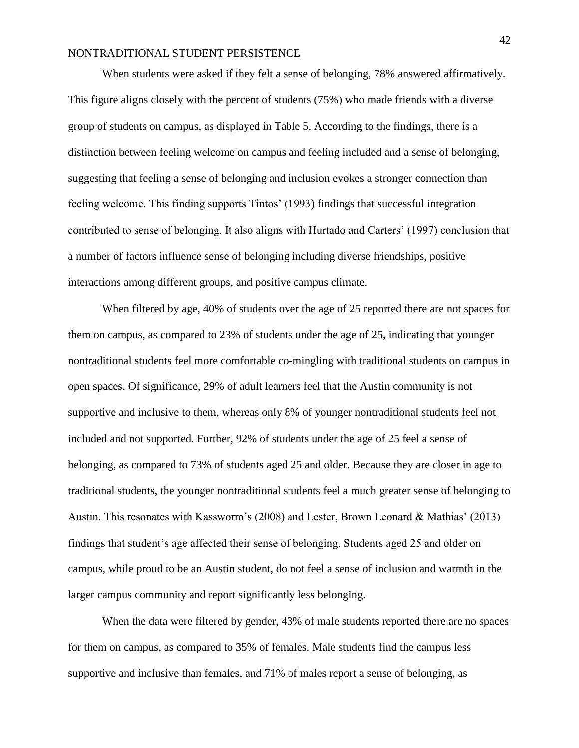When students were asked if they felt a sense of belonging, 78% answered affirmatively. This figure aligns closely with the percent of students (75%) who made friends with a diverse group of students on campus, as displayed in Table 5. According to the findings, there is a distinction between feeling welcome on campus and feeling included and a sense of belonging, suggesting that feeling a sense of belonging and inclusion evokes a stronger connection than feeling welcome. This finding supports Tintos' (1993) findings that successful integration contributed to sense of belonging. It also aligns with Hurtado and Carters' (1997) conclusion that a number of factors influence sense of belonging including diverse friendships, positive interactions among different groups, and positive campus climate.

When filtered by age, 40% of students over the age of 25 reported there are not spaces for them on campus, as compared to 23% of students under the age of 25, indicating that younger nontraditional students feel more comfortable co-mingling with traditional students on campus in open spaces. Of significance, 29% of adult learners feel that the Austin community is not supportive and inclusive to them, whereas only 8% of younger nontraditional students feel not included and not supported. Further, 92% of students under the age of 25 feel a sense of belonging, as compared to 73% of students aged 25 and older. Because they are closer in age to traditional students, the younger nontraditional students feel a much greater sense of belonging to Austin. This resonates with Kassworm's (2008) and Lester, Brown Leonard & Mathias' (2013) findings that student's age affected their sense of belonging. Students aged 25 and older on campus, while proud to be an Austin student, do not feel a sense of inclusion and warmth in the larger campus community and report significantly less belonging.

When the data were filtered by gender, 43% of male students reported there are no spaces for them on campus, as compared to 35% of females. Male students find the campus less supportive and inclusive than females, and 71% of males report a sense of belonging, as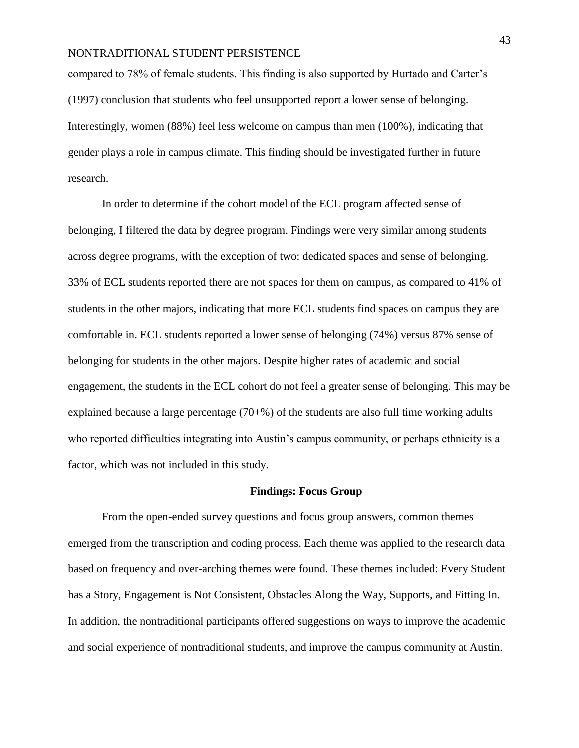compared to 78% of female students. This finding is also supported by Hurtado and Carter's (1997) conclusion that students who feel unsupported report a lower sense of belonging. Interestingly, women (88%) feel less welcome on campus than men (100%), indicating that gender plays a role in campus climate. This finding should be investigated further in future research.

In order to determine if the cohort model of the ECL program affected sense of belonging, I filtered the data by degree program. Findings were very similar among students across degree programs, with the exception of two: dedicated spaces and sense of belonging. 33% of ECL students reported there are not spaces for them on campus, as compared to 41% of students in the other majors, indicating that more ECL students find spaces on campus they are comfortable in. ECL students reported a lower sense of belonging (74%) versus 87% sense of belonging for students in the other majors. Despite higher rates of academic and social engagement, the students in the ECL cohort do not feel a greater sense of belonging. This may be explained because a large percentage  $(70+%)$  of the students are also full time working adults who reported difficulties integrating into Austin's campus community, or perhaps ethnicity is a factor, which was not included in this study.

### **Findings: Focus Group**

From the open-ended survey questions and focus group answers, common themes emerged from the transcription and coding process. Each theme was applied to the research data based on frequency and over-arching themes were found. These themes included: Every Student has a Story, Engagement is Not Consistent, Obstacles Along the Way, Supports, and Fitting In. In addition, the nontraditional participants offered suggestions on ways to improve the academic and social experience of nontraditional students, and improve the campus community at Austin.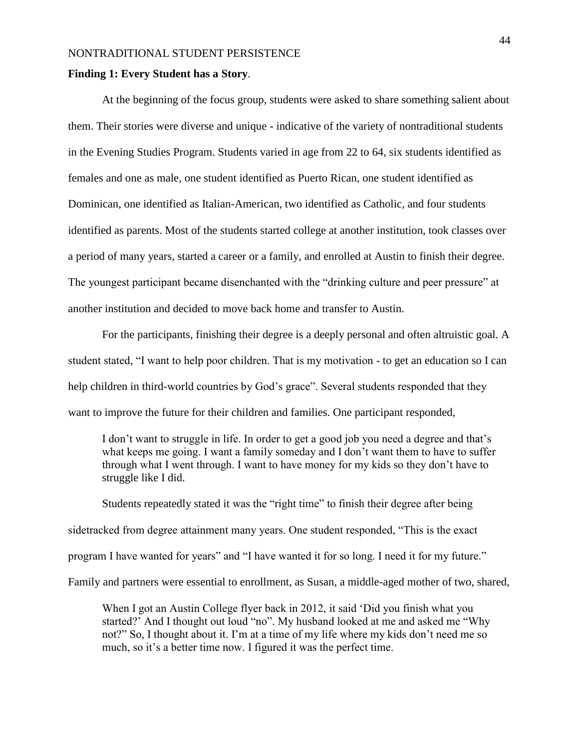### **Finding 1: Every Student has a Story**.

At the beginning of the focus group, students were asked to share something salient about them. Their stories were diverse and unique - indicative of the variety of nontraditional students in the Evening Studies Program. Students varied in age from 22 to 64, six students identified as females and one as male, one student identified as Puerto Rican, one student identified as Dominican, one identified as Italian-American, two identified as Catholic, and four students identified as parents. Most of the students started college at another institution, took classes over a period of many years, started a career or a family, and enrolled at Austin to finish their degree. The youngest participant became disenchanted with the "drinking culture and peer pressure" at another institution and decided to move back home and transfer to Austin.

For the participants, finishing their degree is a deeply personal and often altruistic goal. A student stated, "I want to help poor children. That is my motivation - to get an education so I can help children in third-world countries by God's grace". Several students responded that they want to improve the future for their children and families. One participant responded,

I don't want to struggle in life. In order to get a good job you need a degree and that's what keeps me going. I want a family someday and I don't want them to have to suffer through what I went through. I want to have money for my kids so they don't have to struggle like I did.

Students repeatedly stated it was the "right time" to finish their degree after being sidetracked from degree attainment many years. One student responded, "This is the exact program I have wanted for years" and "I have wanted it for so long. I need it for my future." Family and partners were essential to enrollment, as Susan, a middle-aged mother of two, shared,

When I got an Austin College flyer back in 2012, it said 'Did you finish what you started?' And I thought out loud "no". My husband looked at me and asked me "Why not?" So, I thought about it. I'm at a time of my life where my kids don't need me so much, so it's a better time now. I figured it was the perfect time.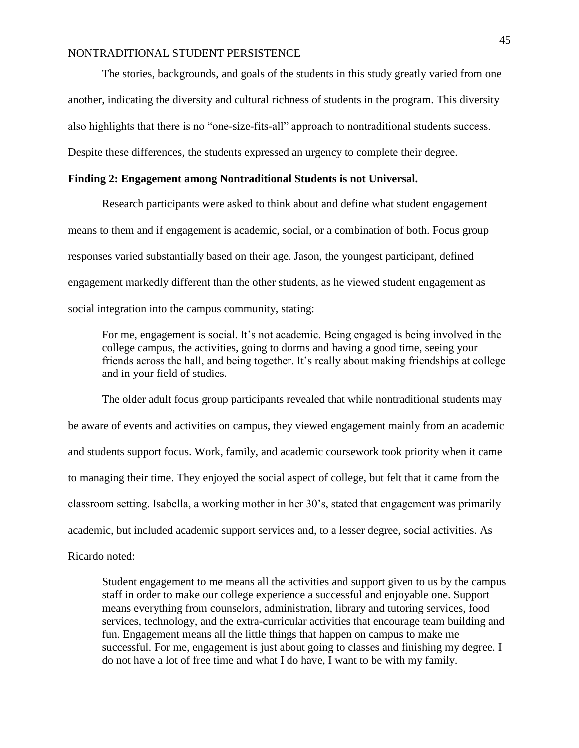The stories, backgrounds, and goals of the students in this study greatly varied from one another, indicating the diversity and cultural richness of students in the program. This diversity also highlights that there is no "one-size-fits-all" approach to nontraditional students success. Despite these differences, the students expressed an urgency to complete their degree.

# **Finding 2: Engagement among Nontraditional Students is not Universal.**

Research participants were asked to think about and define what student engagement means to them and if engagement is academic, social, or a combination of both. Focus group responses varied substantially based on their age. Jason, the youngest participant, defined engagement markedly different than the other students, as he viewed student engagement as social integration into the campus community, stating:

For me, engagement is social. It's not academic. Being engaged is being involved in the college campus, the activities, going to dorms and having a good time, seeing your friends across the hall, and being together. It's really about making friendships at college and in your field of studies.

The older adult focus group participants revealed that while nontraditional students may be aware of events and activities on campus, they viewed engagement mainly from an academic and students support focus. Work, family, and academic coursework took priority when it came to managing their time. They enjoyed the social aspect of college, but felt that it came from the classroom setting. Isabella, a working mother in her 30's, stated that engagement was primarily academic, but included academic support services and, to a lesser degree, social activities. As Ricardo noted:

Student engagement to me means all the activities and support given to us by the campus staff in order to make our college experience a successful and enjoyable one. Support means everything from counselors, administration, library and tutoring services, food services, technology, and the extra-curricular activities that encourage team building and fun. Engagement means all the little things that happen on campus to make me successful. For me, engagement is just about going to classes and finishing my degree. I do not have a lot of free time and what I do have, I want to be with my family.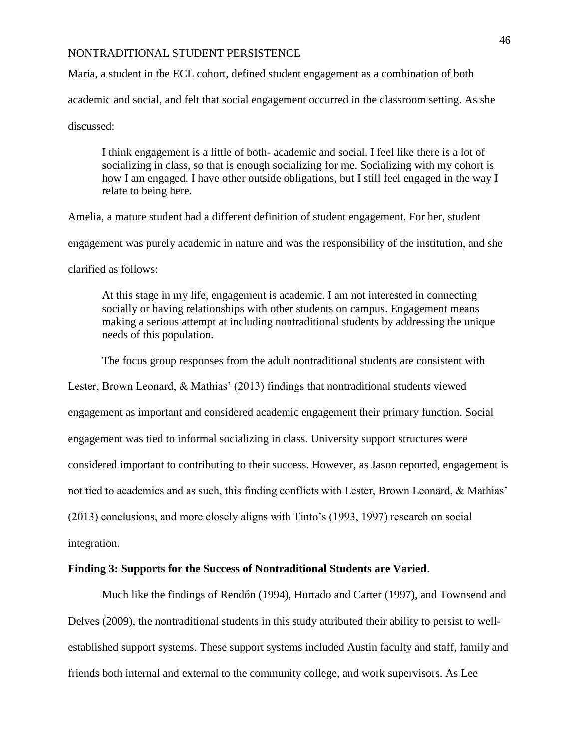Maria, a student in the ECL cohort, defined student engagement as a combination of both academic and social, and felt that social engagement occurred in the classroom setting. As she discussed:

I think engagement is a little of both- academic and social. I feel like there is a lot of socializing in class, so that is enough socializing for me. Socializing with my cohort is how I am engaged. I have other outside obligations, but I still feel engaged in the way I relate to being here.

Amelia, a mature student had a different definition of student engagement. For her, student engagement was purely academic in nature and was the responsibility of the institution, and she clarified as follows:

At this stage in my life, engagement is academic. I am not interested in connecting socially or having relationships with other students on campus. Engagement means making a serious attempt at including nontraditional students by addressing the unique needs of this population.

The focus group responses from the adult nontraditional students are consistent with

Lester, Brown Leonard, & Mathias' (2013) findings that nontraditional students viewed engagement as important and considered academic engagement their primary function. Social engagement was tied to informal socializing in class. University support structures were considered important to contributing to their success. However, as Jason reported, engagement is not tied to academics and as such, this finding conflicts with Lester, Brown Leonard, & Mathias' (2013) conclusions, and more closely aligns with Tinto's (1993, 1997) research on social integration.

## **Finding 3: Supports for the Success of Nontraditional Students are Varied**.

Much like the findings of Rendón (1994), Hurtado and Carter (1997), and Townsend and Delves (2009), the nontraditional students in this study attributed their ability to persist to wellestablished support systems. These support systems included Austin faculty and staff, family and friends both internal and external to the community college, and work supervisors. As Lee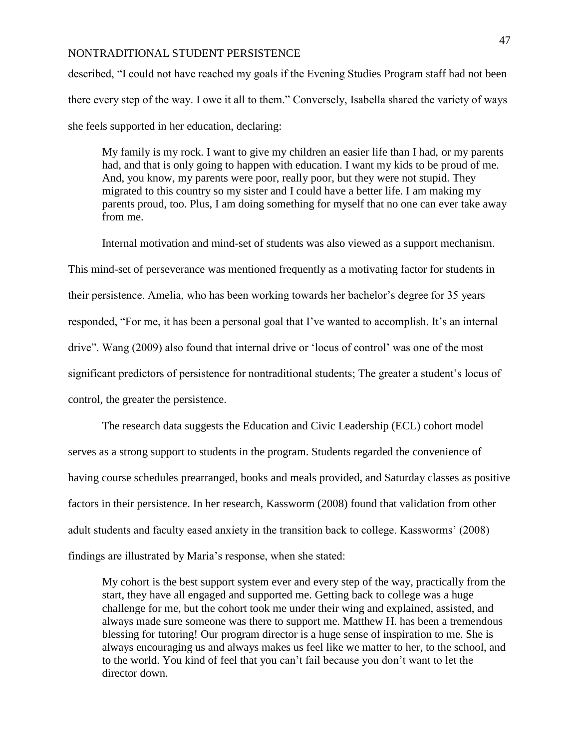described, "I could not have reached my goals if the Evening Studies Program staff had not been there every step of the way. I owe it all to them." Conversely, Isabella shared the variety of ways she feels supported in her education, declaring:

My family is my rock. I want to give my children an easier life than I had, or my parents had, and that is only going to happen with education. I want my kids to be proud of me. And, you know, my parents were poor, really poor, but they were not stupid. They migrated to this country so my sister and I could have a better life. I am making my parents proud, too. Plus, I am doing something for myself that no one can ever take away from me.

Internal motivation and mind-set of students was also viewed as a support mechanism.

This mind-set of perseverance was mentioned frequently as a motivating factor for students in their persistence. Amelia, who has been working towards her bachelor's degree for 35 years responded, "For me, it has been a personal goal that I've wanted to accomplish. It's an internal drive". Wang (2009) also found that internal drive or 'locus of control' was one of the most significant predictors of persistence for nontraditional students; The greater a student's locus of control, the greater the persistence.

The research data suggests the Education and Civic Leadership (ECL) cohort model serves as a strong support to students in the program. Students regarded the convenience of having course schedules prearranged, books and meals provided, and Saturday classes as positive factors in their persistence. In her research, Kassworm (2008) found that validation from other adult students and faculty eased anxiety in the transition back to college. Kassworms' (2008) findings are illustrated by Maria's response, when she stated:

My cohort is the best support system ever and every step of the way, practically from the start, they have all engaged and supported me. Getting back to college was a huge challenge for me, but the cohort took me under their wing and explained, assisted, and always made sure someone was there to support me. Matthew H. has been a tremendous blessing for tutoring! Our program director is a huge sense of inspiration to me. She is always encouraging us and always makes us feel like we matter to her, to the school, and to the world. You kind of feel that you can't fail because you don't want to let the director down.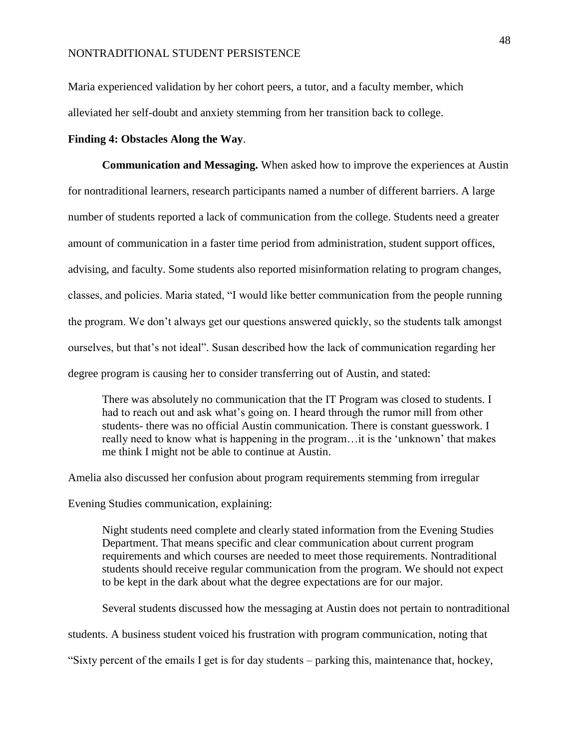Maria experienced validation by her cohort peers, a tutor, and a faculty member, which alleviated her self-doubt and anxiety stemming from her transition back to college.

#### **Finding 4: Obstacles Along the Way**.

**Communication and Messaging.** When asked how to improve the experiences at Austin for nontraditional learners, research participants named a number of different barriers. A large number of students reported a lack of communication from the college. Students need a greater amount of communication in a faster time period from administration, student support offices, advising, and faculty. Some students also reported misinformation relating to program changes, classes, and policies. Maria stated, "I would like better communication from the people running the program. We don't always get our questions answered quickly, so the students talk amongst ourselves, but that's not ideal". Susan described how the lack of communication regarding her degree program is causing her to consider transferring out of Austin, and stated:

There was absolutely no communication that the IT Program was closed to students. I had to reach out and ask what's going on. I heard through the rumor mill from other students- there was no official Austin communication. There is constant guesswork. I really need to know what is happening in the program…it is the 'unknown' that makes me think I might not be able to continue at Austin.

Amelia also discussed her confusion about program requirements stemming from irregular

Evening Studies communication, explaining:

Night students need complete and clearly stated information from the Evening Studies Department. That means specific and clear communication about current program requirements and which courses are needed to meet those requirements. Nontraditional students should receive regular communication from the program. We should not expect to be kept in the dark about what the degree expectations are for our major.

Several students discussed how the messaging at Austin does not pertain to nontraditional

students. A business student voiced his frustration with program communication, noting that

"Sixty percent of the emails I get is for day students – parking this, maintenance that, hockey,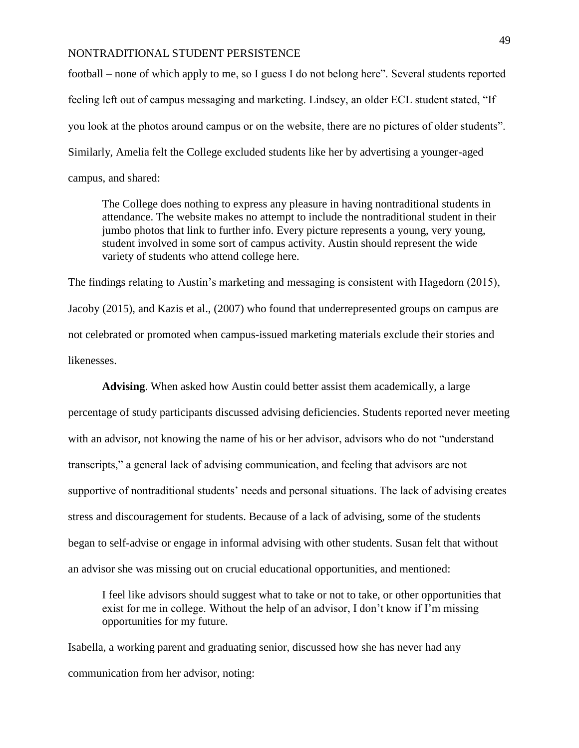football – none of which apply to me, so I guess I do not belong here". Several students reported feeling left out of campus messaging and marketing. Lindsey, an older ECL student stated, "If you look at the photos around campus or on the website, there are no pictures of older students". Similarly, Amelia felt the College excluded students like her by advertising a younger-aged campus, and shared:

The College does nothing to express any pleasure in having nontraditional students in attendance. The website makes no attempt to include the nontraditional student in their jumbo photos that link to further info. Every picture represents a young, very young, student involved in some sort of campus activity. Austin should represent the wide variety of students who attend college here.

The findings relating to Austin's marketing and messaging is consistent with Hagedorn (2015), Jacoby (2015), and Kazis et al., (2007) who found that underrepresented groups on campus are not celebrated or promoted when campus-issued marketing materials exclude their stories and likenesses.

**Advising**. When asked how Austin could better assist them academically, a large percentage of study participants discussed advising deficiencies. Students reported never meeting with an advisor, not knowing the name of his or her advisor, advisors who do not "understand transcripts," a general lack of advising communication, and feeling that advisors are not supportive of nontraditional students' needs and personal situations. The lack of advising creates stress and discouragement for students. Because of a lack of advising, some of the students began to self-advise or engage in informal advising with other students. Susan felt that without an advisor she was missing out on crucial educational opportunities, and mentioned:

I feel like advisors should suggest what to take or not to take, or other opportunities that exist for me in college. Without the help of an advisor, I don't know if I'm missing opportunities for my future.

Isabella, a working parent and graduating senior, discussed how she has never had any communication from her advisor, noting: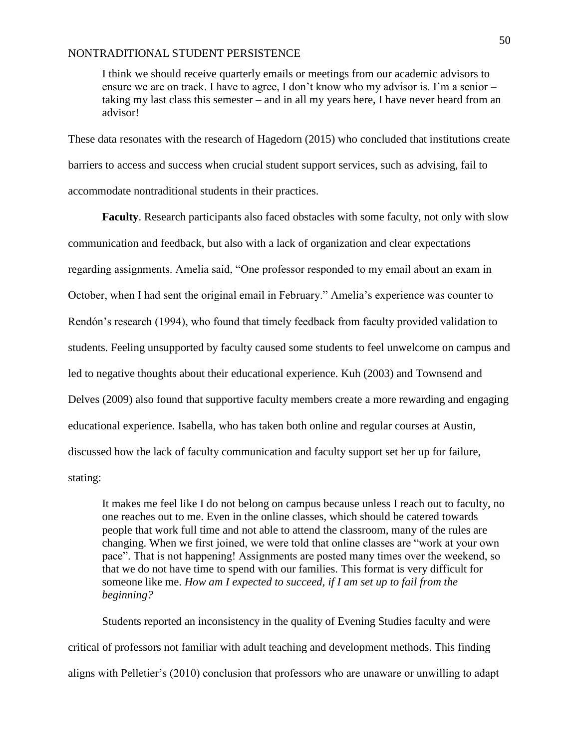I think we should receive quarterly emails or meetings from our academic advisors to ensure we are on track. I have to agree, I don't know who my advisor is. I'm a senior – taking my last class this semester – and in all my years here, I have never heard from an advisor!

These data resonates with the research of Hagedorn (2015) who concluded that institutions create barriers to access and success when crucial student support services, such as advising, fail to accommodate nontraditional students in their practices.

**Faculty**. Research participants also faced obstacles with some faculty, not only with slow communication and feedback, but also with a lack of organization and clear expectations regarding assignments. Amelia said, "One professor responded to my email about an exam in October, when I had sent the original email in February." Amelia's experience was counter to Rendón's research (1994), who found that timely feedback from faculty provided validation to students. Feeling unsupported by faculty caused some students to feel unwelcome on campus and led to negative thoughts about their educational experience. Kuh (2003) and Townsend and Delves (2009) also found that supportive faculty members create a more rewarding and engaging educational experience. Isabella, who has taken both online and regular courses at Austin, discussed how the lack of faculty communication and faculty support set her up for failure, stating:

It makes me feel like I do not belong on campus because unless I reach out to faculty, no one reaches out to me. Even in the online classes, which should be catered towards people that work full time and not able to attend the classroom, many of the rules are changing. When we first joined, we were told that online classes are "work at your own pace". That is not happening! Assignments are posted many times over the weekend, so that we do not have time to spend with our families. This format is very difficult for someone like me. *How am I expected to succeed, if I am set up to fail from the beginning?*

Students reported an inconsistency in the quality of Evening Studies faculty and were critical of professors not familiar with adult teaching and development methods. This finding aligns with Pelletier's (2010) conclusion that professors who are unaware or unwilling to adapt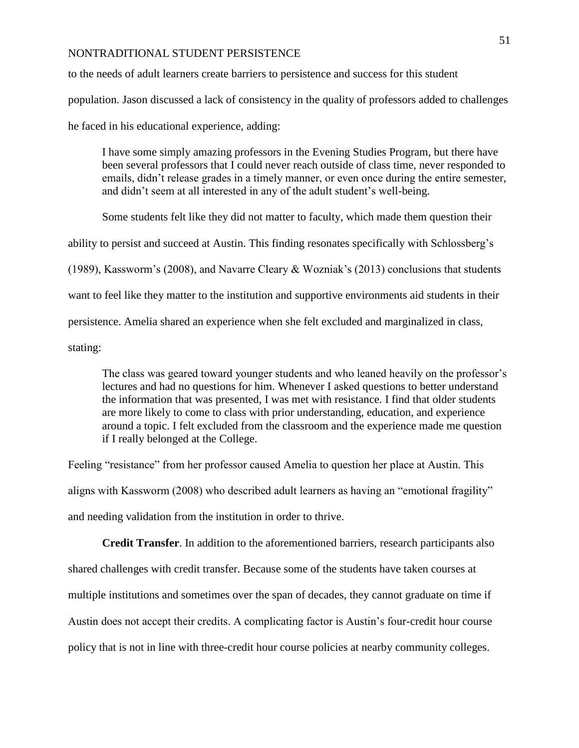to the needs of adult learners create barriers to persistence and success for this student population. Jason discussed a lack of consistency in the quality of professors added to challenges he faced in his educational experience, adding:

I have some simply amazing professors in the Evening Studies Program, but there have been several professors that I could never reach outside of class time, never responded to emails, didn't release grades in a timely manner, or even once during the entire semester, and didn't seem at all interested in any of the adult student's well-being.

Some students felt like they did not matter to faculty, which made them question their ability to persist and succeed at Austin. This finding resonates specifically with Schlossberg's (1989), Kassworm's (2008), and Navarre Cleary & Wozniak's (2013) conclusions that students want to feel like they matter to the institution and supportive environments aid students in their persistence. Amelia shared an experience when she felt excluded and marginalized in class, stating:

The class was geared toward younger students and who leaned heavily on the professor's lectures and had no questions for him. Whenever I asked questions to better understand the information that was presented, I was met with resistance. I find that older students are more likely to come to class with prior understanding, education, and experience around a topic. I felt excluded from the classroom and the experience made me question if I really belonged at the College.

Feeling "resistance" from her professor caused Amelia to question her place at Austin. This aligns with Kassworm (2008) who described adult learners as having an "emotional fragility" and needing validation from the institution in order to thrive.

**Credit Transfer**. In addition to the aforementioned barriers, research participants also shared challenges with credit transfer. Because some of the students have taken courses at multiple institutions and sometimes over the span of decades, they cannot graduate on time if Austin does not accept their credits. A complicating factor is Austin's four-credit hour course policy that is not in line with three-credit hour course policies at nearby community colleges.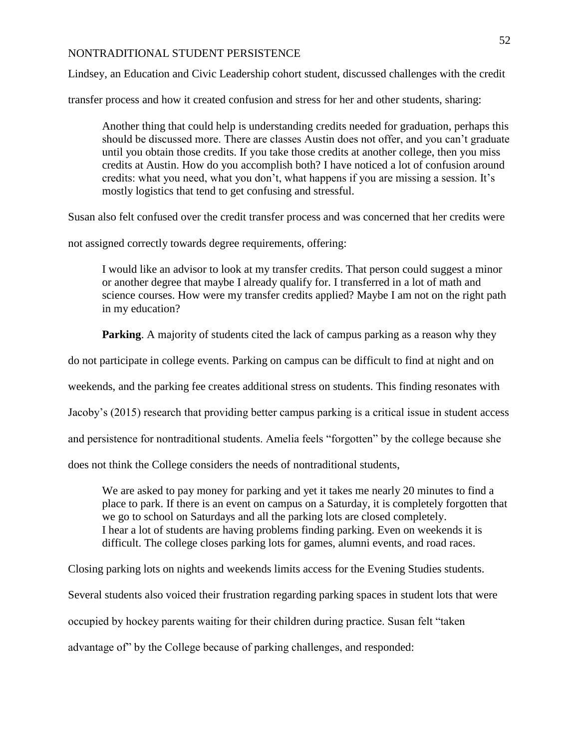Lindsey, an Education and Civic Leadership cohort student, discussed challenges with the credit

transfer process and how it created confusion and stress for her and other students, sharing:

Another thing that could help is understanding credits needed for graduation, perhaps this should be discussed more. There are classes Austin does not offer, and you can't graduate until you obtain those credits. If you take those credits at another college, then you miss credits at Austin. How do you accomplish both? I have noticed a lot of confusion around credits: what you need, what you don't, what happens if you are missing a session. It's mostly logistics that tend to get confusing and stressful.

Susan also felt confused over the credit transfer process and was concerned that her credits were

not assigned correctly towards degree requirements, offering:

I would like an advisor to look at my transfer credits. That person could suggest a minor or another degree that maybe I already qualify for. I transferred in a lot of math and science courses. How were my transfer credits applied? Maybe I am not on the right path in my education?

**Parking**. A majority of students cited the lack of campus parking as a reason why they

do not participate in college events. Parking on campus can be difficult to find at night and on

weekends, and the parking fee creates additional stress on students. This finding resonates with

Jacoby's (2015) research that providing better campus parking is a critical issue in student access

and persistence for nontraditional students. Amelia feels "forgotten" by the college because she

does not think the College considers the needs of nontraditional students,

We are asked to pay money for parking and yet it takes me nearly 20 minutes to find a place to park. If there is an event on campus on a Saturday, it is completely forgotten that we go to school on Saturdays and all the parking lots are closed completely. I hear a lot of students are having problems finding parking. Even on weekends it is difficult. The college closes parking lots for games, alumni events, and road races.

Closing parking lots on nights and weekends limits access for the Evening Studies students.

Several students also voiced their frustration regarding parking spaces in student lots that were

occupied by hockey parents waiting for their children during practice. Susan felt "taken

advantage of" by the College because of parking challenges, and responded: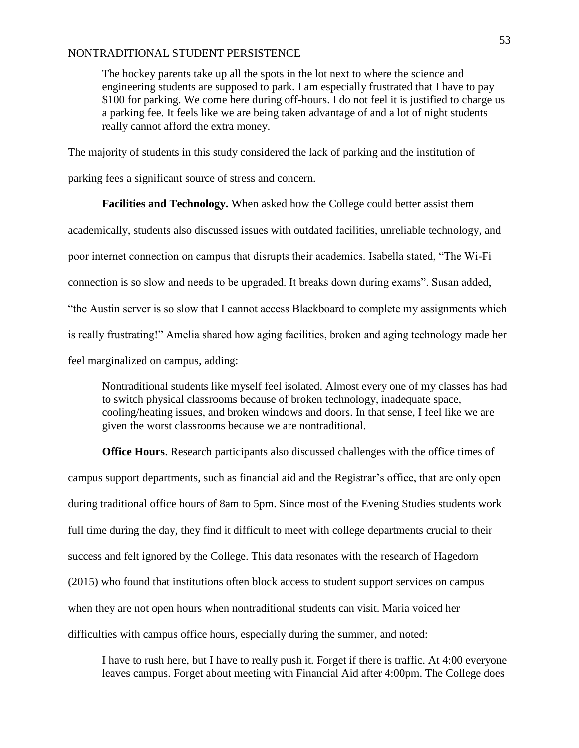The hockey parents take up all the spots in the lot next to where the science and engineering students are supposed to park. I am especially frustrated that I have to pay \$100 for parking. We come here during off-hours. I do not feel it is justified to charge us a parking fee. It feels like we are being taken advantage of and a lot of night students really cannot afford the extra money.

The majority of students in this study considered the lack of parking and the institution of

parking fees a significant source of stress and concern.

**Facilities and Technology.** When asked how the College could better assist them academically, students also discussed issues with outdated facilities, unreliable technology, and poor internet connection on campus that disrupts their academics. Isabella stated, "The Wi-Fi connection is so slow and needs to be upgraded. It breaks down during exams". Susan added, "the Austin server is so slow that I cannot access Blackboard to complete my assignments which is really frustrating!" Amelia shared how aging facilities, broken and aging technology made her feel marginalized on campus, adding:

Nontraditional students like myself feel isolated. Almost every one of my classes has had to switch physical classrooms because of broken technology, inadequate space, cooling/heating issues, and broken windows and doors. In that sense, I feel like we are given the worst classrooms because we are nontraditional.

**Office Hours**. Research participants also discussed challenges with the office times of campus support departments, such as financial aid and the Registrar's office, that are only open during traditional office hours of 8am to 5pm. Since most of the Evening Studies students work full time during the day, they find it difficult to meet with college departments crucial to their success and felt ignored by the College. This data resonates with the research of Hagedorn (2015) who found that institutions often block access to student support services on campus when they are not open hours when nontraditional students can visit. Maria voiced her difficulties with campus office hours, especially during the summer, and noted:

I have to rush here, but I have to really push it. Forget if there is traffic. At 4:00 everyone leaves campus. Forget about meeting with Financial Aid after 4:00pm. The College does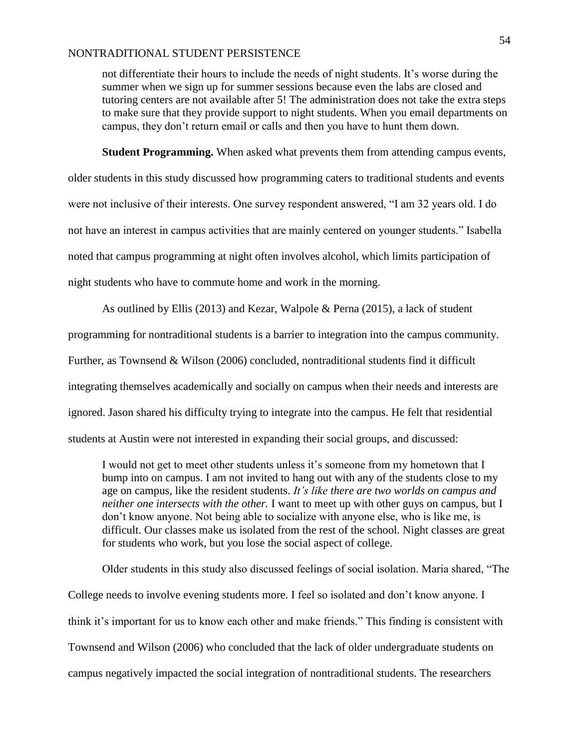not differentiate their hours to include the needs of night students. It's worse during the summer when we sign up for summer sessions because even the labs are closed and tutoring centers are not available after 5! The administration does not take the extra steps to make sure that they provide support to night students. When you email departments on campus, they don't return email or calls and then you have to hunt them down.

**Student Programming.** When asked what prevents them from attending campus events,

older students in this study discussed how programming caters to traditional students and events were not inclusive of their interests. One survey respondent answered, "I am 32 years old. I do not have an interest in campus activities that are mainly centered on younger students." Isabella noted that campus programming at night often involves alcohol, which limits participation of night students who have to commute home and work in the morning.

As outlined by Ellis (2013) and Kezar, Walpole & Perna (2015), a lack of student programming for nontraditional students is a barrier to integration into the campus community. Further, as Townsend & Wilson (2006) concluded, nontraditional students find it difficult integrating themselves academically and socially on campus when their needs and interests are ignored. Jason shared his difficulty trying to integrate into the campus. He felt that residential students at Austin were not interested in expanding their social groups, and discussed:

I would not get to meet other students unless it's someone from my hometown that I bump into on campus. I am not invited to hang out with any of the students close to my age on campus, like the resident students. *It's like there are two worlds on campus and neither one intersects with the other.* I want to meet up with other guys on campus, but I don't know anyone. Not being able to socialize with anyone else, who is like me, is difficult. Our classes make us isolated from the rest of the school. Night classes are great for students who work, but you lose the social aspect of college.

Older students in this study also discussed feelings of social isolation. Maria shared, "The College needs to involve evening students more. I feel so isolated and don't know anyone. I think it's important for us to know each other and make friends." This finding is consistent with Townsend and Wilson (2006) who concluded that the lack of older undergraduate students on campus negatively impacted the social integration of nontraditional students. The researchers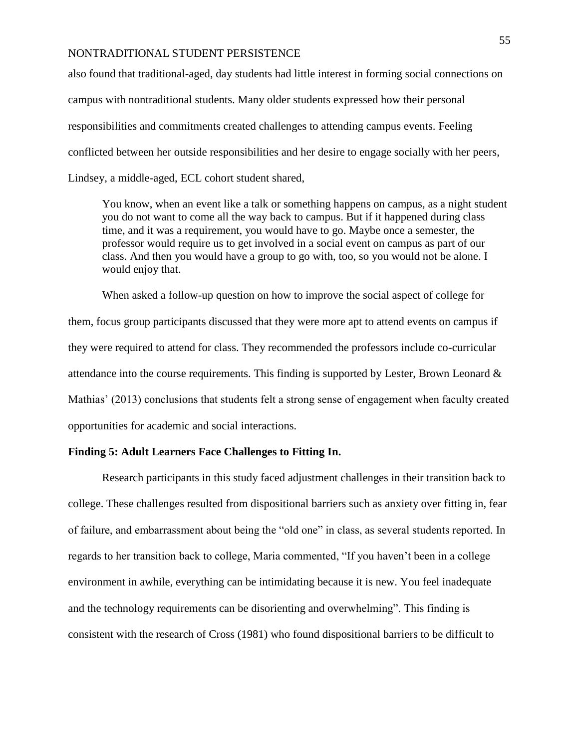also found that traditional-aged, day students had little interest in forming social connections on campus with nontraditional students. Many older students expressed how their personal responsibilities and commitments created challenges to attending campus events. Feeling conflicted between her outside responsibilities and her desire to engage socially with her peers, Lindsey, a middle-aged, ECL cohort student shared,

You know, when an event like a talk or something happens on campus, as a night student you do not want to come all the way back to campus. But if it happened during class time, and it was a requirement, you would have to go. Maybe once a semester, the professor would require us to get involved in a social event on campus as part of our class. And then you would have a group to go with, too, so you would not be alone. I would enjoy that.

When asked a follow-up question on how to improve the social aspect of college for them, focus group participants discussed that they were more apt to attend events on campus if they were required to attend for class. They recommended the professors include co-curricular attendance into the course requirements. This finding is supported by Lester, Brown Leonard & Mathias' (2013) conclusions that students felt a strong sense of engagement when faculty created opportunities for academic and social interactions.

## **Finding 5: Adult Learners Face Challenges to Fitting In.**

Research participants in this study faced adjustment challenges in their transition back to college. These challenges resulted from dispositional barriers such as anxiety over fitting in, fear of failure, and embarrassment about being the "old one" in class, as several students reported. In regards to her transition back to college, Maria commented, "If you haven't been in a college environment in awhile, everything can be intimidating because it is new. You feel inadequate and the technology requirements can be disorienting and overwhelming". This finding is consistent with the research of Cross (1981) who found dispositional barriers to be difficult to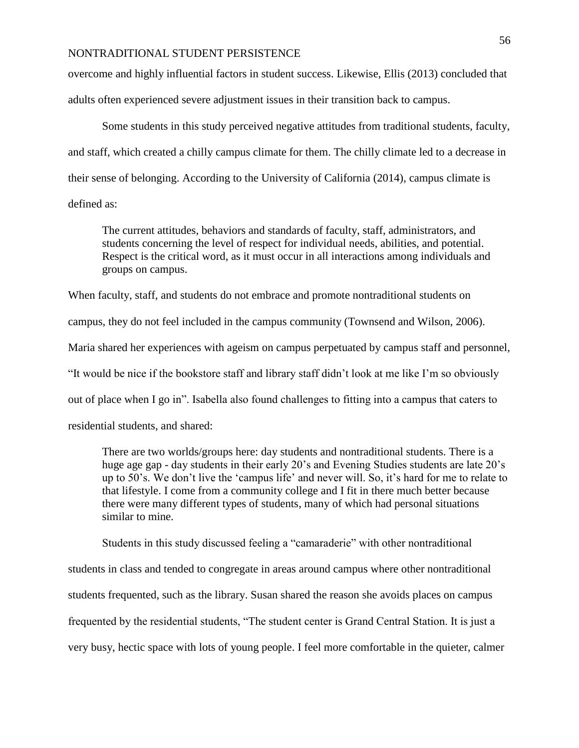overcome and highly influential factors in student success. Likewise, Ellis (2013) concluded that adults often experienced severe adjustment issues in their transition back to campus.

Some students in this study perceived negative attitudes from traditional students, faculty, and staff, which created a chilly campus climate for them. The chilly climate led to a decrease in their sense of belonging. According to the University of California (2014), campus climate is defined as:

The current attitudes, behaviors and standards of faculty, staff, administrators, and students concerning the level of respect for individual needs, abilities, and potential. Respect is the critical word, as it must occur in all interactions among individuals and groups on campus.

When faculty, staff, and students do not embrace and promote nontraditional students on campus, they do not feel included in the campus community (Townsend and Wilson, 2006). Maria shared her experiences with ageism on campus perpetuated by campus staff and personnel, "It would be nice if the bookstore staff and library staff didn't look at me like I'm so obviously out of place when I go in". Isabella also found challenges to fitting into a campus that caters to residential students, and shared:

There are two worlds/groups here: day students and nontraditional students. There is a huge age gap - day students in their early 20's and Evening Studies students are late 20's up to 50's. We don't live the 'campus life' and never will. So, it's hard for me to relate to that lifestyle. I come from a community college and I fit in there much better because there were many different types of students, many of which had personal situations similar to mine.

Students in this study discussed feeling a "camaraderie" with other nontraditional students in class and tended to congregate in areas around campus where other nontraditional students frequented, such as the library. Susan shared the reason she avoids places on campus frequented by the residential students, "The student center is Grand Central Station. It is just a very busy, hectic space with lots of young people. I feel more comfortable in the quieter, calmer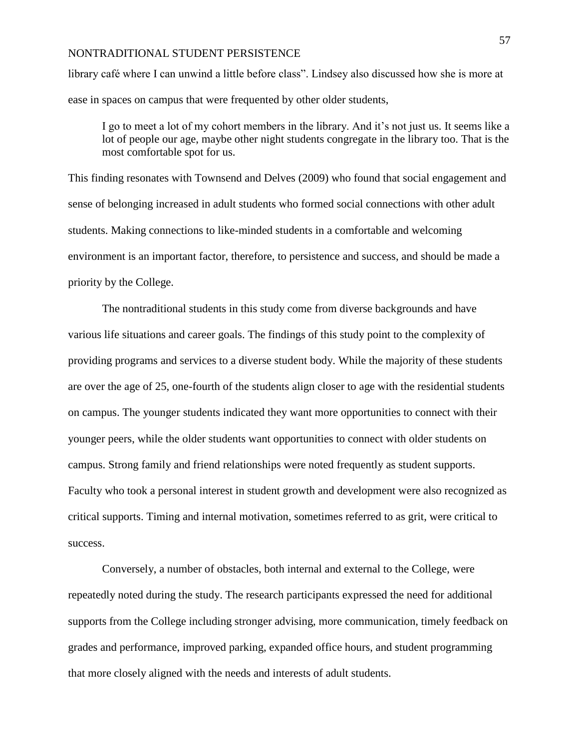library café where I can unwind a little before class". Lindsey also discussed how she is more at ease in spaces on campus that were frequented by other older students,

I go to meet a lot of my cohort members in the library. And it's not just us. It seems like a lot of people our age, maybe other night students congregate in the library too. That is the most comfortable spot for us.

This finding resonates with Townsend and Delves (2009) who found that social engagement and sense of belonging increased in adult students who formed social connections with other adult students. Making connections to like-minded students in a comfortable and welcoming environment is an important factor, therefore, to persistence and success, and should be made a priority by the College.

The nontraditional students in this study come from diverse backgrounds and have various life situations and career goals. The findings of this study point to the complexity of providing programs and services to a diverse student body. While the majority of these students are over the age of 25, one-fourth of the students align closer to age with the residential students on campus. The younger students indicated they want more opportunities to connect with their younger peers, while the older students want opportunities to connect with older students on campus. Strong family and friend relationships were noted frequently as student supports. Faculty who took a personal interest in student growth and development were also recognized as critical supports. Timing and internal motivation, sometimes referred to as grit, were critical to success.

Conversely, a number of obstacles, both internal and external to the College, were repeatedly noted during the study. The research participants expressed the need for additional supports from the College including stronger advising, more communication, timely feedback on grades and performance, improved parking, expanded office hours, and student programming that more closely aligned with the needs and interests of adult students.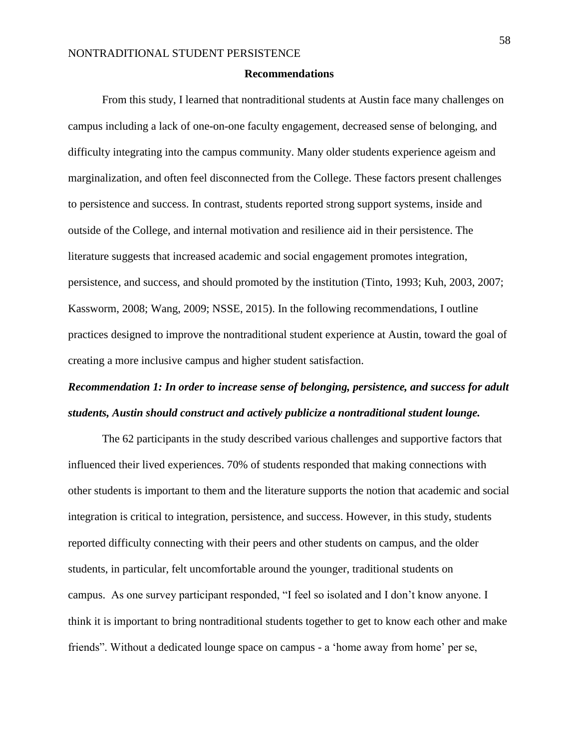#### **Recommendations**

From this study, I learned that nontraditional students at Austin face many challenges on campus including a lack of one-on-one faculty engagement, decreased sense of belonging, and difficulty integrating into the campus community. Many older students experience ageism and marginalization, and often feel disconnected from the College. These factors present challenges to persistence and success. In contrast, students reported strong support systems, inside and outside of the College, and internal motivation and resilience aid in their persistence. The literature suggests that increased academic and social engagement promotes integration, persistence, and success, and should promoted by the institution (Tinto, 1993; Kuh, 2003, 2007; Kassworm, 2008; Wang, 2009; NSSE, 2015). In the following recommendations, I outline practices designed to improve the nontraditional student experience at Austin, toward the goal of creating a more inclusive campus and higher student satisfaction.

# *Recommendation 1: In order to increase sense of belonging, persistence, and success for adult students, Austin should construct and actively publicize a nontraditional student lounge.*

The 62 participants in the study described various challenges and supportive factors that influenced their lived experiences. 70% of students responded that making connections with other students is important to them and the literature supports the notion that academic and social integration is critical to integration, persistence, and success. However, in this study, students reported difficulty connecting with their peers and other students on campus, and the older students, in particular, felt uncomfortable around the younger, traditional students on campus. As one survey participant responded, "I feel so isolated and I don't know anyone. I think it is important to bring nontraditional students together to get to know each other and make friends". Without a dedicated lounge space on campus - a 'home away from home' per se,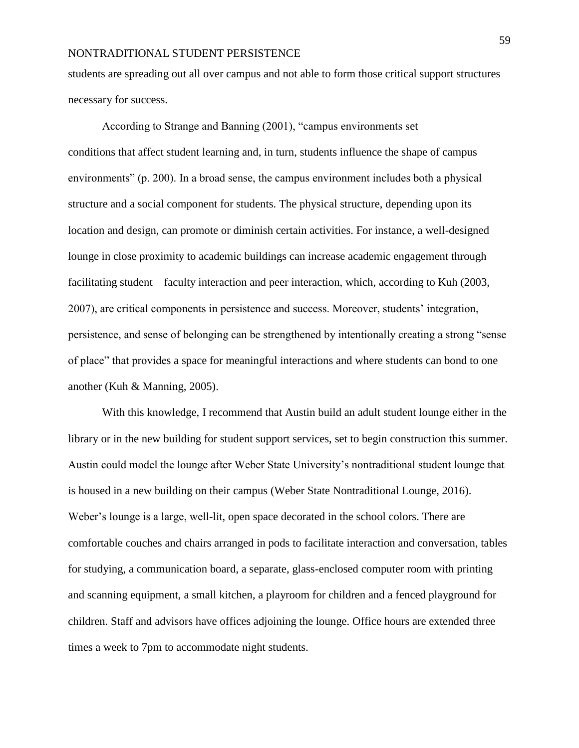students are spreading out all over campus and not able to form those critical support structures necessary for success.

According to Strange and Banning (2001), "campus environments set conditions that affect student learning and, in turn, students influence the shape of campus environments" (p. 200). In a broad sense, the campus environment includes both a physical structure and a social component for students. The physical structure, depending upon its location and design, can promote or diminish certain activities. For instance, a well-designed lounge in close proximity to academic buildings can increase academic engagement through facilitating student – faculty interaction and peer interaction, which, according to Kuh (2003, 2007), are critical components in persistence and success. Moreover, students' integration, persistence, and sense of belonging can be strengthened by intentionally creating a strong "sense of place" that provides a space for meaningful interactions and where students can bond to one another (Kuh & Manning, 2005).

With this knowledge, I recommend that Austin build an adult student lounge either in the library or in the new building for student support services, set to begin construction this summer. Austin could model the lounge after Weber State University's nontraditional student lounge that is housed in a new building on their campus (Weber State Nontraditional Lounge, 2016). Weber's lounge is a large, well-lit, open space decorated in the school colors. There are comfortable couches and chairs arranged in pods to facilitate interaction and conversation, tables for studying, a communication board, a separate, glass-enclosed computer room with printing and scanning equipment, a small kitchen, a playroom for children and a fenced playground for children. Staff and advisors have offices adjoining the lounge. Office hours are extended three times a week to 7pm to accommodate night students.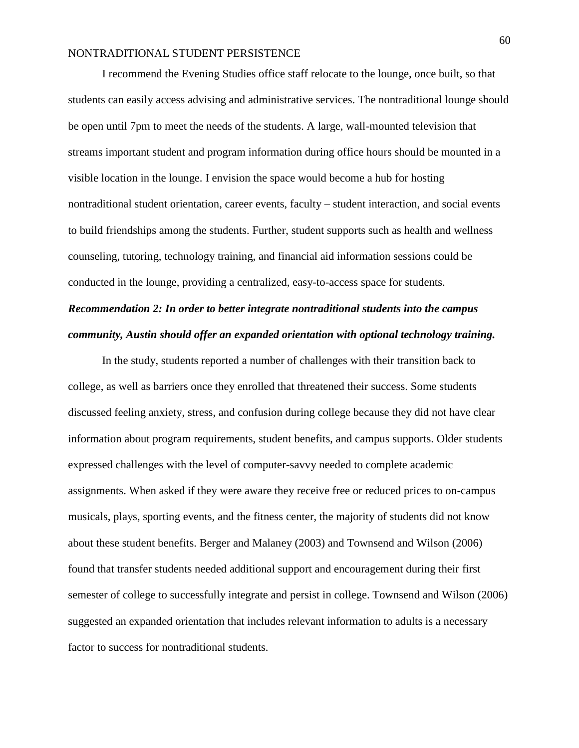I recommend the Evening Studies office staff relocate to the lounge, once built, so that students can easily access advising and administrative services. The nontraditional lounge should be open until 7pm to meet the needs of the students. A large, wall-mounted television that streams important student and program information during office hours should be mounted in a visible location in the lounge. I envision the space would become a hub for hosting nontraditional student orientation, career events, faculty – student interaction, and social events to build friendships among the students. Further, student supports such as health and wellness counseling, tutoring, technology training, and financial aid information sessions could be conducted in the lounge, providing a centralized, easy-to-access space for students.

# *Recommendation 2: In order to better integrate nontraditional students into the campus community, Austin should offer an expanded orientation with optional technology training.*

In the study, students reported a number of challenges with their transition back to college, as well as barriers once they enrolled that threatened their success. Some students discussed feeling anxiety, stress, and confusion during college because they did not have clear information about program requirements, student benefits, and campus supports. Older students expressed challenges with the level of computer-savvy needed to complete academic assignments. When asked if they were aware they receive free or reduced prices to on-campus musicals, plays, sporting events, and the fitness center, the majority of students did not know about these student benefits. Berger and Malaney (2003) and Townsend and Wilson (2006) found that transfer students needed additional support and encouragement during their first semester of college to successfully integrate and persist in college. Townsend and Wilson (2006) suggested an expanded orientation that includes relevant information to adults is a necessary factor to success for nontraditional students.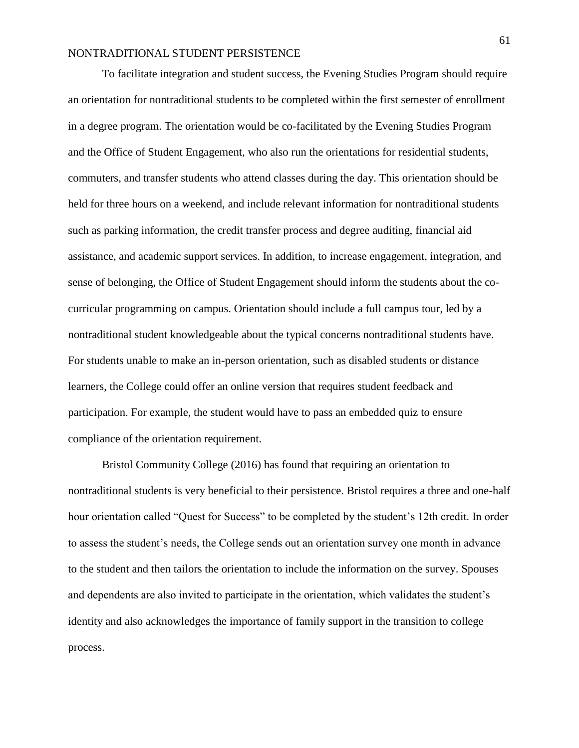To facilitate integration and student success, the Evening Studies Program should require an orientation for nontraditional students to be completed within the first semester of enrollment in a degree program. The orientation would be co-facilitated by the Evening Studies Program and the Office of Student Engagement, who also run the orientations for residential students, commuters, and transfer students who attend classes during the day. This orientation should be held for three hours on a weekend, and include relevant information for nontraditional students such as parking information, the credit transfer process and degree auditing, financial aid assistance, and academic support services. In addition, to increase engagement, integration, and sense of belonging, the Office of Student Engagement should inform the students about the cocurricular programming on campus. Orientation should include a full campus tour, led by a nontraditional student knowledgeable about the typical concerns nontraditional students have. For students unable to make an in-person orientation, such as disabled students or distance learners, the College could offer an online version that requires student feedback and participation. For example, the student would have to pass an embedded quiz to ensure compliance of the orientation requirement.

Bristol Community College (2016) has found that requiring an orientation to nontraditional students is very beneficial to their persistence. Bristol requires a three and one-half hour orientation called "Quest for Success" to be completed by the student's 12th credit. In order to assess the student's needs, the College sends out an orientation survey one month in advance to the student and then tailors the orientation to include the information on the survey. Spouses and dependents are also invited to participate in the orientation, which validates the student's identity and also acknowledges the importance of family support in the transition to college process.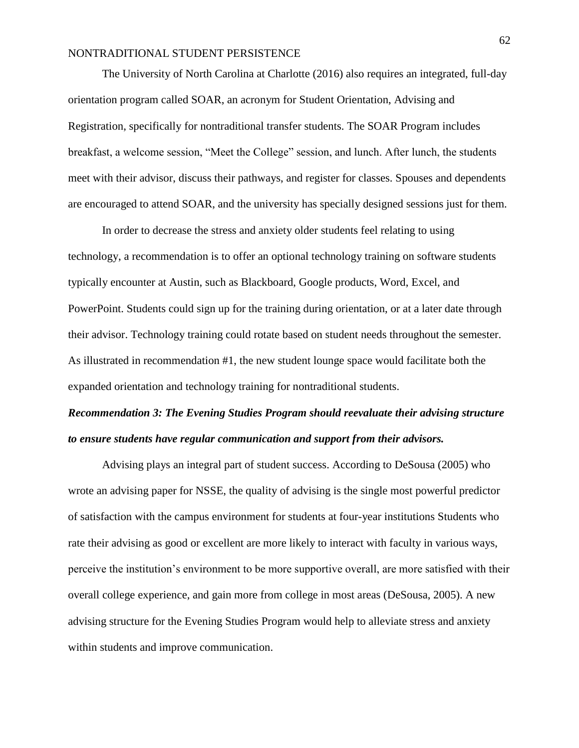The University of North Carolina at Charlotte (2016) also requires an integrated, full-day orientation program called SOAR, an acronym for Student Orientation, Advising and Registration, specifically for nontraditional transfer students. The SOAR Program includes breakfast, a welcome session, "Meet the College" session, and lunch. After lunch, the students meet with their advisor, discuss their pathways, and register for classes. Spouses and dependents are encouraged to attend SOAR, and the university has specially designed sessions just for them.

In order to decrease the stress and anxiety older students feel relating to using technology, a recommendation is to offer an optional technology training on software students typically encounter at Austin, such as Blackboard, Google products, Word, Excel, and PowerPoint. Students could sign up for the training during orientation, or at a later date through their advisor. Technology training could rotate based on student needs throughout the semester. As illustrated in recommendation #1, the new student lounge space would facilitate both the expanded orientation and technology training for nontraditional students.

# *Recommendation 3: The Evening Studies Program should reevaluate their advising structure to ensure students have regular communication and support from their advisors.*

Advising plays an integral part of student success. According to DeSousa (2005) who wrote an advising paper for NSSE, the quality of advising is the single most powerful predictor of satisfaction with the campus environment for students at four-year institutions Students who rate their advising as good or excellent are more likely to interact with faculty in various ways, perceive the institution's environment to be more supportive overall, are more satisfied with their overall college experience, and gain more from college in most areas (DeSousa, 2005). A new advising structure for the Evening Studies Program would help to alleviate stress and anxiety within students and improve communication.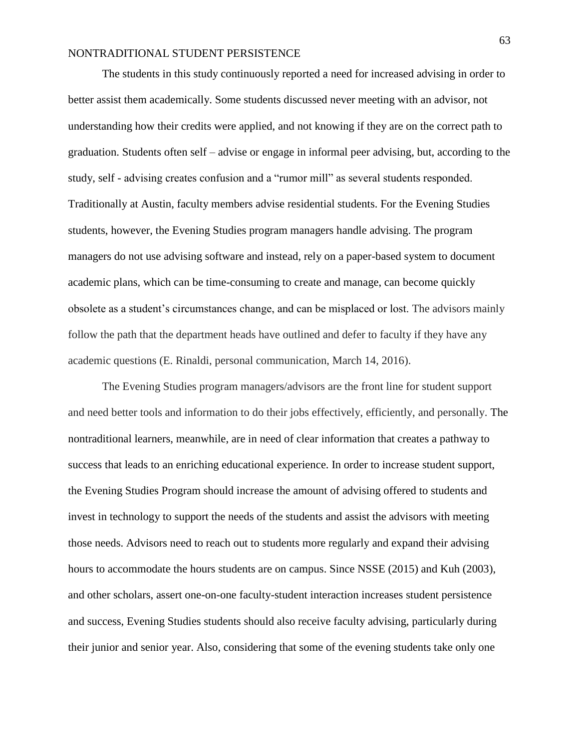The students in this study continuously reported a need for increased advising in order to better assist them academically. Some students discussed never meeting with an advisor, not understanding how their credits were applied, and not knowing if they are on the correct path to graduation. Students often self – advise or engage in informal peer advising, but, according to the study, self - advising creates confusion and a "rumor mill" as several students responded. Traditionally at Austin, faculty members advise residential students. For the Evening Studies students, however, the Evening Studies program managers handle advising. The program managers do not use advising software and instead, rely on a paper-based system to document academic plans, which can be time-consuming to create and manage, can become quickly obsolete as a student's circumstances change, and can be misplaced or lost. The advisors mainly follow the path that the department heads have outlined and defer to faculty if they have any academic questions (E. Rinaldi, personal communication, March 14, 2016).

The Evening Studies program managers/advisors are the front line for student support and need better tools and information to do their jobs effectively, efficiently, and personally. The nontraditional learners, meanwhile, are in need of clear information that creates a pathway to success that leads to an enriching educational experience. In order to increase student support, the Evening Studies Program should increase the amount of advising offered to students and invest in technology to support the needs of the students and assist the advisors with meeting those needs. Advisors need to reach out to students more regularly and expand their advising hours to accommodate the hours students are on campus. Since NSSE (2015) and Kuh (2003), and other scholars, assert one-on-one faculty-student interaction increases student persistence and success, Evening Studies students should also receive faculty advising, particularly during their junior and senior year. Also, considering that some of the evening students take only one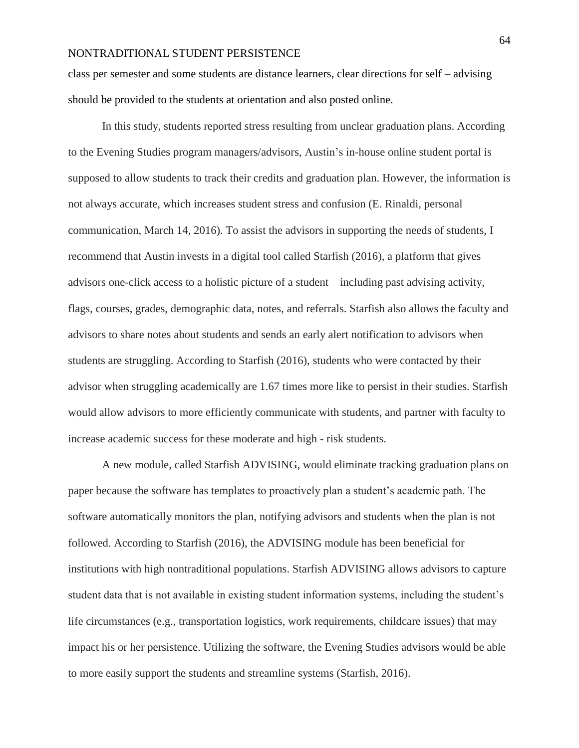class per semester and some students are distance learners, clear directions for self – advising should be provided to the students at orientation and also posted online.

In this study, students reported stress resulting from unclear graduation plans. According to the Evening Studies program managers/advisors, Austin's in-house online student portal is supposed to allow students to track their credits and graduation plan. However, the information is not always accurate, which increases student stress and confusion (E. Rinaldi, personal communication, March 14, 2016). To assist the advisors in supporting the needs of students, I recommend that Austin invests in a digital tool called Starfish (2016), a platform that gives advisors one-click access to a holistic picture of a student – including past advising activity, flags, courses, grades, demographic data, notes, and referrals. Starfish also allows the faculty and advisors to share notes about students and sends an early alert notification to advisors when students are struggling. According to Starfish (2016), students who were contacted by their advisor when struggling academically are 1.67 times more like to persist in their studies. Starfish would allow advisors to more efficiently communicate with students, and partner with faculty to increase academic success for these moderate and high - risk students.

A new module, called Starfish ADVISING, would eliminate tracking graduation plans on paper because the software has templates to proactively plan a student's academic path. The software automatically monitors the plan, notifying advisors and students when the plan is not followed. According to Starfish (2016), the ADVISING module has been beneficial for institutions with high nontraditional populations. Starfish ADVISING allows advisors to capture student data that is not available in existing student information systems, including the student's life circumstances (e.g., transportation logistics, work requirements, childcare issues) that may impact his or her persistence. Utilizing the software, the Evening Studies advisors would be able to more easily support the students and streamline systems (Starfish, 2016).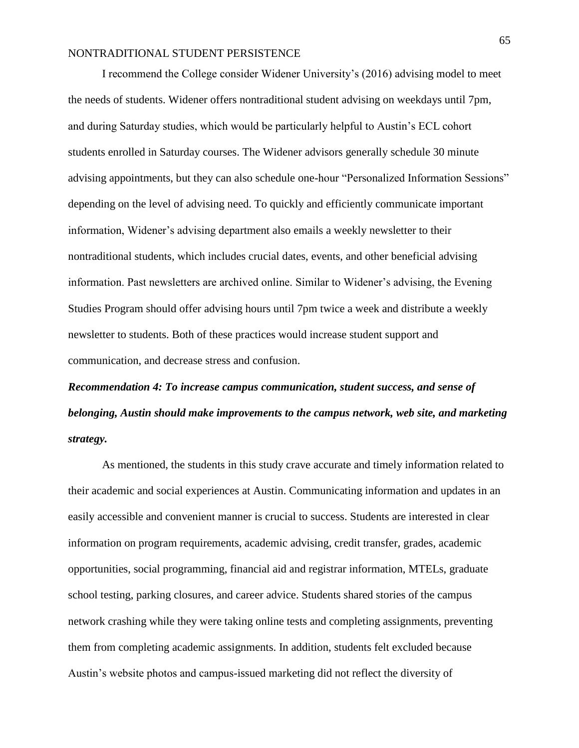I recommend the College consider Widener University's (2016) advising model to meet the needs of students. Widener offers nontraditional student advising on weekdays until 7pm, and during Saturday studies, which would be particularly helpful to Austin's ECL cohort students enrolled in Saturday courses. The Widener advisors generally schedule 30 minute advising appointments, but they can also schedule one-hour "Personalized Information Sessions" depending on the level of advising need. To quickly and efficiently communicate important information, Widener's advising department also emails a weekly newsletter to their nontraditional students, which includes crucial dates, events, and other beneficial advising information. Past newsletters are archived online. Similar to Widener's advising, the Evening Studies Program should offer advising hours until 7pm twice a week and distribute a weekly newsletter to students. Both of these practices would increase student support and communication, and decrease stress and confusion.

# *Recommendation 4: To increase campus communication, student success, and sense of belonging, Austin should make improvements to the campus network, web site, and marketing strategy.*

As mentioned, the students in this study crave accurate and timely information related to their academic and social experiences at Austin. Communicating information and updates in an easily accessible and convenient manner is crucial to success. Students are interested in clear information on program requirements, academic advising, credit transfer, grades, academic opportunities, social programming, financial aid and registrar information, MTELs, graduate school testing, parking closures, and career advice. Students shared stories of the campus network crashing while they were taking online tests and completing assignments, preventing them from completing academic assignments. In addition, students felt excluded because Austin's website photos and campus-issued marketing did not reflect the diversity of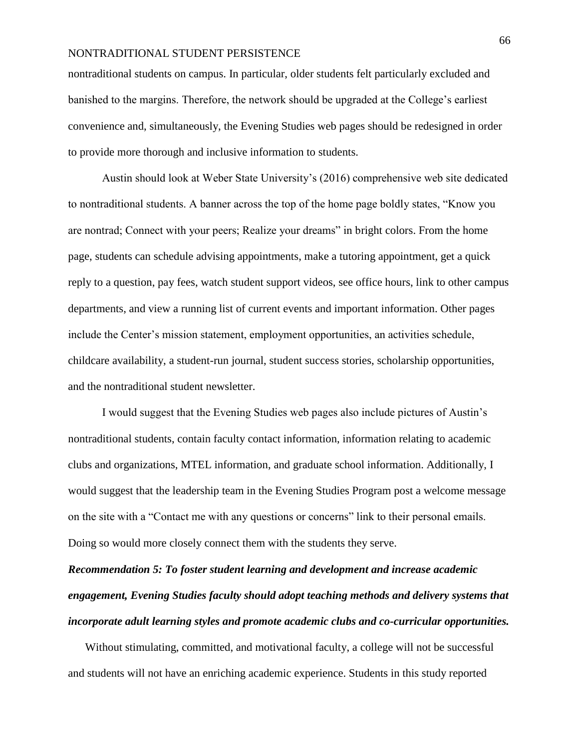nontraditional students on campus. In particular, older students felt particularly excluded and banished to the margins. Therefore, the network should be upgraded at the College's earliest convenience and, simultaneously, the Evening Studies web pages should be redesigned in order to provide more thorough and inclusive information to students.

Austin should look at Weber State University's (2016) comprehensive web site dedicated to nontraditional students. A banner across the top of the home page boldly states, "Know you are nontrad; Connect with your peers; Realize your dreams" in bright colors. From the home page, students can schedule advising appointments, make a tutoring appointment, get a quick reply to a question, pay fees, watch student support videos, see office hours, link to other campus departments, and view a running list of current events and important information. Other pages include the Center's mission statement, employment opportunities, an activities schedule, childcare availability, a student-run journal, student success stories, scholarship opportunities, and the nontraditional student newsletter.

I would suggest that the Evening Studies web pages also include pictures of Austin's nontraditional students, contain faculty contact information, information relating to academic clubs and organizations, MTEL information, and graduate school information. Additionally, I would suggest that the leadership team in the Evening Studies Program post a welcome message on the site with a "Contact me with any questions or concerns" link to their personal emails. Doing so would more closely connect them with the students they serve.

*Recommendation 5: To foster student learning and development and increase academic engagement, Evening Studies faculty should adopt teaching methods and delivery systems that incorporate adult learning styles and promote academic clubs and co-curricular opportunities.*

Without stimulating, committed, and motivational faculty, a college will not be successful and students will not have an enriching academic experience. Students in this study reported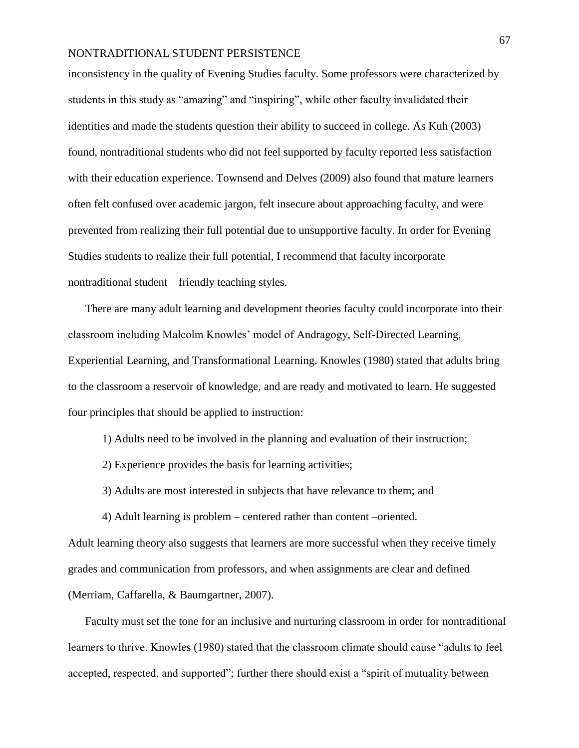inconsistency in the quality of Evening Studies faculty. Some professors were characterized by students in this study as "amazing" and "inspiring", while other faculty invalidated their identities and made the students question their ability to succeed in college. As Kuh (2003) found, nontraditional students who did not feel supported by faculty reported less satisfaction with their education experience. Townsend and Delves (2009) also found that mature learners often felt confused over academic jargon, felt insecure about approaching faculty, and were prevented from realizing their full potential due to unsupportive faculty. In order for Evening Studies students to realize their full potential, I recommend that faculty incorporate nontraditional student – friendly teaching styles.

There are many adult learning and development theories faculty could incorporate into their classroom including Malcolm Knowles' model of Andragogy, Self-Directed Learning, Experiential Learning, and Transformational Learning. Knowles (1980) stated that adults bring to the classroom a reservoir of knowledge, and are ready and motivated to learn. He suggested four principles that should be applied to instruction:

1) Adults need to be involved in the planning and evaluation of their instruction;

2) Experience provides the basis for learning activities;

3) Adults are most interested in subjects that have relevance to them; and

4) Adult learning is problem – centered rather than content –oriented.

Adult learning theory also suggests that learners are more successful when they receive timely grades and communication from professors, and when assignments are clear and defined (Merriam, Caffarella, & Baumgartner, 2007).

Faculty must set the tone for an inclusive and nurturing classroom in order for nontraditional learners to thrive. Knowles (1980) stated that the classroom climate should cause "adults to feel accepted, respected, and supported"; further there should exist a "spirit of mutuality between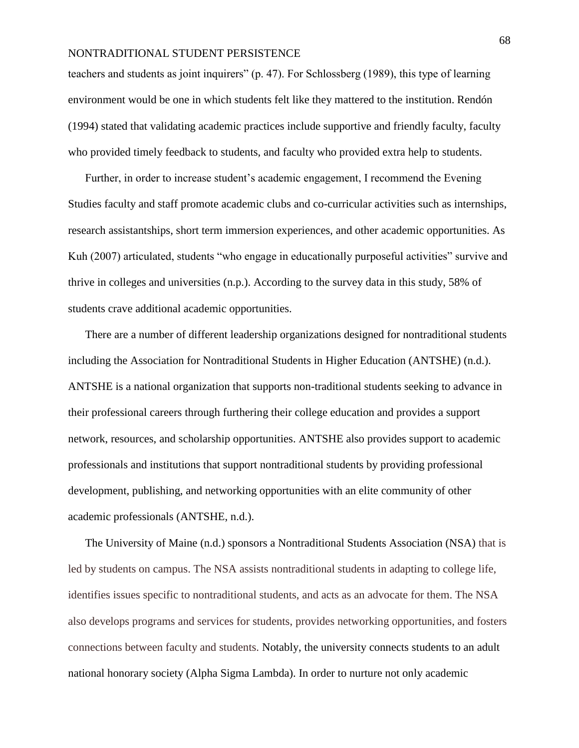teachers and students as joint inquirers" (p. 47). For Schlossberg (1989), this type of learning environment would be one in which students felt like they mattered to the institution. Rendón (1994) stated that validating academic practices include supportive and friendly faculty, faculty who provided timely feedback to students, and faculty who provided extra help to students.

Further, in order to increase student's academic engagement, I recommend the Evening Studies faculty and staff promote academic clubs and co-curricular activities such as internships, research assistantships, short term immersion experiences, and other academic opportunities. As Kuh (2007) articulated, students "who engage in educationally purposeful activities" survive and thrive in colleges and universities (n.p.). According to the survey data in this study, 58% of students crave additional academic opportunities.

There are a number of different leadership organizations designed for nontraditional students including the Association for Nontraditional Students in Higher Education (ANTSHE) (n.d.). ANTSHE is a national organization that supports non-traditional students seeking to advance in their professional careers through furthering their college education and provides a support network, resources, and scholarship opportunities. ANTSHE also provides support to academic professionals and institutions that support nontraditional students by providing professional development, publishing, and networking opportunities with an elite community of other academic professionals (ANTSHE, n.d.).

The University of Maine (n.d.) sponsors a Nontraditional Students Association (NSA) that is led by students on campus. The NSA assists nontraditional students in adapting to college life, identifies issues specific to nontraditional students, and acts as an advocate for them. The NSA also develops programs and services for students, provides networking opportunities, and fosters connections between faculty and students. Notably, the university connects students to an adult national honorary society (Alpha Sigma Lambda). In order to nurture not only academic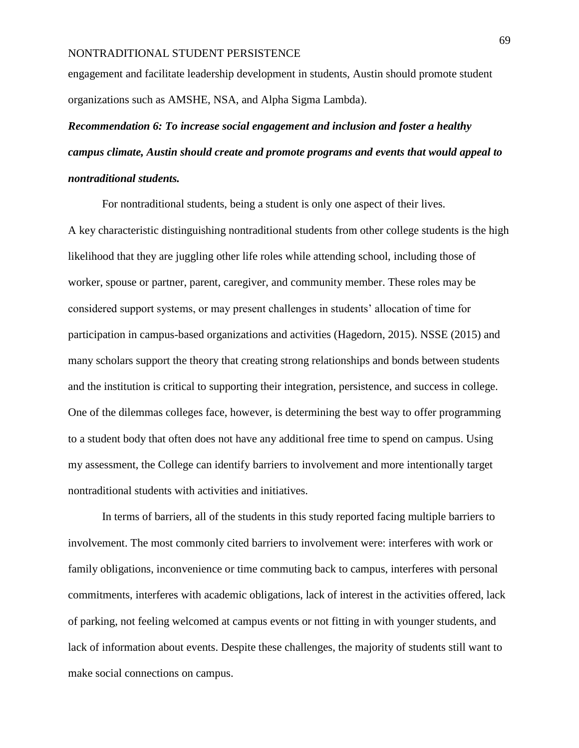engagement and facilitate leadership development in students, Austin should promote student organizations such as AMSHE, NSA, and Alpha Sigma Lambda).

# *Recommendation 6: To increase social engagement and inclusion and foster a healthy campus climate, Austin should create and promote programs and events that would appeal to nontraditional students.*

For nontraditional students, being a student is only one aspect of their lives.

A key characteristic distinguishing nontraditional students from other college students is the high likelihood that they are juggling other life roles while attending school, including those of worker, spouse or partner, parent, caregiver, and community member. These roles may be considered support systems, or may present challenges in students' allocation of time for participation in campus-based organizations and activities (Hagedorn, 2015). NSSE (2015) and many scholars support the theory that creating strong relationships and bonds between students and the institution is critical to supporting their integration, persistence, and success in college. One of the dilemmas colleges face, however, is determining the best way to offer programming to a student body that often does not have any additional free time to spend on campus. Using my assessment, the College can identify barriers to involvement and more intentionally target nontraditional students with activities and initiatives.

In terms of barriers, all of the students in this study reported facing multiple barriers to involvement. The most commonly cited barriers to involvement were: interferes with work or family obligations, inconvenience or time commuting back to campus, interferes with personal commitments, interferes with academic obligations, lack of interest in the activities offered, lack of parking, not feeling welcomed at campus events or not fitting in with younger students, and lack of information about events. Despite these challenges, the majority of students still want to make social connections on campus.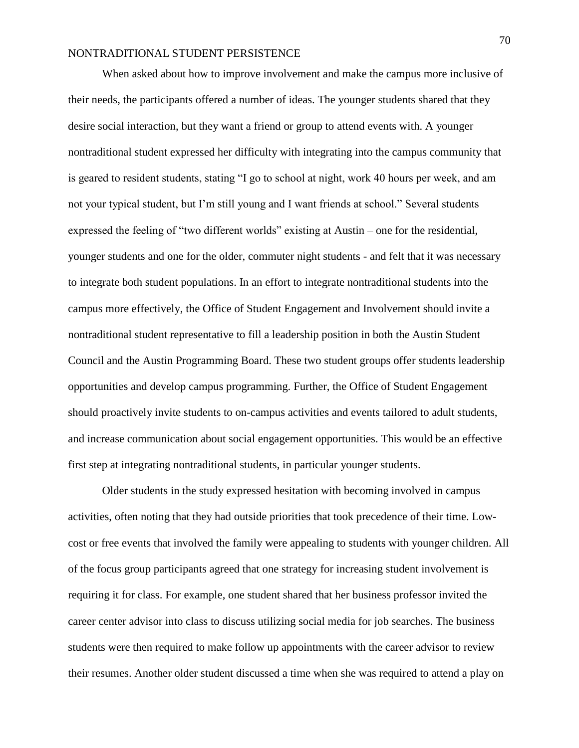When asked about how to improve involvement and make the campus more inclusive of their needs, the participants offered a number of ideas. The younger students shared that they desire social interaction, but they want a friend or group to attend events with. A younger nontraditional student expressed her difficulty with integrating into the campus community that is geared to resident students, stating "I go to school at night, work 40 hours per week, and am not your typical student, but I'm still young and I want friends at school." Several students expressed the feeling of "two different worlds" existing at Austin – one for the residential, younger students and one for the older, commuter night students - and felt that it was necessary to integrate both student populations. In an effort to integrate nontraditional students into the campus more effectively, the Office of Student Engagement and Involvement should invite a nontraditional student representative to fill a leadership position in both the Austin Student Council and the Austin Programming Board. These two student groups offer students leadership opportunities and develop campus programming. Further, the Office of Student Engagement should proactively invite students to on-campus activities and events tailored to adult students, and increase communication about social engagement opportunities. This would be an effective first step at integrating nontraditional students, in particular younger students.

Older students in the study expressed hesitation with becoming involved in campus activities, often noting that they had outside priorities that took precedence of their time. Lowcost or free events that involved the family were appealing to students with younger children. All of the focus group participants agreed that one strategy for increasing student involvement is requiring it for class. For example, one student shared that her business professor invited the career center advisor into class to discuss utilizing social media for job searches. The business students were then required to make follow up appointments with the career advisor to review their resumes. Another older student discussed a time when she was required to attend a play on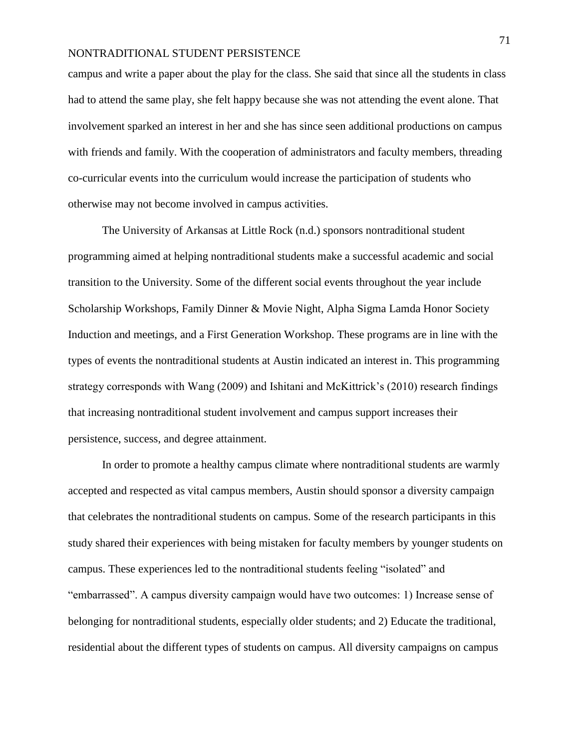campus and write a paper about the play for the class. She said that since all the students in class had to attend the same play, she felt happy because she was not attending the event alone. That involvement sparked an interest in her and she has since seen additional productions on campus with friends and family. With the cooperation of administrators and faculty members, threading co-curricular events into the curriculum would increase the participation of students who otherwise may not become involved in campus activities.

The University of Arkansas at Little Rock (n.d.) sponsors nontraditional student programming aimed at helping nontraditional students make a successful academic and social transition to the University. Some of the different social events throughout the year include Scholarship Workshops, Family Dinner & Movie Night, Alpha Sigma Lamda Honor Society Induction and meetings, and a First Generation Workshop. These programs are in line with the types of events the nontraditional students at Austin indicated an interest in. This programming strategy corresponds with Wang (2009) and Ishitani and McKittrick's (2010) research findings that increasing nontraditional student involvement and campus support increases their persistence, success, and degree attainment.

In order to promote a healthy campus climate where nontraditional students are warmly accepted and respected as vital campus members, Austin should sponsor a diversity campaign that celebrates the nontraditional students on campus. Some of the research participants in this study shared their experiences with being mistaken for faculty members by younger students on campus. These experiences led to the nontraditional students feeling "isolated" and "embarrassed". A campus diversity campaign would have two outcomes: 1) Increase sense of belonging for nontraditional students, especially older students; and 2) Educate the traditional, residential about the different types of students on campus. All diversity campaigns on campus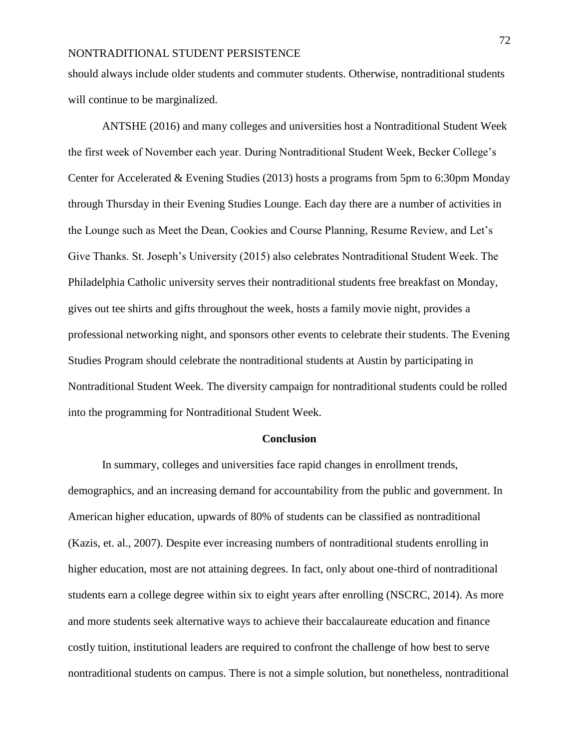should always include older students and commuter students. Otherwise, nontraditional students will continue to be marginalized.

ANTSHE (2016) and many colleges and universities host a Nontraditional Student Week the first week of November each year. During Nontraditional Student Week, Becker College's Center for Accelerated & Evening Studies (2013) hosts a programs from 5pm to 6:30pm Monday through Thursday in their Evening Studies Lounge. Each day there are a number of activities in the Lounge such as Meet the Dean, Cookies and Course Planning, Resume Review, and Let's Give Thanks. St. Joseph's University (2015) also celebrates Nontraditional Student Week. The Philadelphia Catholic university serves their nontraditional students free breakfast on Monday, gives out tee shirts and gifts throughout the week, hosts a family movie night, provides a professional networking night, and sponsors other events to celebrate their students. The Evening Studies Program should celebrate the nontraditional students at Austin by participating in Nontraditional Student Week. The diversity campaign for nontraditional students could be rolled into the programming for Nontraditional Student Week.

#### **Conclusion**

In summary, colleges and universities face rapid changes in enrollment trends, demographics, and an increasing demand for accountability from the public and government. In American higher education, upwards of 80% of students can be classified as nontraditional (Kazis, et. al., 2007). Despite ever increasing numbers of nontraditional students enrolling in higher education, most are not attaining degrees. In fact, only about one-third of nontraditional students earn a college degree within six to eight years after enrolling (NSCRC, 2014). As more and more students seek alternative ways to achieve their baccalaureate education and finance costly tuition, institutional leaders are required to confront the challenge of how best to serve nontraditional students on campus. There is not a simple solution, but nonetheless, nontraditional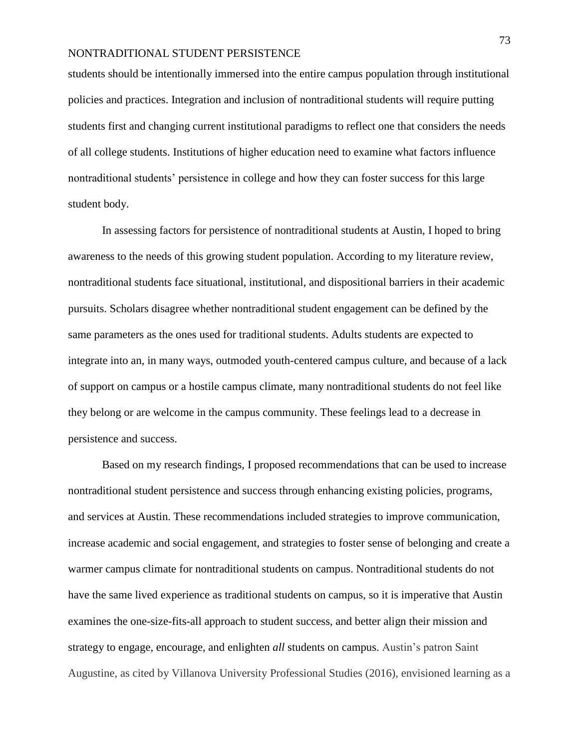students should be intentionally immersed into the entire campus population through institutional policies and practices. Integration and inclusion of nontraditional students will require putting students first and changing current institutional paradigms to reflect one that considers the needs of all college students. Institutions of higher education need to examine what factors influence nontraditional students' persistence in college and how they can foster success for this large student body.

In assessing factors for persistence of nontraditional students at Austin, I hoped to bring awareness to the needs of this growing student population. According to my literature review, nontraditional students face situational, institutional, and dispositional barriers in their academic pursuits. Scholars disagree whether nontraditional student engagement can be defined by the same parameters as the ones used for traditional students. Adults students are expected to integrate into an, in many ways, outmoded youth-centered campus culture, and because of a lack of support on campus or a hostile campus climate, many nontraditional students do not feel like they belong or are welcome in the campus community. These feelings lead to a decrease in persistence and success.

Based on my research findings, I proposed recommendations that can be used to increase nontraditional student persistence and success through enhancing existing policies, programs, and services at Austin. These recommendations included strategies to improve communication, increase academic and social engagement, and strategies to foster sense of belonging and create a warmer campus climate for nontraditional students on campus. Nontraditional students do not have the same lived experience as traditional students on campus, so it is imperative that Austin examines the one-size-fits-all approach to student success, and better align their mission and strategy to engage, encourage, and enlighten *all* students on campus. Austin's patron Saint Augustine, as cited by Villanova University Professional Studies (2016), envisioned learning as a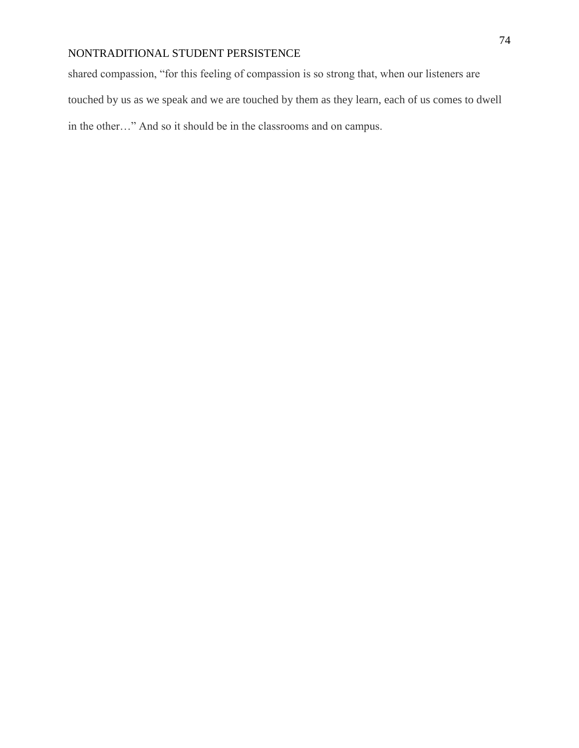shared compassion, "for this feeling of compassion is so strong that, when our listeners are touched by us as we speak and we are touched by them as they learn, each of us comes to dwell in the other…" And so it should be in the classrooms and on campus.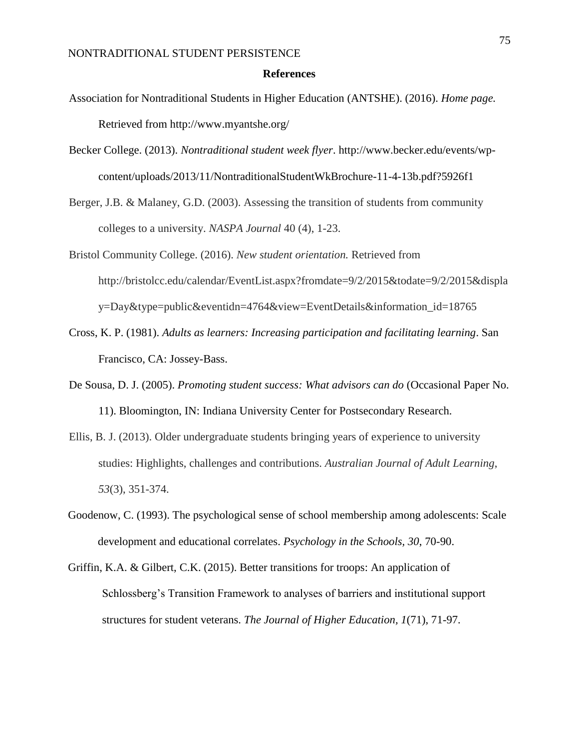#### **References**

- Association for Nontraditional Students in Higher Education (ANTSHE). (2016). *Home page.* Retrieved from http://www.myantshe.org/
- Becker College. (2013). *Nontraditional student week flyer*. http://www.becker.edu/events/wpcontent/uploads/2013/11/NontraditionalStudentWkBrochure-11-4-13b.pdf?5926f1
- Berger, J.B. & Malaney, G.D. (2003). Assessing the transition of students from community colleges to a university. *NASPA Journal* 40 (4), 1-23.
- Bristol Community College. (2016). *New student orientation.* Retrieved from http://bristolcc.edu/calendar/EventList.aspx?fromdate=9/2/2015&todate=9/2/2015&displa y=Day&type=public&eventidn=4764&view=EventDetails&information\_id=18765
- Cross, K. P. (1981). *Adults as learners: Increasing participation and facilitating learning*. San Francisco, CA: Jossey-Bass.
- De Sousa, D. J. (2005). *Promoting student success: What advisors can do* (Occasional Paper No. 11). Bloomington, IN: Indiana University Center for Postsecondary Research.
- Ellis, B. J. (2013). Older undergraduate students bringing years of experience to university studies: Highlights, challenges and contributions. *Australian Journal of Adult Learning*, *53*(3), 351-374.
- Goodenow, C. (1993). The psychological sense of school membership among adolescents: Scale development and educational correlates. *Psychology in the Schools, 30*, 70-90.
- Griffin, K.A. & Gilbert, C.K. (2015). Better transitions for troops: An application of Schlossberg's Transition Framework to analyses of barriers and institutional support structures for student veterans. *The Journal of Higher Education, 1*(71), 71-97.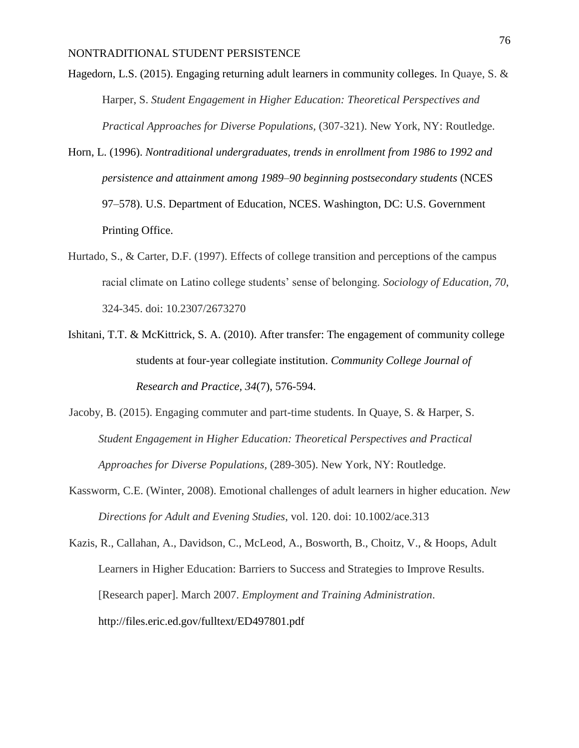- Hagedorn, L.S. (2015). Engaging returning adult learners in community colleges. In Quaye, S. & Harper, S. *Student Engagement in Higher Education: Theoretical Perspectives and Practical Approaches for Diverse Populations,* (307-321). New York, NY: Routledge.
- Horn, L. (1996). *Nontraditional undergraduates, trends in enrollment from 1986 to 1992 and persistence and attainment among 1989–90 beginning postsecondary students* (NCES 97–578). U.S. Department of Education, NCES. Washington, DC: U.S. Government Printing Office.
- Hurtado, S., & Carter, D.F. (1997). Effects of college transition and perceptions of the campus racial climate on Latino college students' sense of belonging. *Sociology of Education, 70*, 324-345. doi: 10.2307/2673270
- Ishitani, T.T. & McKittrick, S. A. (2010). After transfer: The engagement of community college students at four-year collegiate institution. *Community College Journal of Research and Practice, 34*(7), 576-594.
- Jacoby, B. (2015). Engaging commuter and part-time students. In Quaye, S. & Harper, S. *Student Engagement in Higher Education: Theoretical Perspectives and Practical Approaches for Diverse Populations,* (289-305). New York, NY: Routledge.
- Kassworm, C.E. (Winter, 2008). Emotional challenges of adult learners in higher education. *New Directions for Adult and Evening Studies*, vol. 120. doi: 10.1002/ace.313
- Kazis, R., Callahan, A., Davidson, C., McLeod, A., Bosworth, B., Choitz, V., & Hoops, Adult Learners in Higher Education: Barriers to Success and Strategies to Improve Results. [Research paper]. March 2007. *Employment and Training Administration*[.](http://files.eric.ed.gov/fulltext/ED497801.pdf) <http://files.eric.ed.gov/fulltext/ED497801.pdf>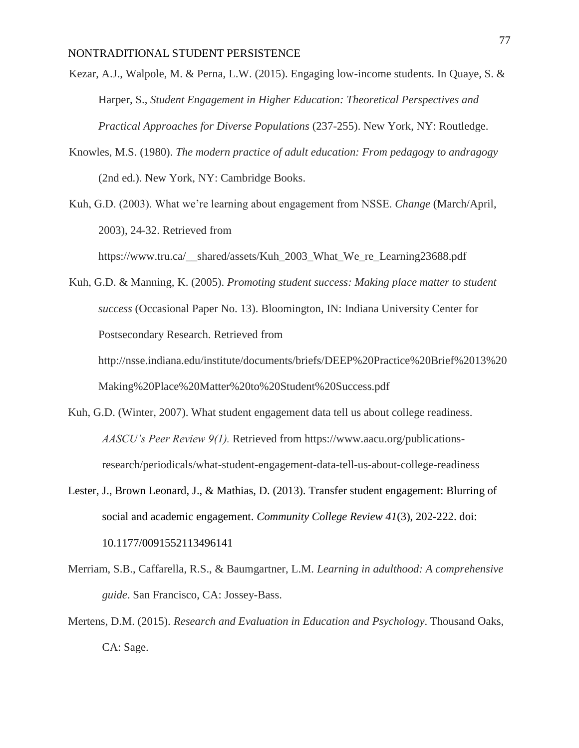- Kezar, A.J., Walpole, M. & Perna, L.W. (2015). Engaging low-income students. In Quaye, S. & Harper, S., *Student Engagement in Higher Education: Theoretical Perspectives and Practical Approaches for Diverse Populations* (237-255). New York, NY: Routledge.
- Knowles, M.S. (1980). *The modern practice of adult education: From pedagogy to andragogy* (2nd ed.). New York, NY: Cambridge Books.
- Kuh, G.D. (2003). What we're learning about engagement from NSSE. *Change* (March/April, 2003), 24-32. Retrieved from

https://www.tru.ca/\_\_shared/assets/Kuh\_2003\_What\_We\_re\_Learning23688.pdf

Kuh, G.D. & Manning, K. (2005). *Promoting student success: Making place matter to student success* (Occasional Paper No. 13). Bloomington, IN: Indiana University Center for Postsecondary Research. Retrieved from

http://nsse.indiana.edu/institute/documents/briefs/DEEP%20Practice%20Brief%2013%20 Making%20Place%20Matter%20to%20Student%20Success.pdf

- Kuh, G.D. (Winter, 2007). What student engagement data tell us about college readiness. *AASCU's Peer Review 9(1).* Retrieved from https://www.aacu.org/publicationsresearch/periodicals/what-student-engagement-data-tell-us-about-college-readiness
- Lester, J., Brown Leonard, J., & Mathias, D. (2013). Transfer student engagement: Blurring of social and academic engagement. *Community College Review 41*(3), 202-222. doi: 10.1177/0091552113496141
- Merriam, S.B., Caffarella, R.S., & Baumgartner, L.M. *Learning in adulthood: A comprehensive guide*. San Francisco, CA: Jossey-Bass.
- Mertens, D.M. (2015). *Research and Evaluation in Education and Psychology*. Thousand Oaks, CA: Sage.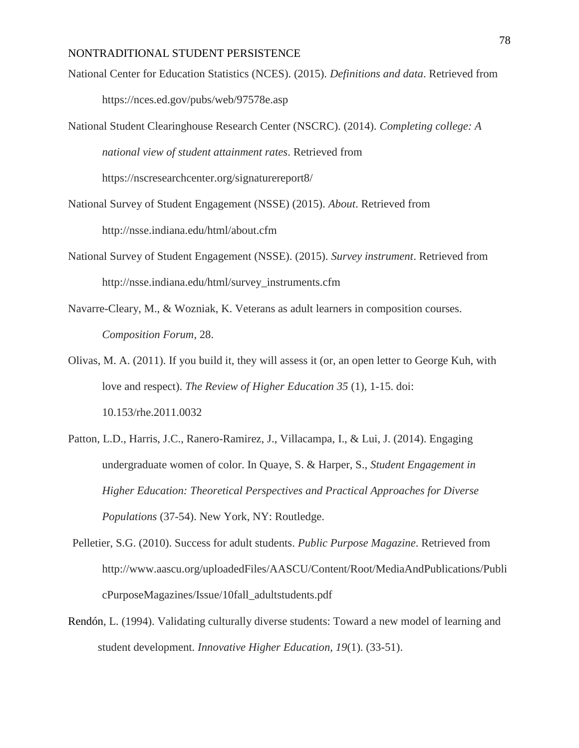- National Center for Education Statistics (NCES). (2015). *Definitions and data*. Retrieved from https://nces.ed.gov/pubs/web/97578e.asp
- National Student Clearinghouse Research Center (NSCRC). (2014). *Completing college: A national view of student attainment rates*. Retrieved from

https://nscresearchcenter.org/signaturereport8/

- National Survey of Student Engagement (NSSE) (2015). *About*. Retrieved from http://nsse.indiana.edu/html/about.cfm
- National Survey of Student Engagement (NSSE). (2015). *Survey instrument*. Retrieved from http://nsse.indiana.edu/html/survey\_instruments.cfm
- Navarre-Cleary, M., & Wozniak, K. Veterans as adult learners in composition courses. *Composition Forum*, 28.
- Olivas, M. A. (2011). If you build it, they will assess it (or, an open letter to George Kuh, with love and respect). *The Review of Higher Education 35* (1), 1-15. doi: 10.153/rhe.2011.0032
- Patton, L.D., Harris, J.C., Ranero-Ramirez, J., Villacampa, I., & Lui, J. (2014). Engaging undergraduate women of color. In Quaye, S. & Harper, S., *Student Engagement in Higher Education: Theoretical Perspectives and Practical Approaches for Diverse Populations* (37-54). New York, NY: Routledge.
- Pelletier, S.G. (2010). Success for adult students. *Public Purpose Magazine*. Retrieved from http://www.aascu.org/uploadedFiles/AASCU/Content/Root/MediaAndPublications/Publi cPurposeMagazines/Issue/10fall\_adultstudents.pdf
- Rendón, L. (1994). Validating culturally diverse students: Toward a new model of learning and student development. *Innovative Higher Education, 19*(1). (33-51).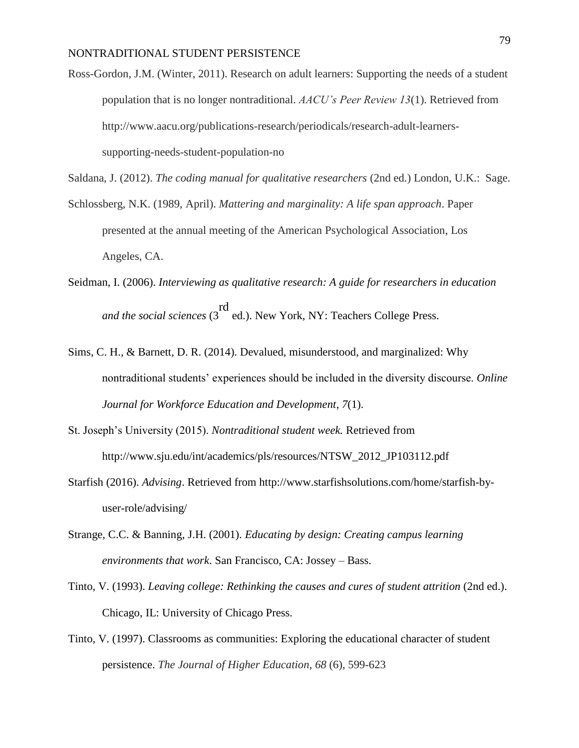Ross-Gordon, J.M. (Winter, 2011). Research on adult learners: Supporting the needs of a student population that is no longer nontraditional. *AACU's Peer Review 13*(1). Retrieved from http://www.aacu.org/publications-research/periodicals/research-adult-learnerssupporting-needs-student-population-no

Saldana, J. (2012). *The coding manual for qualitative researchers* (2nd ed.) London, U.K.: Sage.

- Schlossberg, N.K. (1989, April). *Mattering and marginality: A life span approach*. Paper presented at the annual meeting of the American Psychological Association, Los Angeles, CA.
- Seidman, I. (2006). *Interviewing as qualitative research: A guide for researchers in education and the social sciences* (3 rd ed.). New York, NY: Teachers College Press.
- Sims, C. H., & Barnett, D. R. (2014). Devalued, misunderstood, and marginalized: Why nontraditional students' experiences should be included in the diversity discourse. *Online Journal for Workforce Education and Development*, *7*(1).
- St. Joseph's University (2015). *Nontraditional student week.* Retrieved from http://www.sju.edu/int/academics/pls/resources/NTSW\_2012\_JP103112.pdf
- Starfish (2016). *Advising*. Retrieved from http://www.starfishsolutions.com/home/starfish-byuser-role/advising/
- Strange, C.C. & Banning, J.H. (2001). *Educating by design: Creating campus learning environments that work*. San Francisco, CA: Jossey – Bass.
- Tinto, V. (1993). *Leaving college: Rethinking the causes and cures of student attrition* (2nd ed.). Chicago, IL: University of Chicago Press.
- Tinto, V. (1997). Classrooms as communities: Exploring the educational character of student persistence. *The Journal of Higher Education*, *68* (6), 599-623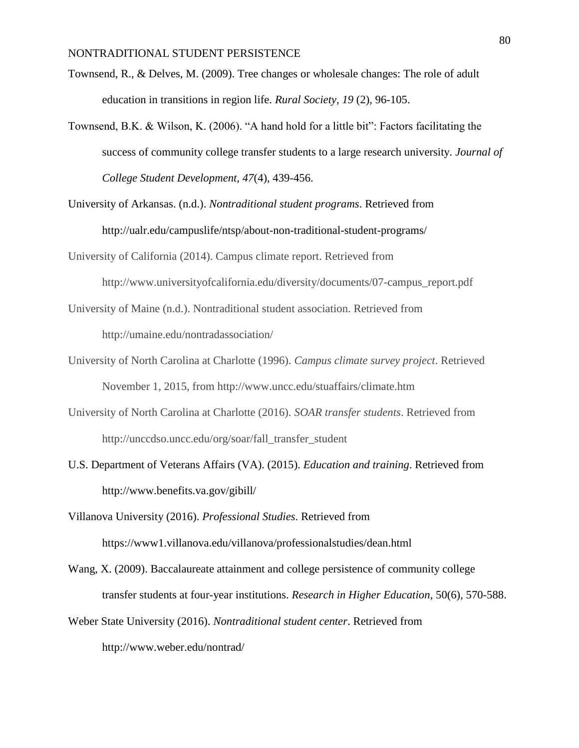- Townsend, R., & Delves, M. (2009). Tree changes or wholesale changes: The role of adult education in transitions in region life. *Rural Society, 19* (2), 96-105.
- Townsend, B.K. & Wilson, K. (2006). "A hand hold for a little bit": Factors facilitating the success of community college transfer students to a large research university. *Journal of College Student Development, 47*(4), 439-456.
- University of Arkansas. (n.d.). *Nontraditional student programs*. Retrieved from http://ualr.edu/campuslife/ntsp/about-non-traditional-student-programs/
- University of California (2014). Campus climate report. Retrieved from http://www.universityofcalifornia.edu/diversity/documents/07-campus\_report.pdf
- University of Maine (n.d.). Nontraditional student association. Retrieved from http://umaine.edu/nontradassociation/
- University of North Carolina at Charlotte (1996). *Campus climate survey project*. Retrieved November 1, 2015, from http://www.uncc.edu/stuaffairs/climate.htm
- University of North Carolina at Charlotte (2016). *SOAR transfer students*. Retrieved from http://unccdso.uncc.edu/org/soar/fall\_transfer\_student
- U.S. Department of Veterans Affairs (VA). (2015). *Education and training*. Retrieved from http://www.benefits.va.gov/gibill/
- Villanova University (2016). *Professional Studies*. Retrieved from https://www1.villanova.edu/villanova/professionalstudies/dean.html
- Wang, X. (2009). Baccalaureate attainment and college persistence of community college transfer students at four-year institutions. *Research in Higher Education*, 50(6), 570-588.
- Weber State University (2016). *Nontraditional student center*. Retrieved from http://www.weber.edu/nontrad/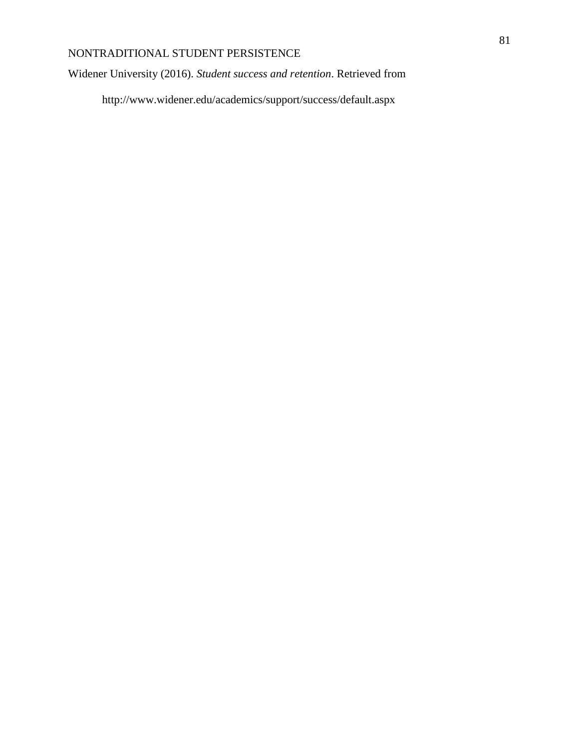Widener University (2016). *Student success and retention*. Retrieved from

http://www.widener.edu/academics/support/success/default.aspx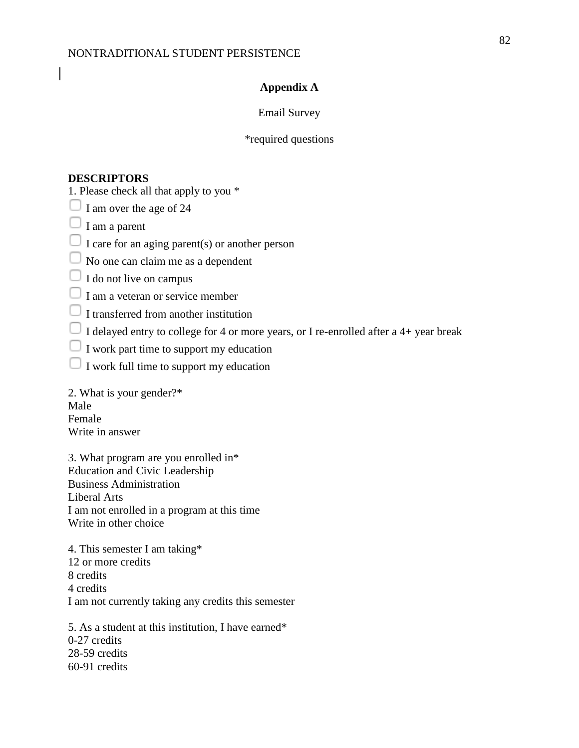#### **Appendix A**

#### Email Survey

### \*required questions

#### **DESCRIPTORS**

1. Please check all that apply to you \*

 $\Box$  I am over the age of 24

 $\Box$  I am a parent

 $\Box$  I care for an aging parent(s) or another person

 $\Box$  No one can claim me as a dependent

 $\Box$  I do not live on campus

 $\Box$  I am a veteran or service member

 $\Box$  I transferred from another institution

 $\Box$  I delayed entry to college for 4 or more years, or I re-enrolled after a 4+ year break

 $\Box$  I work part time to support my education

 $\Box$  I work full time to support my education

2. What is your gender?\* Male Female Write in answer

3. What program are you enrolled in\* Education and Civic Leadership Business Administration Liberal Arts I am not enrolled in a program at this time Write in other choice

4. This semester I am taking\* 12 or more credits 8 credits 4 credits I am not currently taking any credits this semester

5. As a student at this institution, I have earned\* 0-27 credits 28-59 credits 60-91 credits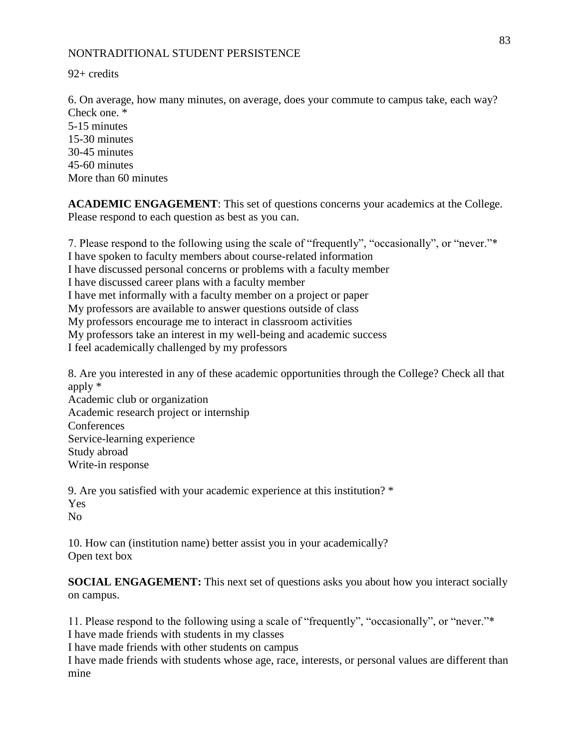92+ credits

6. On average, how many minutes, on average, does your commute to campus take, each way? Check one. \* 5-15 minutes 15-30 minutes 30-45 minutes 45-60 minutes More than 60 minutes

**ACADEMIC ENGAGEMENT**: This set of questions concerns your academics at the College. Please respond to each question as best as you can.

7. Please respond to the following using the scale of "frequently", "occasionally", or "never."\* I have spoken to faculty members about course-related information I have discussed personal concerns or problems with a faculty member I have discussed career plans with a faculty member I have met informally with a faculty member on a project or paper My professors are available to answer questions outside of class My professors encourage me to interact in classroom activities My professors take an interest in my well-being and academic success I feel academically challenged by my professors

8. Are you interested in any of these academic opportunities through the College? Check all that apply \* Academic club or organization

Academic research project or internship **Conferences** Service-learning experience Study abroad Write-in response

9. Are you satisfied with your academic experience at this institution? \* Yes  $N<sub>0</sub>$ 

10. How can (institution name) better assist you in your academically? Open text box

**SOCIAL ENGAGEMENT:** This next set of questions asks you about how you interact socially on campus.

11. Please respond to the following using a scale of "frequently", "occasionally", or "never."\*

I have made friends with students in my classes

I have made friends with other students on campus

I have made friends with students whose age, race, interests, or personal values are different than mine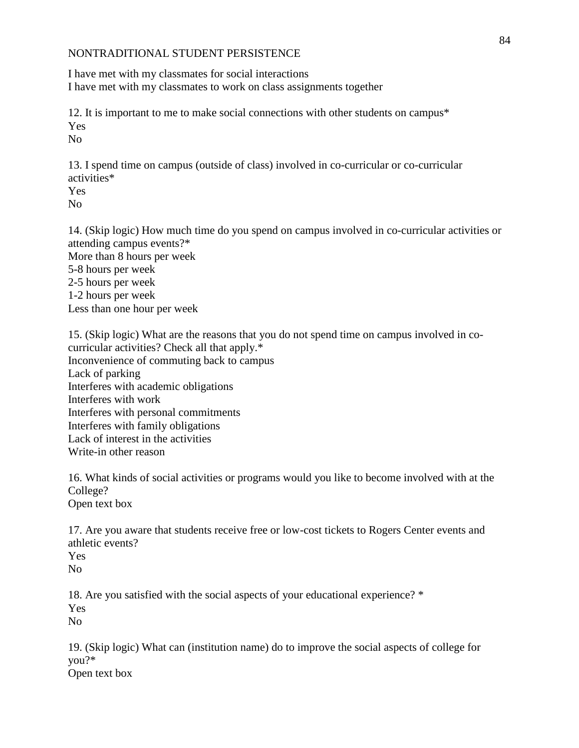I have met with my classmates for social interactions I have met with my classmates to work on class assignments together

12. It is important to me to make social connections with other students on campus\* Yes No

13. I spend time on campus (outside of class) involved in co-curricular or co-curricular activities\* Yes

No

14. (Skip logic) How much time do you spend on campus involved in co-curricular activities or attending campus events?\* More than 8 hours per week 5-8 hours per week 2-5 hours per week 1-2 hours per week Less than one hour per week

15. (Skip logic) What are the reasons that you do not spend time on campus involved in cocurricular activities? Check all that apply.\* Inconvenience of commuting back to campus Lack of parking Interferes with academic obligations Interferes with work Interferes with personal commitments Interferes with family obligations Lack of interest in the activities Write-in other reason

16. What kinds of social activities or programs would you like to become involved with at the College? Open text box

17. Are you aware that students receive free or low-cost tickets to Rogers Center events and athletic events? Yes

No

18. Are you satisfied with the social aspects of your educational experience? \* Yes No

19. (Skip logic) What can (institution name) do to improve the social aspects of college for you?\* Open text box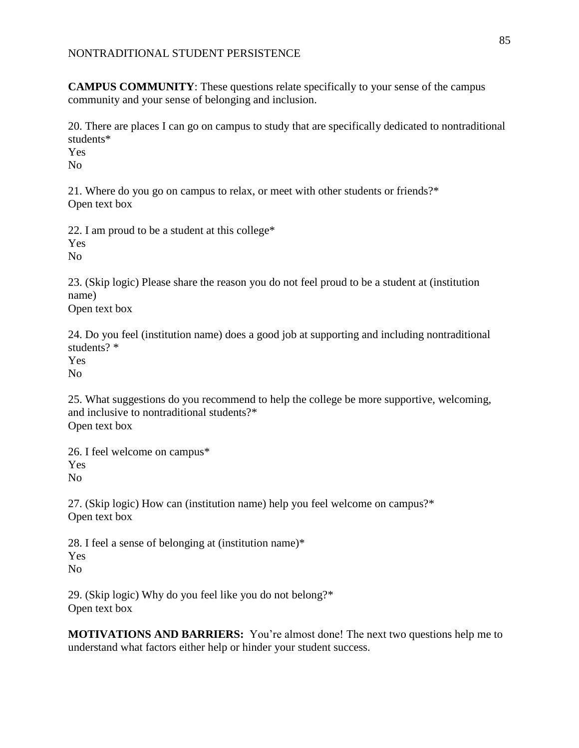**CAMPUS COMMUNITY**: These questions relate specifically to your sense of the campus community and your sense of belonging and inclusion.

20. There are places I can go on campus to study that are specifically dedicated to nontraditional students\*

Yes

No

21. Where do you go on campus to relax, or meet with other students or friends?\* Open text box

22. I am proud to be a student at this college\* Yes No

23. (Skip logic) Please share the reason you do not feel proud to be a student at (institution name)

Open text box

24. Do you feel (institution name) does a good job at supporting and including nontraditional students? \*

Yes

No

25. What suggestions do you recommend to help the college be more supportive, welcoming, and inclusive to nontraditional students?\* Open text box

26. I feel welcome on campus\* Yes No

27. (Skip logic) How can (institution name) help you feel welcome on campus?\* Open text box

28. I feel a sense of belonging at (institution name)\* Yes No

29. (Skip logic) Why do you feel like you do not belong?\* Open text box

**MOTIVATIONS AND BARRIERS:** You're almost done! The next two questions help me to understand what factors either help or hinder your student success.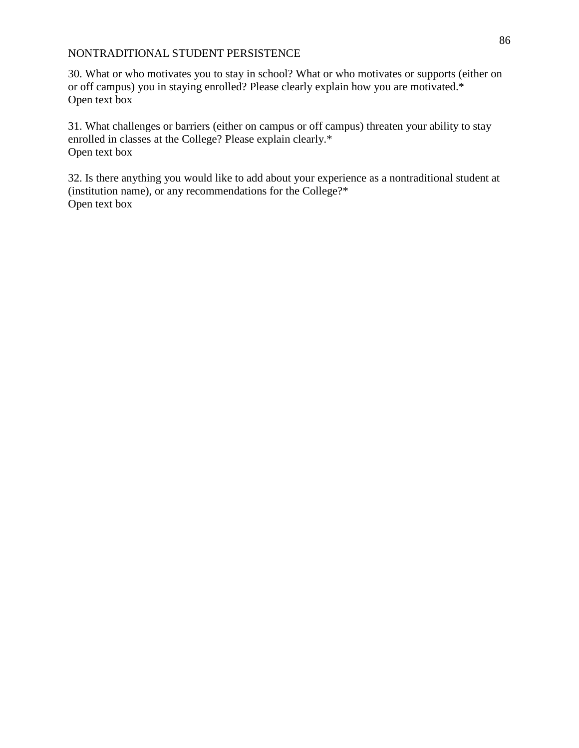30. What or who motivates you to stay in school? What or who motivates or supports (either on or off campus) you in staying enrolled? Please clearly explain how you are motivated.\* Open text box

31. What challenges or barriers (either on campus or off campus) threaten your ability to stay enrolled in classes at the College? Please explain clearly.\* Open text box

32. Is there anything you would like to add about your experience as a nontraditional student at (institution name), or any recommendations for the College?\* Open text box